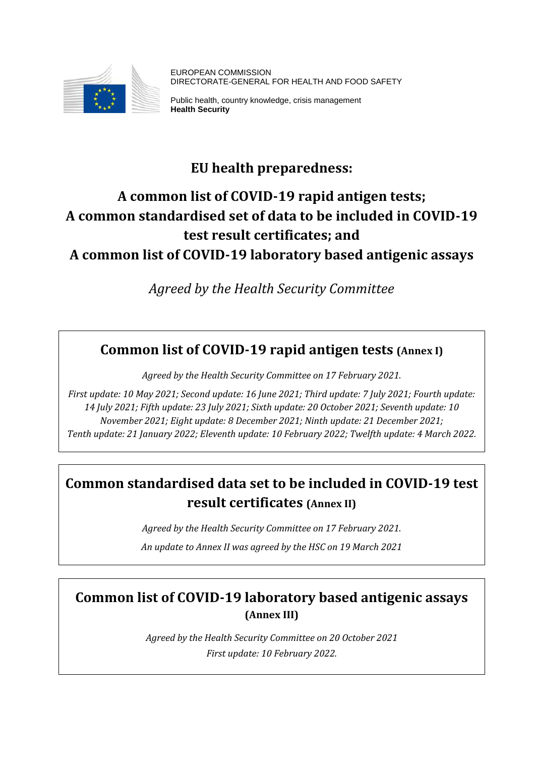

EUROPEAN COMMISSION DIRECTORATE-GENERAL FOR HEALTH AND FOOD SAFETY

Public health, country knowledge, crisis management **Health Security** 

# **EU health preparedness:**

# **A common list of COVID-19 rapid antigen tests; A common standardised set of data to be included in COVID-19 test result certificates; and A common list of COVID-19 laboratory based antigenic assays**

*Agreed by the Health Security Committee*

## **Common list of COVID-19 rapid antigen tests (Annex I)**

*Agreed by the Health Security Committee on 17 February 2021.* 

*First update: 10 May 2021; Second update: 16 June 2021; Third update: 7 July 2021; Fourth update: 14 July 2021; Fifth update: 23 July 2021; Sixth update: 20 October 2021; Seventh update: 10 November 2021; Eight update: 8 December 2021; Ninth update: 21 December 2021; Tenth update: 21 January 2022; Eleventh update: 10 February 2022; Twelfth update: 4 March 2022.*

# **Common standardised data set to be included in COVID-19 test result certificates (Annex II)**

*Agreed by the Health Security Committee on 17 February 2021.* 

*An update to Annex II was agreed by the HSC on 19 March 2021*

## **Common list of COVID-19 laboratory based antigenic assays (Annex III)**

*Agreed by the Health Security Committee on 20 October 2021 First update: 10 February 2022.*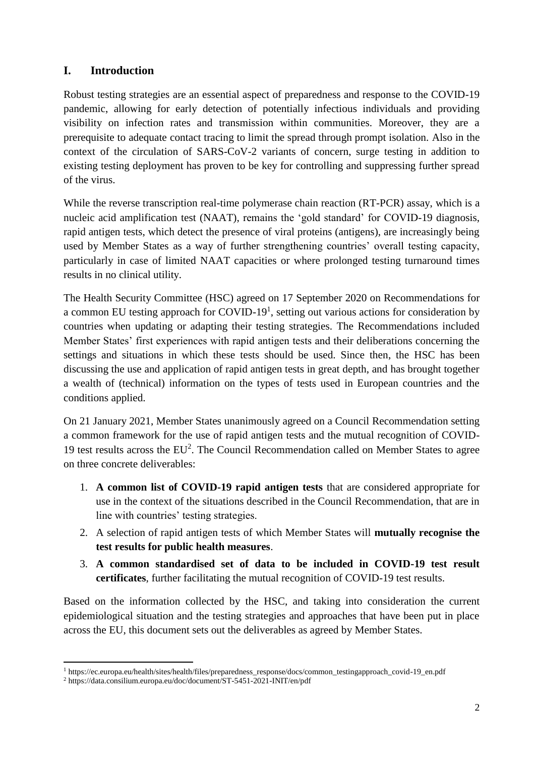## **I. Introduction**

Robust testing strategies are an essential aspect of preparedness and response to the COVID-19 pandemic, allowing for early detection of potentially infectious individuals and providing visibility on infection rates and transmission within communities. Moreover, they are a prerequisite to adequate contact tracing to limit the spread through prompt isolation. Also in the context of the circulation of SARS-CoV-2 variants of concern, surge testing in addition to existing testing deployment has proven to be key for controlling and suppressing further spread of the virus.

While the reverse transcription real-time polymerase chain reaction (RT-PCR) assay, which is a nucleic acid amplification test (NAAT), remains the 'gold standard' for COVID-19 diagnosis, rapid antigen tests, which detect the presence of viral proteins (antigens), are increasingly being used by Member States as a way of further strengthening countries' overall testing capacity, particularly in case of limited NAAT capacities or where prolonged testing turnaround times results in no clinical utility.

The Health Security Committee (HSC) agreed on 17 September 2020 on Recommendations for a common EU testing approach for COVID-19<sup>1</sup>, setting out various actions for consideration by countries when updating or adapting their testing strategies. The Recommendations included Member States' first experiences with rapid antigen tests and their deliberations concerning the settings and situations in which these tests should be used. Since then, the HSC has been discussing the use and application of rapid antigen tests in great depth, and has brought together a wealth of (technical) information on the types of tests used in European countries and the conditions applied.

On 21 January 2021, Member States unanimously agreed on a Council Recommendation setting a common framework for the use of rapid antigen tests and the mutual recognition of COVID-19 test results across the EU<sup>2</sup>. The Council Recommendation called on Member States to agree on three concrete deliverables:

- 1. **A common list of COVID-19 rapid antigen tests** that are considered appropriate for use in the context of the situations described in the Council Recommendation, that are in line with countries' testing strategies.
- 2. A selection of rapid antigen tests of which Member States will **mutually recognise the test results for public health measures**.
- 3. **A common standardised set of data to be included in COVID-19 test result certificates**, further facilitating the mutual recognition of COVID-19 test results.

Based on the information collected by the HSC, and taking into consideration the current epidemiological situation and the testing strategies and approaches that have been put in place across the EU, this document sets out the deliverables as agreed by Member States.

 $\overline{\phantom{a}}$ <sup>1</sup> https://ec.europa.eu/health/sites/health/files/preparedness\_response/docs/common\_testingapproach\_covid-19\_en.pdf

<sup>2</sup> https://data.consilium.europa.eu/doc/document/ST-5451-2021-INIT/en/pdf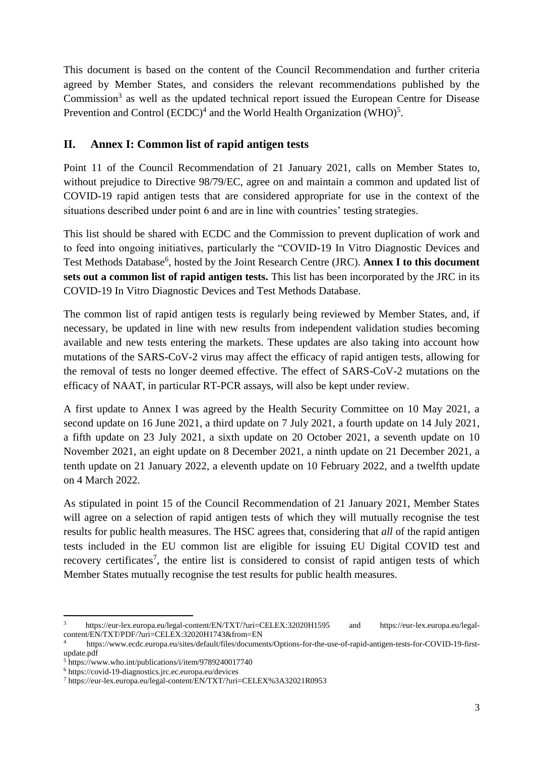This document is based on the content of the Council Recommendation and further criteria agreed by Member States, and considers the relevant recommendations published by the Commission<sup>3</sup> as well as the updated technical report issued the European Centre for Disease Prevention and Control  $(ECDC)^4$  and the World Health Organization (WHO)<sup>5</sup>.

## **II. Annex I: Common list of rapid antigen tests**

Point 11 of the Council Recommendation of 21 January 2021, calls on Member States to, without prejudice to Directive 98/79/EC, agree on and maintain a common and updated list of COVID-19 rapid antigen tests that are considered appropriate for use in the context of the situations described under point 6 and are in line with countries' testing strategies.

This list should be shared with ECDC and the Commission to prevent duplication of work and to feed into ongoing initiatives, particularly the "COVID-19 In Vitro Diagnostic Devices and Test Methods Database<sup>6</sup>, hosted by the Joint Research Centre (JRC). Annex I to this document **sets out a common list of rapid antigen tests.** This list has been incorporated by the JRC in its COVID-19 In Vitro Diagnostic Devices and Test Methods Database.

The common list of rapid antigen tests is regularly being reviewed by Member States, and, if necessary, be updated in line with new results from independent validation studies becoming available and new tests entering the markets. These updates are also taking into account how mutations of the SARS-CoV-2 virus may affect the efficacy of rapid antigen tests, allowing for the removal of tests no longer deemed effective. The effect of SARS-CoV-2 mutations on the efficacy of NAAT, in particular RT-PCR assays, will also be kept under review.

A first update to Annex I was agreed by the Health Security Committee on 10 May 2021, a second update on 16 June 2021, a third update on 7 July 2021, a fourth update on 14 July 2021, a fifth update on 23 July 2021, a sixth update on 20 October 2021, a seventh update on 10 November 2021, an eight update on 8 December 2021, a ninth update on 21 December 2021, a tenth update on 21 January 2022, a eleventh update on 10 February 2022, and a twelfth update on 4 March 2022.

As stipulated in point 15 of the Council Recommendation of 21 January 2021, Member States will agree on a selection of rapid antigen tests of which they will mutually recognise the test results for public health measures. The HSC agrees that, considering that *all* of the rapid antigen tests included in the EU common list are eligible for issuing EU Digital COVID test and recovery certificates<sup>7</sup>, the entire list is considered to consist of rapid antigen tests of which Member States mutually recognise the test results for public health measures.

 $\overline{\phantom{a}}$ <sup>3</sup> https://eur-lex.europa.eu/legal-content/EN/TXT/?uri=CELEX:32020H1595 and https://eur-lex.europa.eu/legalcontent/EN/TXT/PDF/?uri=CELEX:32020H1743&from=EN

<sup>4</sup> https://www.ecdc.europa.eu/sites/default/files/documents/Options-for-the-use-of-rapid-antigen-tests-for-COVID-19-firstupdate.pdf

<sup>5</sup> https://www.who.int/publications/i/item/9789240017740

<sup>6</sup> https://covid-19-diagnostics.jrc.ec.europa.eu/devices

<sup>7</sup> https://eur-lex.europa.eu/legal-content/EN/TXT/?uri=CELEX%3A32021R0953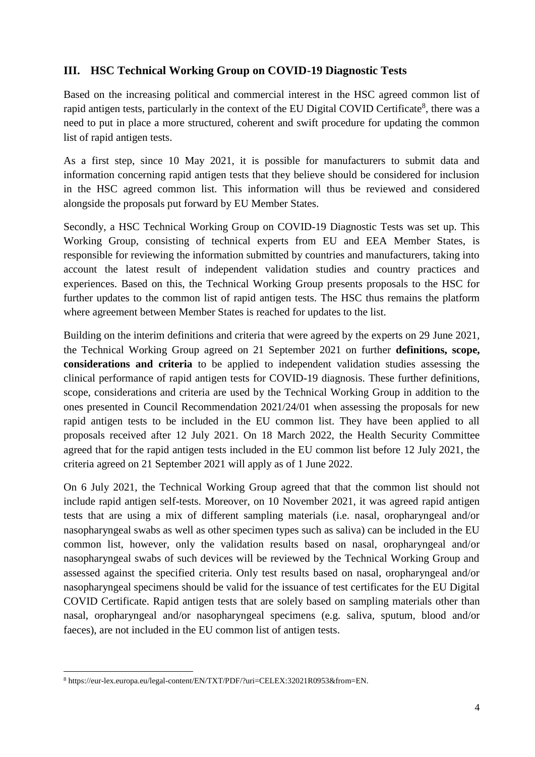## **III. HSC Technical Working Group on COVID-19 Diagnostic Tests**

Based on the increasing political and commercial interest in the HSC agreed common list of rapid antigen tests, particularly in the context of the EU Digital COVID Certificate<sup>8</sup>, there was a need to put in place a more structured, coherent and swift procedure for updating the common list of rapid antigen tests.

As a first step, since 10 May 2021, it is possible for manufacturers to submit data and information concerning rapid antigen tests that they believe should be considered for inclusion in the HSC agreed common list. This information will thus be reviewed and considered alongside the proposals put forward by EU Member States.

Secondly, a HSC Technical Working Group on COVID-19 Diagnostic Tests was set up. This Working Group, consisting of technical experts from EU and EEA Member States, is responsible for reviewing the information submitted by countries and manufacturers, taking into account the latest result of independent validation studies and country practices and experiences. Based on this, the Technical Working Group presents proposals to the HSC for further updates to the common list of rapid antigen tests. The HSC thus remains the platform where agreement between Member States is reached for updates to the list.

Building on the interim definitions and criteria that were agreed by the experts on 29 June 2021, the Technical Working Group agreed on 21 September 2021 on further **definitions, scope, considerations and criteria** to be applied to independent validation studies assessing the clinical performance of rapid antigen tests for COVID-19 diagnosis. These further definitions, scope, considerations and criteria are used by the Technical Working Group in addition to the ones presented in Council Recommendation 2021/24/01 when assessing the proposals for new rapid antigen tests to be included in the EU common list. They have been applied to all proposals received after 12 July 2021. On 18 March 2022, the Health Security Committee agreed that for the rapid antigen tests included in the EU common list before 12 July 2021, the criteria agreed on 21 September 2021 will apply as of 1 June 2022.

On 6 July 2021, the Technical Working Group agreed that that the common list should not include rapid antigen self-tests. Moreover, on 10 November 2021, it was agreed rapid antigen tests that are using a mix of different sampling materials (i.e. nasal, oropharyngeal and/or nasopharyngeal swabs as well as other specimen types such as saliva) can be included in the EU common list, however, only the validation results based on nasal, oropharyngeal and/or nasopharyngeal swabs of such devices will be reviewed by the Technical Working Group and assessed against the specified criteria. Only test results based on nasal, oropharyngeal and/or nasopharyngeal specimens should be valid for the issuance of test certificates for the EU Digital COVID Certificate. Rapid antigen tests that are solely based on sampling materials other than nasal, oropharyngeal and/or nasopharyngeal specimens (e.g. saliva, sputum, blood and/or faeces), are not included in the EU common list of antigen tests.

<sup>1</sup> <sup>8</sup> https://eur-lex.europa.eu/legal-content/EN/TXT/PDF/?uri=CELEX:32021R0953&from=EN.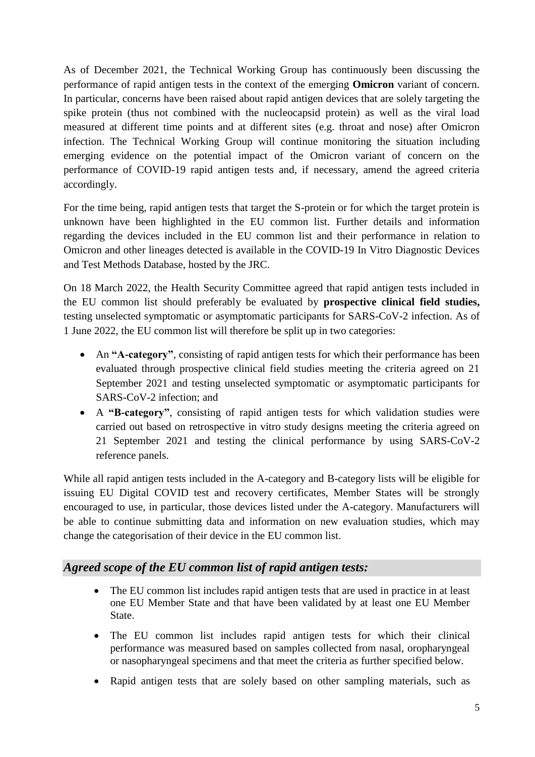As of December 2021, the Technical Working Group has continuously been discussing the performance of rapid antigen tests in the context of the emerging **Omicron** variant of concern. In particular, concerns have been raised about rapid antigen devices that are solely targeting the spike protein (thus not combined with the nucleocapsid protein) as well as the viral load measured at different time points and at different sites (e.g. throat and nose) after Omicron infection. The Technical Working Group will continue monitoring the situation including emerging evidence on the potential impact of the Omicron variant of concern on the performance of COVID-19 rapid antigen tests and, if necessary, amend the agreed criteria accordingly.

For the time being, rapid antigen tests that target the S-protein or for which the target protein is unknown have been highlighted in the EU common list. Further details and information regarding the devices included in the EU common list and their performance in relation to Omicron and other lineages detected is available in the COVID-19 In Vitro Diagnostic Devices and Test Methods Database, hosted by the JRC.

On 18 March 2022, the Health Security Committee agreed that rapid antigen tests included in the EU common list should preferably be evaluated by **prospective clinical field studies,**  testing unselected symptomatic or asymptomatic participants for SARS-CoV-2 infection. As of 1 June 2022, the EU common list will therefore be split up in two categories:

- An "A-category", consisting of rapid antigen tests for which their performance has been evaluated through prospective clinical field studies meeting the criteria agreed on 21 September 2021 and testing unselected symptomatic or asymptomatic participants for SARS-CoV-2 infection; and
- A **"B-category"**, consisting of rapid antigen tests for which validation studies were carried out based on retrospective in vitro study designs meeting the criteria agreed on 21 September 2021 and testing the clinical performance by using SARS-CoV-2 reference panels.

While all rapid antigen tests included in the A-category and B-category lists will be eligible for issuing EU Digital COVID test and recovery certificates, Member States will be strongly encouraged to use, in particular, those devices listed under the A-category. Manufacturers will be able to continue submitting data and information on new evaluation studies, which may change the categorisation of their device in the EU common list.

## *Agreed scope of the EU common list of rapid antigen tests:*

- The EU common list includes rapid antigen tests that are used in practice in at least one EU Member State and that have been validated by at least one EU Member State.
- The EU common list includes rapid antigen tests for which their clinical performance was measured based on samples collected from nasal, oropharyngeal or nasopharyngeal specimens and that meet the criteria as further specified below.
- Rapid antigen tests that are solely based on other sampling materials, such as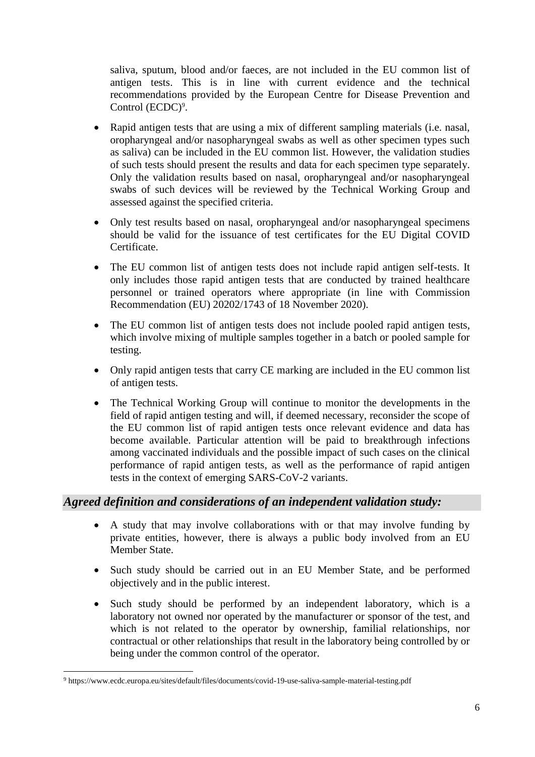saliva, sputum, blood and/or faeces, are not included in the EU common list of antigen tests. This is in line with current evidence and the technical recommendations provided by the European Centre for Disease Prevention and Control  $(ECDC)^9$ .

- Rapid antigen tests that are using a mix of different sampling materials (i.e. nasal, oropharyngeal and/or nasopharyngeal swabs as well as other specimen types such as saliva) can be included in the EU common list. However, the validation studies of such tests should present the results and data for each specimen type separately. Only the validation results based on nasal, oropharyngeal and/or nasopharyngeal swabs of such devices will be reviewed by the Technical Working Group and assessed against the specified criteria.
- Only test results based on nasal, oropharyngeal and/or nasopharyngeal specimens should be valid for the issuance of test certificates for the EU Digital COVID Certificate.
- The EU common list of antigen tests does not include rapid antigen self-tests. It only includes those rapid antigen tests that are conducted by trained healthcare personnel or trained operators where appropriate (in line with Commission Recommendation (EU) 20202/1743 of 18 November 2020).
- The EU common list of antigen tests does not include pooled rapid antigen tests, which involve mixing of multiple samples together in a batch or pooled sample for testing.
- Only rapid antigen tests that carry CE marking are included in the EU common list of antigen tests.
- The Technical Working Group will continue to monitor the developments in the field of rapid antigen testing and will, if deemed necessary, reconsider the scope of the EU common list of rapid antigen tests once relevant evidence and data has become available. Particular attention will be paid to breakthrough infections among vaccinated individuals and the possible impact of such cases on the clinical performance of rapid antigen tests, as well as the performance of rapid antigen tests in the context of emerging SARS-CoV-2 variants.

## *Agreed definition and considerations of an independent validation study:*

- A study that may involve collaborations with or that may involve funding by private entities, however, there is always a public body involved from an EU Member State.
- Such study should be carried out in an EU Member State, and be performed objectively and in the public interest.
- Such study should be performed by an independent laboratory, which is a laboratory not owned nor operated by the manufacturer or sponsor of the test, and which is not related to the operator by ownership, familial relationships, nor contractual or other relationships that result in the laboratory being controlled by or being under the common control of the operator.

<sup>1</sup> <sup>9</sup> https://www.ecdc.europa.eu/sites/default/files/documents/covid-19-use-saliva-sample-material-testing.pdf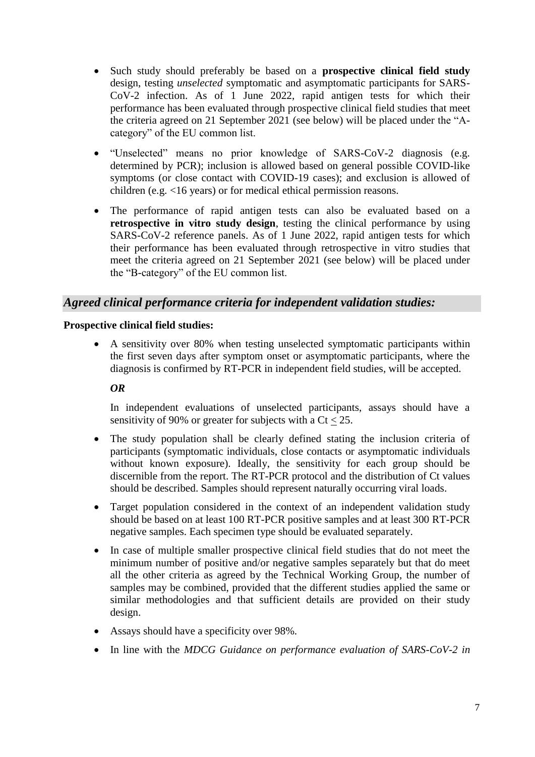- Such study should preferably be based on a **prospective clinical field study** design, testing *unselected* symptomatic and asymptomatic participants for SARS-CoV-2 infection. As of 1 June 2022, rapid antigen tests for which their performance has been evaluated through prospective clinical field studies that meet the criteria agreed on 21 September 2021 (see below) will be placed under the "Acategory" of the EU common list.
- "Unselected" means no prior knowledge of SARS-CoV-2 diagnosis (e.g. determined by PCR); inclusion is allowed based on general possible COVID-like symptoms (or close contact with COVID-19 cases); and exclusion is allowed of children (e.g. <16 years) or for medical ethical permission reasons.
- The performance of rapid antigen tests can also be evaluated based on a **retrospective in vitro study design,** testing the clinical performance by using SARS-CoV-2 reference panels. As of 1 June 2022, rapid antigen tests for which their performance has been evaluated through retrospective in vitro studies that meet the criteria agreed on 21 September 2021 (see below) will be placed under the "B-category" of the EU common list.

## *Agreed clinical performance criteria for independent validation studies:*

#### **Prospective clinical field studies:**

 A sensitivity over 80% when testing unselected symptomatic participants within the first seven days after symptom onset or asymptomatic participants, where the diagnosis is confirmed by RT-PCR in independent field studies, will be accepted.

#### *OR*

In independent evaluations of unselected participants, assays should have a sensitivity of 90% or greater for subjects with a  $C_t < 25$ .

- The study population shall be clearly defined stating the inclusion criteria of participants (symptomatic individuals, close contacts or asymptomatic individuals without known exposure). Ideally, the sensitivity for each group should be discernible from the report. The RT-PCR protocol and the distribution of Ct values should be described. Samples should represent naturally occurring viral loads.
- Target population considered in the context of an independent validation study should be based on at least 100 RT-PCR positive samples and at least 300 RT-PCR negative samples. Each specimen type should be evaluated separately.
- In case of multiple smaller prospective clinical field studies that do not meet the minimum number of positive and/or negative samples separately but that do meet all the other criteria as agreed by the Technical Working Group, the number of samples may be combined, provided that the different studies applied the same or similar methodologies and that sufficient details are provided on their study design.
- Assays should have a specificity over 98%.
- In line with the *MDCG Guidance on performance evaluation of SARS-CoV-2 in*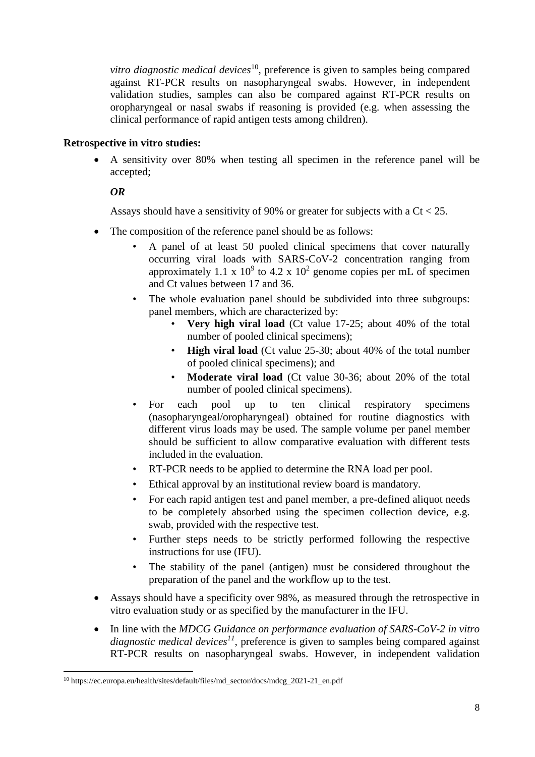*vitro diagnostic medical devices*<sup>10</sup>, preference is given to samples being compared against RT-PCR results on nasopharyngeal swabs. However, in independent validation studies, samples can also be compared against RT-PCR results on oropharyngeal or nasal swabs if reasoning is provided (e.g. when assessing the clinical performance of rapid antigen tests among children).

#### **Retrospective in vitro studies:**

 A sensitivity over 80% when testing all specimen in the reference panel will be accepted;

#### *OR*

Assays should have a sensitivity of 90% or greater for subjects with a  $C_t < 25$ .

- The composition of the reference panel should be as follows:
	- A panel of at least 50 pooled clinical specimens that cover naturally occurring viral loads with SARS-CoV-2 concentration ranging from approximately 1.1 x  $10^9$  to 4.2 x  $10^2$  genome copies per mL of specimen and Ct values between 17 and 36.
	- The whole evaluation panel should be subdivided into three subgroups: panel members, which are characterized by:
		- **Very high viral load** (Ct value 17-25; about 40% of the total number of pooled clinical specimens);
		- **High viral load** (Ct value 25-30; about 40% of the total number of pooled clinical specimens); and
		- **Moderate viral load** (Ct value 30-36; about 20% of the total number of pooled clinical specimens).
	- For each pool up to ten clinical respiratory specimens (nasopharyngeal/oropharyngeal) obtained for routine diagnostics with different virus loads may be used. The sample volume per panel member should be sufficient to allow comparative evaluation with different tests included in the evaluation.
	- RT-PCR needs to be applied to determine the RNA load per pool.
	- Ethical approval by an institutional review board is mandatory.
	- For each rapid antigen test and panel member, a pre-defined aliquot needs to be completely absorbed using the specimen collection device, e.g. swab, provided with the respective test.
	- Further steps needs to be strictly performed following the respective instructions for use (IFU).
	- The stability of the panel (antigen) must be considered throughout the preparation of the panel and the workflow up to the test.
- Assays should have a specificity over 98%, as measured through the retrospective in vitro evaluation study or as specified by the manufacturer in the IFU.
- In line with the *MDCG Guidance on performance evaluation of SARS-CoV-2 in vitro diagnostic medical devices<sup>11</sup>*, preference is given to samples being compared against RT-PCR results on nasopharyngeal swabs. However, in independent validation

<sup>1</sup> <sup>10</sup> https://ec.europa.eu/health/sites/default/files/md\_sector/docs/mdcg\_2021-21\_en.pdf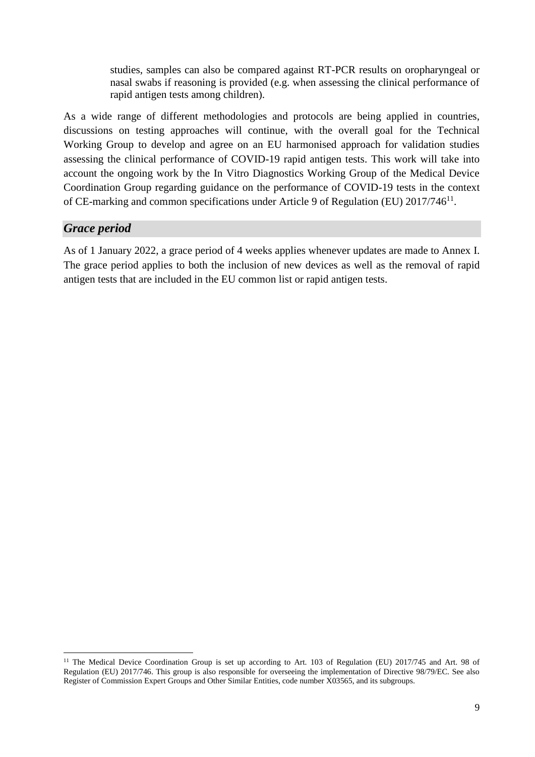studies, samples can also be compared against RT-PCR results on oropharyngeal or nasal swabs if reasoning is provided (e.g. when assessing the clinical performance of rapid antigen tests among children).

As a wide range of different methodologies and protocols are being applied in countries, discussions on testing approaches will continue, with the overall goal for the Technical Working Group to develop and agree on an EU harmonised approach for validation studies assessing the clinical performance of COVID-19 rapid antigen tests. This work will take into account the ongoing work by the In Vitro Diagnostics Working Group of the Medical Device Coordination Group regarding guidance on the performance of COVID-19 tests in the context of CE-marking and common specifications under Article 9 of Regulation (EU) 2017/746<sup>11</sup>.

## *Grace period*

**.** 

As of 1 January 2022, a grace period of 4 weeks applies whenever updates are made to Annex I. The grace period applies to both the inclusion of new devices as well as the removal of rapid antigen tests that are included in the EU common list or rapid antigen tests.

<sup>&</sup>lt;sup>11</sup> The Medical Device Coordination Group is set up according to Art. 103 of Regulation (EU) 2017/745 and Art. 98 of Regulation (EU) 2017/746. This group is also responsible for overseeing the implementation of Directive 98/79/EC. See also Register of Commission Expert Groups and Other Similar Entities, code number X03565, and its subgroups.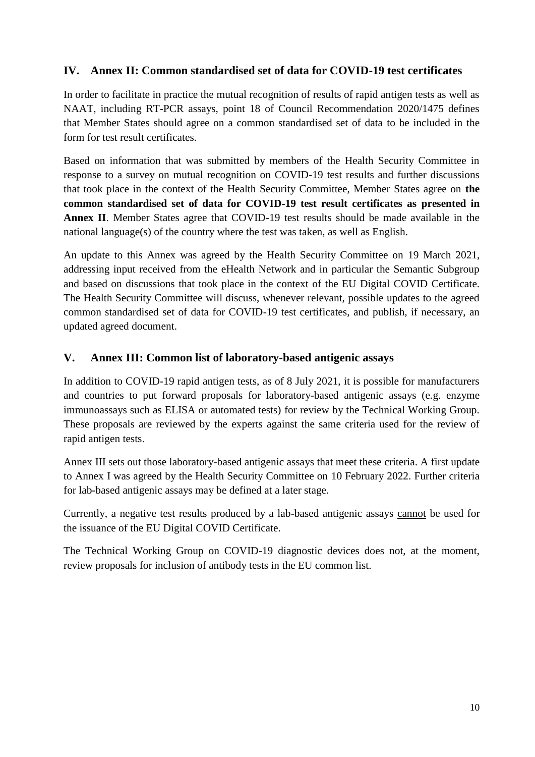## **IV. Annex II: Common standardised set of data for COVID-19 test certificates**

In order to facilitate in practice the mutual recognition of results of rapid antigen tests as well as NAAT, including RT-PCR assays, point 18 of Council Recommendation 2020/1475 defines that Member States should agree on a common standardised set of data to be included in the form for test result certificates.

Based on information that was submitted by members of the Health Security Committee in response to a survey on mutual recognition on COVID-19 test results and further discussions that took place in the context of the Health Security Committee, Member States agree on **the common standardised set of data for COVID-19 test result certificates as presented in Annex II**. Member States agree that COVID-19 test results should be made available in the national language(s) of the country where the test was taken, as well as English.

An update to this Annex was agreed by the Health Security Committee on 19 March 2021, addressing input received from the eHealth Network and in particular the Semantic Subgroup and based on discussions that took place in the context of the EU Digital COVID Certificate. The Health Security Committee will discuss, whenever relevant, possible updates to the agreed common standardised set of data for COVID-19 test certificates, and publish, if necessary, an updated agreed document.

## **V. Annex III: Common list of laboratory-based antigenic assays**

In addition to COVID-19 rapid antigen tests, as of 8 July 2021, it is possible for manufacturers and countries to put forward proposals for laboratory-based antigenic assays (e.g. enzyme immunoassays such as ELISA or automated tests) for review by the Technical Working Group. These proposals are reviewed by the experts against the same criteria used for the review of rapid antigen tests.

Annex III sets out those laboratory-based antigenic assays that meet these criteria. A first update to Annex I was agreed by the Health Security Committee on 10 February 2022. Further criteria for lab-based antigenic assays may be defined at a later stage.

Currently, a negative test results produced by a lab-based antigenic assays cannot be used for the issuance of the EU Digital COVID Certificate.

The Technical Working Group on COVID-19 diagnostic devices does not, at the moment, review proposals for inclusion of antibody tests in the EU common list.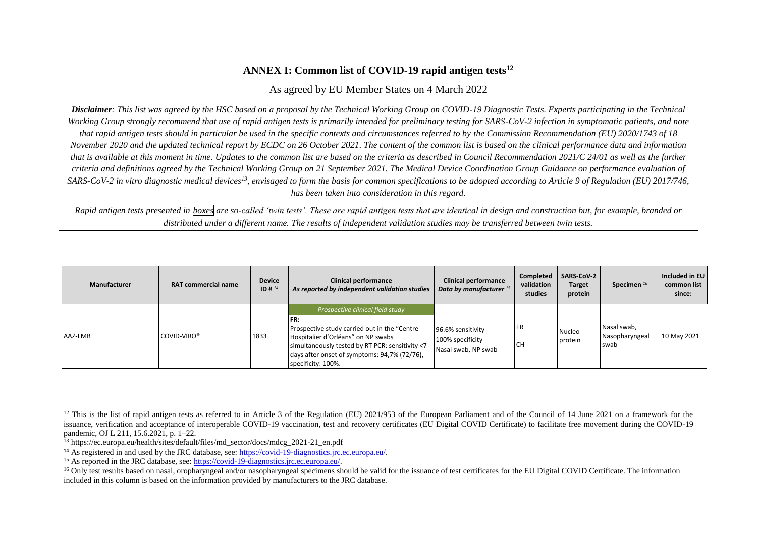#### **ANNEX I: Common list of COVID-19 rapid antigen tests<sup>12</sup>**

#### As agreed by EU Member States on 4 March 2022

*Disclaimer: This list was agreed by the HSC based on a proposal by the Technical Working Group on COVID-19 Diagnostic Tests. Experts participating in the Technical Working Group strongly recommend that use of rapid antigen tests is primarily intended for preliminary testing for SARS-CoV-2 infection in symptomatic patients, and note that rapid antigen tests should in particular be used in the specific contexts and circumstances referred to by the Commission Recommendation (EU) 2020/1743 of 18 November 2020 and the updated technical report by ECDC on 26 October 2021. The content of the common list is based on the clinical performance data and information that is available at this moment in time. Updates to the common list are based on the criteria as described in Council Recommendation 2021/C 24/01 as well as the further criteria and definitions agreed by the Technical Working Group on 21 September 2021. The Medical Device Coordination Group Guidance on performance evaluation of SARS-CoV-2 in vitro diagnostic medical devices<sup>13</sup>, envisaged to form the basis for common specifications to be adopted according to Article 9 of Regulation (EU) 2017/746, has been taken into consideration in this regard.*

*Rapid antigen tests presented in boxes are so-called 'twin tests'. These are rapid antigen tests that are identical in design and construction but, for example, branded or distributed under a different name. The results of independent validation studies may be transferred between twin tests.*

| Manufacturer | <b>RAT commercial name</b> | <b>Device</b><br>ID # $^{14}$ | <b>Clinical performance</b><br>As reported by independent validation studies                                                                                                                                                                             | <b>Clinical performance</b><br>Data by manufacturer 15       | Completed<br>validation<br>studies | <b>SARS-CoV-2</b><br><b>Target</b><br>protein | Specimen <sup>16</sup>                | Included in EU<br>common list<br>since: |
|--------------|----------------------------|-------------------------------|----------------------------------------------------------------------------------------------------------------------------------------------------------------------------------------------------------------------------------------------------------|--------------------------------------------------------------|------------------------------------|-----------------------------------------------|---------------------------------------|-----------------------------------------|
| AAZ-LMB      | COVID-VIRO <sup>®</sup>    | 1833                          | Prospective clinical field study<br>IFR:<br>Prospective study carried out in the "Centre"<br>Hospitalier d'Orléans" on NP swabs<br>simultaneously tested by RT PCR: sensitivity <7<br>days after onset of symptoms: 94,7% (72/76),<br>specificity: 100%. | 96.6% sensitivity<br>100% specificity<br>Nasal swab, NP swab | <b>FR</b><br><b>CH</b>             | Nucleo-<br>protein                            | Nasal swab,<br>Nasopharyngeal<br>swab | 10 May 2021                             |

 $\overline{a}$ 

<sup>&</sup>lt;sup>12</sup> This is the list of rapid antigen tests as referred to in Article 3 of the Regulation (EU) 2021/953 of the European Parliament and of the Council of 14 June 2021 on a framework for the issuance, verification and acceptance of interoperable COVID-19 vaccination, test and recovery certificates (EU Digital COVID Certificate) to facilitate free movement during the COVID-19 pandemic, OJ L 211, 15.6.2021, p. 1–22.

<sup>13</sup> https://ec.europa.eu/health/sites/default/files/md\_sector/docs/mdcg\_2021-21\_en.pdf

<sup>&</sup>lt;sup>14</sup> As registered in and used by the JRC database, see: [https://covid-19-diagnostics.jrc.ec.europa.eu/.](https://covid-19-diagnostics.jrc.ec.europa.eu/)

<sup>&</sup>lt;sup>15</sup> As reported in the JRC database, see[: https://covid-19-diagnostics.jrc.ec.europa.eu/.](https://covid-19-diagnostics.jrc.ec.europa.eu/)

<sup>&</sup>lt;sup>16</sup> Only test results based on nasal, oropharyngeal and/or nasopharyngeal specimens should be valid for the issuance of test certificates for the EU Digital COVID Certificate. The information included in this column is based on the information provided by manufacturers to the JRC database.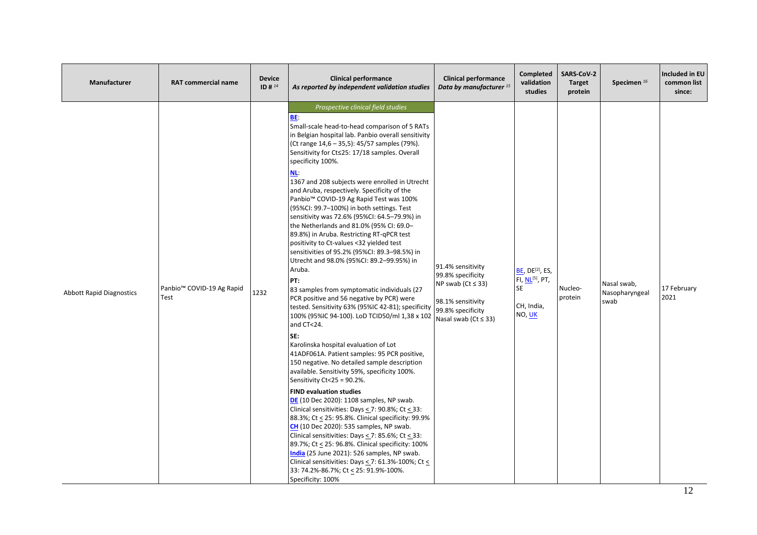| Manufacturer                    | <b>RAT commercial name</b>                    | <b>Device</b><br>ID # $^{14}$ | <b>Clinical performance</b><br>As reported by independent validation studies                                                                                                                                                                                                                                                                                                                                                                                                                                                                                                                                                                                                                                                                                                                                                                                                                                                                                                                                                                                                                                                                                                                                                                                                                                                                                                                                                                                                                                                                                                                                                                                                                                                                                                 | <b>Clinical performance</b><br>Data by manufacturer <sup>15</sup>                                                                           | <b>Completed</b><br>validation<br>studies                                                            | SARS-CoV-2<br><b>Target</b><br>protein | Specimen <sup>16</sup>                | Included in EU<br>common list<br>since: |
|---------------------------------|-----------------------------------------------|-------------------------------|------------------------------------------------------------------------------------------------------------------------------------------------------------------------------------------------------------------------------------------------------------------------------------------------------------------------------------------------------------------------------------------------------------------------------------------------------------------------------------------------------------------------------------------------------------------------------------------------------------------------------------------------------------------------------------------------------------------------------------------------------------------------------------------------------------------------------------------------------------------------------------------------------------------------------------------------------------------------------------------------------------------------------------------------------------------------------------------------------------------------------------------------------------------------------------------------------------------------------------------------------------------------------------------------------------------------------------------------------------------------------------------------------------------------------------------------------------------------------------------------------------------------------------------------------------------------------------------------------------------------------------------------------------------------------------------------------------------------------------------------------------------------------|---------------------------------------------------------------------------------------------------------------------------------------------|------------------------------------------------------------------------------------------------------|----------------------------------------|---------------------------------------|-----------------------------------------|
| <b>Abbott Rapid Diagnostics</b> | Panbio <sup>™</sup> COVID-19 Ag Rapid<br>Test | 1232                          | Prospective clinical field studies<br>BE.<br>Small-scale head-to-head comparison of 5 RATs<br>in Belgian hospital lab. Panbio overall sensitivity<br>(Ct range 14,6 - 35,5): 45/57 samples (79%).<br>Sensitivity for Ct≤25: 17/18 samples. Overall<br>specificity 100%.<br>NL.<br>1367 and 208 subjects were enrolled in Utrecht<br>and Aruba, respectively. Specificity of the<br>Panbio <sup>™</sup> COVID-19 Ag Rapid Test was 100%<br>(95%CI: 99.7-100%) in both settings. Test<br>sensitivity was 72.6% (95%CI: 64.5-79.9%) in<br>the Netherlands and 81.0% (95% CI: 69.0-<br>89.8%) in Aruba. Restricting RT-qPCR test<br>positivity to Ct-values <32 yielded test<br>sensitivities of 95.2% (95%CI: 89.3-98.5%) in<br>Utrecht and 98.0% (95%CI: 89.2-99.95%) in<br>Aruba.<br>PT:<br>83 samples from symptomatic individuals (27<br>PCR positive and 56 negative by PCR) were<br>tested. Sensitivity 63% (95%IC 42-81); specificity<br>100% (95%IC 94-100). LoD TCID50/ml 1,38 x 102<br>and CT<24.<br>SE:<br>Karolinska hospital evaluation of Lot<br>41ADF061A. Patient samples: 95 PCR positive,<br>150 negative. No detailed sample description<br>available. Sensitivity 59%, specificity 100%.<br>Sensitivity Ct<25 = 90.2%.<br><b>FIND evaluation studies</b><br>DE (10 Dec 2020): 1108 samples, NP swab.<br>Clinical sensitivities: Days $\leq$ 7: 90.8%; Ct $\leq$ 33:<br>88.3%; Ct < 25: 95.8%. Clinical specificity: 99.9%<br>CH (10 Dec 2020): 535 samples, NP swab.<br>Clinical sensitivities: Days < 7: 85.6%; Ct < 33:<br>89.7%; Ct < 25: 96.8%. Clinical specificity: 100%<br>India (25 June 2021): 526 samples, NP swab.<br>Clinical sensitivities: Days $\leq$ 7: 61.3%-100%; Ct $\leq$<br>33: 74.2%-86.7%; Ct < 25: 91.9%-100%.<br>Specificity: 100% | 91.4% sensitivity<br>99.8% specificity<br>NP swab ( $Ct \leq 33$ )<br>98.1% sensitivity<br>99.8% specificity<br>Nasal swab ( $Ct \leq 33$ ) | <b>BE, DE<sup>[2]</sup>, ES,</b><br>FI, NL <sup>[5]</sup> , PT,<br><b>SE</b><br>CH, India,<br>NO, UK | Nucleo-<br>protein                     | Nasal swab,<br>Nasopharyngeal<br>swab | 17 February<br>2021                     |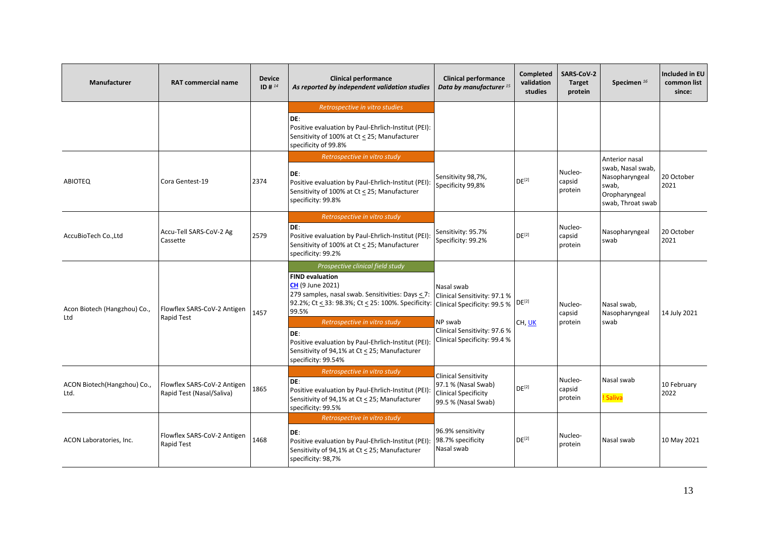| <b>Manufacturer</b>                 | <b>RAT commercial name</b>                               | <b>Device</b><br>ID # $^{14}$ | <b>Clinical performance</b><br>As reported by independent validation studies                                                                                                                                                                                                                                                                                                                                   | <b>Clinical performance</b><br>Data by manufacturer <sup>15</sup>                                                     | Completed<br>validation<br>studies | SARS-CoV-2<br><b>Target</b><br>protein | Specimen <sup>16</sup>                                                                               | Included in EU<br>common list<br>since: |
|-------------------------------------|----------------------------------------------------------|-------------------------------|----------------------------------------------------------------------------------------------------------------------------------------------------------------------------------------------------------------------------------------------------------------------------------------------------------------------------------------------------------------------------------------------------------------|-----------------------------------------------------------------------------------------------------------------------|------------------------------------|----------------------------------------|------------------------------------------------------------------------------------------------------|-----------------------------------------|
|                                     |                                                          |                               | Retrospective in vitro studies<br>DE:<br>Positive evaluation by Paul-Ehrlich-Institut (PEI):<br>Sensitivity of 100% at Ct < 25; Manufacturer<br>specificity of 99.8%                                                                                                                                                                                                                                           |                                                                                                                       |                                    |                                        |                                                                                                      |                                         |
| <b>ABIOTEO</b>                      | Cora Gentest-19                                          | 2374                          | Retrospective in vitro study<br>DE:<br>Positive evaluation by Paul-Ehrlich-Institut (PEI):<br>Sensitivity of 100% at Ct < 25; Manufacturer<br>specificity: 99.8%                                                                                                                                                                                                                                               | Sensitivity 98,7%,<br>Specificity 99,8%                                                                               | DE <sup>[2]</sup>                  | Nucleo-<br>capsid<br>protein           | Anterior nasal<br>swab, Nasal swab,<br>Nasopharyngeal<br>swab.<br>Oropharyngeal<br>swab, Throat swab | 20 October<br>2021                      |
| AccuBioTech Co., Ltd                | Accu-Tell SARS-CoV-2 Ag<br>Cassette                      | 2579                          | Retrospective in vitro study<br>DE:<br>Positive evaluation by Paul-Ehrlich-Institut (PEI):<br>Sensitivity of 100% at Ct < 25; Manufacturer<br>specificity: 99.2%                                                                                                                                                                                                                                               | Sensitivity: 95.7%<br>Specificity: 99.2%                                                                              | DF <sup>[2]</sup>                  | Nucleo-<br>capsid<br>protein           | Nasopharyngeal<br>swab                                                                               | 20 October<br>2021                      |
| Acon Biotech (Hangzhou) Co.,<br>Ltd | Flowflex SARS-CoV-2 Antigen<br>Rapid Test                | 1457                          | Prospective clinical field study<br><b>FIND evaluation</b><br><b>CH</b> (9 June 2021)<br>279 samples, nasal swab. Sensitivities: Days < 7:<br>92.2%; Ct < 33: 98.3%; Ct < 25: 100%. Specificity:   Clinical Specificity: 99.5 %<br>99.5%<br>Retrospective in vitro study<br>DE:<br>Positive evaluation by Paul-Ehrlich-Institut (PEI):<br>Sensitivity of 94,1% at Ct < 25; Manufacturer<br>specificity: 99.54% | Nasal swab<br>Clinical Sensitivity: 97.1 %<br>NP swab<br>Clinical Sensitivity: 97.6 %<br>Clinical Specificity: 99.4 % | DE <sup>[2]</sup><br>CH, UK        | Nucleo-<br>capsid<br>protein           | Nasal swab,<br>Nasopharyngeal<br>swab                                                                | 14 July 2021                            |
| ACON Biotech(Hangzhou) Co.,<br>Ltd. | Flowflex SARS-CoV-2 Antigen<br>Rapid Test (Nasal/Saliva) | 1865                          | Retrospective in vitro study<br>DE:<br>Positive evaluation by Paul-Ehrlich-Institut (PEI):<br>Sensitivity of 94,1% at Ct < 25; Manufacturer<br>specificity: 99.5%                                                                                                                                                                                                                                              | <b>Clinical Sensitivity</b><br>97.1 % (Nasal Swab)<br><b>Clinical Specificity</b><br>99.5 % (Nasal Swab)              | $DE^{[2]}$                         | Nucleo-<br>capsid<br>protein           | Nasal swab<br>! Saliva                                                                               | 10 February<br>2022                     |
| ACON Laboratories, Inc.             | Flowflex SARS-CoV-2 Antigen<br>Rapid Test                | 1468                          | Retrospective in vitro study<br>DE:<br>Positive evaluation by Paul-Ehrlich-Institut (PEI):<br>Sensitivity of 94,1% at Ct < 25; Manufacturer<br>specificity: 98,7%                                                                                                                                                                                                                                              | 96.9% sensitivity<br>98.7% specificity<br>Nasal swab                                                                  | DE <sup>[2]</sup>                  | Nucleo-<br>protein                     | Nasal swab                                                                                           | 10 May 2021                             |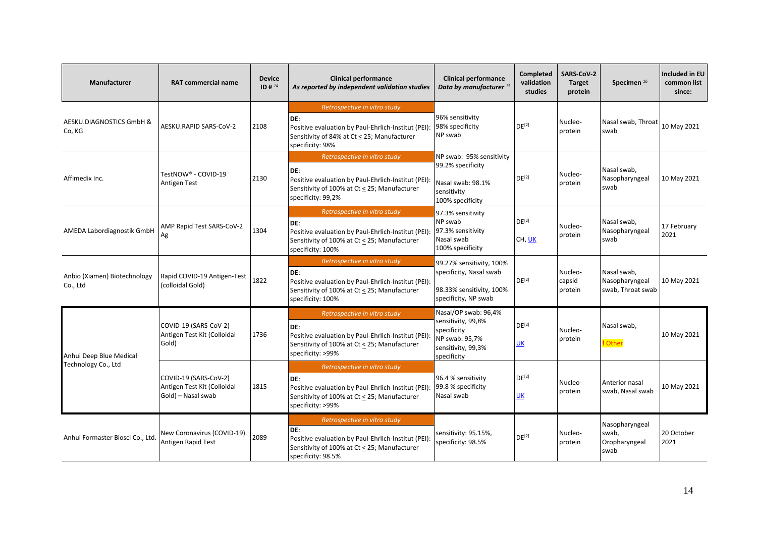| <b>Manufacturer</b>                      | <b>RAT commercial name</b>                                                 | <b>Device</b><br>ID # $^{14}$ | <b>Clinical performance</b><br>As reported by independent validation studies                                                                                     | <b>Clinical performance</b><br>Data by manufacturer <sup>15</sup>                                                | Completed<br>validation<br>studies | <b>SARS-CoV-2</b><br><b>Target</b><br>protein | Specimen <sup>16</sup>                             | Included in EU<br>common list<br>since: |
|------------------------------------------|----------------------------------------------------------------------------|-------------------------------|------------------------------------------------------------------------------------------------------------------------------------------------------------------|------------------------------------------------------------------------------------------------------------------|------------------------------------|-----------------------------------------------|----------------------------------------------------|-----------------------------------------|
| AESKU.DIAGNOSTICS GmbH &<br>Co, KG       | AESKU.RAPID SARS-CoV-2                                                     | 2108                          | Retrospective in vitro study<br>DE:<br>Positive evaluation by Paul-Ehrlich-Institut (PEI):<br>Sensitivity of 84% at Ct < 25; Manufacturer<br>specificity: 98%    | 96% sensitivity<br>98% specificity<br>NP swab                                                                    | DE <sup>[2]</sup>                  | Nucleo-<br>protein                            | Nasal swab, Throat<br>swab                         | 10 May 2021                             |
| Affimedix Inc.                           | TestNOW® - COVID-19<br>Antigen Test                                        | 2130                          | Retrospective in vitro study<br>DE:<br>Positive evaluation by Paul-Ehrlich-Institut (PEI):<br>Sensitivity of 100% at Ct < 25; Manufacturer<br>specificity: 99,2% | NP swab: 95% sensitivity<br>99.2% specificity<br>Nasal swab: 98.1%<br>sensitivity<br>100% specificity            | DE <sup>[2]</sup>                  | Nucleo-<br>protein                            | Nasal swab.<br>Nasopharyngeal<br>swab              | 10 May 2021                             |
| AMEDA Labordiagnostik GmbH               | AMP Rapid Test SARS-CoV-2<br>Ag                                            | 1304                          | Retrospective in vitro study<br>DE:<br>Positive evaluation by Paul-Ehrlich-Institut (PEI):<br>Sensitivity of 100% at Ct < 25; Manufacturer<br>specificity: 100%  | 97.3% sensitivity<br>NP swab<br>97.3% sensitivity<br>Nasal swab<br>100% specificity                              | DE <sup>[2]</sup><br>CH, UK        | Nucleo-<br>protein                            | Nasal swab,<br>Nasopharyngeal<br>swab              | 17 February<br>2021                     |
| Anbio (Xiamen) Biotechnology<br>Co., Ltd | Rapid COVID-19 Antigen-Test<br>(colloidal Gold)                            | 1822                          | Retrospective in vitro study<br>DE:<br>Positive evaluation by Paul-Ehrlich-Institut (PEI):<br>Sensitivity of 100% at Ct < 25; Manufacturer<br>specificity: 100%  | 99.27% sensitivity, 100%<br>specificity, Nasal swab<br>98.33% sensitivity, 100%<br>specificity, NP swab          | DE <sup>[2]</sup>                  | Nucleo-<br>capsid<br>protein                  | Nasal swab,<br>Nasopharyngeal<br>swab, Throat swab | 10 May 2021                             |
| Anhui Deep Blue Medical                  | COVID-19 (SARS-CoV-2)<br>Antigen Test Kit (Colloidal<br>Gold)              | 1736                          | Retrospective in vitro study<br>DE:<br>Positive evaluation by Paul-Ehrlich-Institut (PEI):<br>Sensitivity of 100% at Ct < 25; Manufacturer<br>specificity: >99%  | Nasal/OP swab: 96,4%<br>sensitivity, 99,8%<br>specificity<br>NP swab: 95,7%<br>sensitivity, 99,3%<br>specificity | DE <sup>[2]</sup><br>UK            | Nucleo-<br>protein                            | Nasal swab.<br>! Other                             | 10 May 2021                             |
| Technology Co., Ltd                      | COVID-19 (SARS-CoV-2)<br>Antigen Test Kit (Colloidal<br>Gold) - Nasal swab | 1815                          | Retrospective in vitro study<br>DE:<br>Positive evaluation by Paul-Ehrlich-Institut (PEI):<br>Sensitivity of 100% at Ct < 25; Manufacturer<br>specificity: >99%  | 96.4 % sensitivity<br>99.8 % specificity<br>Nasal swab                                                           | DE <sup>[2]</sup><br>UK            | Nucleo-<br>protein                            | Anterior nasal<br>swab, Nasal swab                 | 10 May 2021                             |
| Anhui Formaster Biosci Co., Ltd.         | New Coronavirus (COVID-19)<br>Antigen Rapid Test                           | 2089                          | Retrospective in vitro study<br>DE:<br>Positive evaluation by Paul-Ehrlich-Institut (PEI):<br>Sensitivity of 100% at Ct < 25; Manufacturer<br>specificity: 98.5% | sensitivity: 95.15%,<br>specificity: 98.5%                                                                       | DE <sup>[2]</sup>                  | Nucleo-<br>protein                            | Nasopharyngeal<br>swab.<br>Oropharyngeal<br>swab   | 20 October<br>2021                      |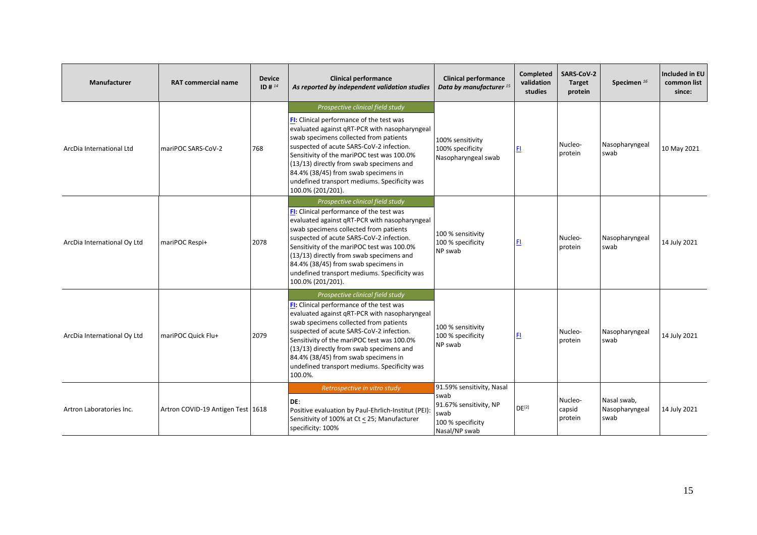| Manufacturer                | <b>RAT commercial name</b>        | <b>Device</b><br>ID # $^{14}$ | <b>Clinical performance</b><br>As reported by independent validation studies                                                                                                                                                                                                                                                                                                                                               | <b>Clinical performance</b><br>Data by manufacturer <sup>15</sup>                                         | Completed<br>validation<br>studies | <b>SARS-CoV-2</b><br><b>Target</b><br>protein | Specimen <sup>16</sup>                | Included in EU<br>common list<br>since: |
|-----------------------------|-----------------------------------|-------------------------------|----------------------------------------------------------------------------------------------------------------------------------------------------------------------------------------------------------------------------------------------------------------------------------------------------------------------------------------------------------------------------------------------------------------------------|-----------------------------------------------------------------------------------------------------------|------------------------------------|-----------------------------------------------|---------------------------------------|-----------------------------------------|
| ArcDia International Ltd    | mariPOC SARS-CoV-2                | 768                           | Prospective clinical field study<br>FI: Clinical performance of the test was<br>evaluated against gRT-PCR with nasopharyngeal<br>swab specimens collected from patients<br>suspected of acute SARS-CoV-2 infection.<br>Sensitivity of the mariPOC test was 100.0%<br>(13/13) directly from swab specimens and<br>84.4% (38/45) from swab specimens in<br>undefined transport mediums. Specificity was<br>100.0% (201/201). | 100% sensitivity<br>100% specificity<br>Nasopharyngeal swab                                               | FI.                                | Nucleo-<br>protein                            | Nasopharyngeal<br>swab                | 10 May 2021                             |
| ArcDia International Oy Ltd | mariPOC Respi+                    | 2078                          | Prospective clinical field study<br>FI: Clinical performance of the test was<br>evaluated against qRT-PCR with nasopharyngeal<br>swab specimens collected from patients<br>suspected of acute SARS-CoV-2 infection.<br>Sensitivity of the mariPOC test was 100.0%<br>(13/13) directly from swab specimens and<br>84.4% (38/45) from swab specimens in<br>undefined transport mediums. Specificity was<br>100.0% (201/201). | 100 % sensitivity<br>100 % specificity<br>NP swab                                                         | FI.                                | Nucleo-<br>protein                            | Nasopharyngeal<br>swab                | 14 July 2021                            |
| ArcDia International Oy Ltd | mariPOC Quick Flu+                | 2079                          | Prospective clinical field study<br>FI: Clinical performance of the test was<br>evaluated against qRT-PCR with nasopharyngeal<br>swab specimens collected from patients<br>suspected of acute SARS-CoV-2 infection.<br>Sensitivity of the mariPOC test was 100.0%<br>(13/13) directly from swab specimens and<br>84.4% (38/45) from swab specimens in<br>undefined transport mediums. Specificity was<br>100.0%.           | 100 % sensitivity<br>100 % specificity<br>NP swab                                                         | FI.                                | Nucleo-<br>protein                            | Nasopharyngeal<br>swab                | 14 July 2021                            |
| Artron Laboratories Inc.    | Artron COVID-19 Antigen Test 1618 |                               | Retrospective in vitro study<br>DE:<br>Positive evaluation by Paul-Ehrlich-Institut (PEI):<br>Sensitivity of 100% at Ct < 25; Manufacturer<br>specificity: 100%                                                                                                                                                                                                                                                            | 91.59% sensitivity, Nasal<br>swab<br>91.67% sensitivity, NP<br>swab<br>100 % specificity<br>Nasal/NP swab | DF <sup>[2]</sup>                  | Nucleo-<br>capsid<br>protein                  | Nasal swab,<br>Nasopharyngeal<br>swab | 14 July 2021                            |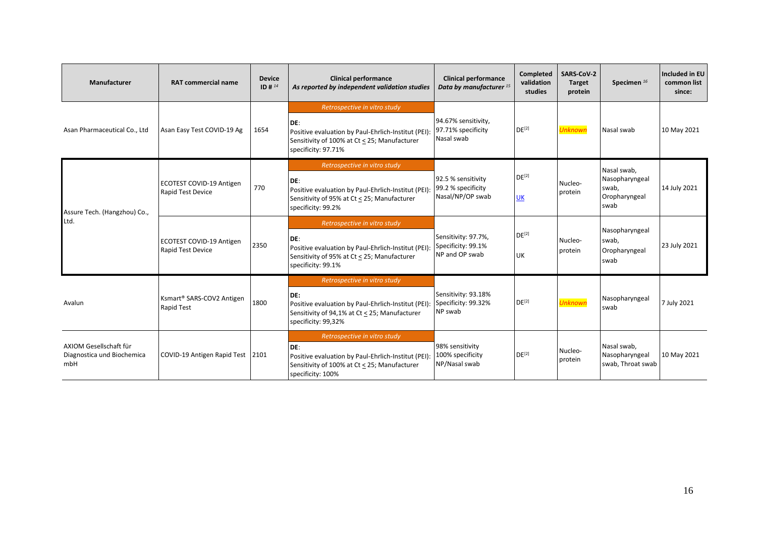| Manufacturer                                                | <b>RAT commercial name</b>                                 | <b>Device</b><br>ID # $^{14}$ | <b>Clinical performance</b><br>As reported by independent validation studies                                                                                        | <b>Clinical performance</b><br>Data by manufacturer <sup>15</sup> | Completed<br>validation<br>studies | <b>SARS CoV-2</b><br><b>Target</b><br>protein | Specimen <sup>16</sup>                                          | Included in EU<br>common list<br>since: |
|-------------------------------------------------------------|------------------------------------------------------------|-------------------------------|---------------------------------------------------------------------------------------------------------------------------------------------------------------------|-------------------------------------------------------------------|------------------------------------|-----------------------------------------------|-----------------------------------------------------------------|-----------------------------------------|
| Asan Pharmaceutical Co., Ltd                                | Asan Easy Test COVID-19 Ag                                 | 1654                          | Retrospective in vitro study<br>DE:<br>Positive evaluation by Paul-Ehrlich-Institut (PEI):<br>Sensitivity of 100% at Ct < 25; Manufacturer<br>specificity: 97.71%   | 94.67% sensitivity,<br>97.71% specificity<br>Nasal swab           | $DE^{[2]}$                         | <b>Unknown</b>                                | Nasal swab                                                      | 10 May 2021                             |
| Assure Tech. (Hangzhou) Co.,<br>Ltd.                        | ECOTEST COVID-19 Antigen<br><b>Rapid Test Device</b>       | 770                           | Retrospective in vitro study<br>IDE:<br>Positive evaluation by Paul-Ehrlich-Institut (PEI):<br>Sensitivity of 95% at Ct < 25; Manufacturer<br>specificity: 99.2%    | 92.5 % sensitivity<br>99.2 % specificity<br>Nasal/NP/OP swab      | DE <sup>[2]</sup><br><b>UK</b>     | Nucleo-<br>protein                            | Nasal swab,<br>Nasopharyngeal<br>swab,<br>Oropharyngeal<br>swab | 14 July 2021                            |
|                                                             | ECOTEST COVID-19 Antigen<br>Rapid Test Device              | 2350                          | Retrospective in vitro study<br>DE:<br>Positive evaluation by Paul-Ehrlich-Institut (PEI):<br>Sensitivity of 95% at Ct < 25; Manufacturer<br>specificity: 99.1%     | Sensitivity: 97.7%,<br>Specificity: 99.1%<br>NP and OP swab       | DE <sup>[2]</sup><br><b>UK</b>     | Nucleo-<br>protein                            | Nasopharyngeal<br>swab,<br>Oropharyngeal<br>swab                | 23 July 2021                            |
| Avalun                                                      | Ksmart <sup>®</sup> SARS-COV2 Antigen<br><b>Rapid Test</b> | 1800                          | Retrospective in vitro study<br>IDE:<br>Positive evaluation by Paul-Ehrlich-Institut (PEI):<br>Sensitivity of 94,1% at Ct < 25; Manufacturer<br>specificity: 99,32% | Sensitivity: 93.18%<br>Specificity: 99.32%<br>NP swab             | DE <sup>[2]</sup>                  | <b>Unknown</b>                                | Nasopharyngeal<br>swab                                          | 7 July 2021                             |
| AXIOM Gesellschaft für<br>Diagnostica und Biochemica<br>mbH | COVID-19 Antigen Rapid Test 2101                           |                               | Retrospective in vitro study<br>DE:<br>Positive evaluation by Paul-Ehrlich-Institut (PEI):<br>Sensitivity of 100% at Ct < 25; Manufacturer<br>specificity: 100%     | 98% sensitivity<br>100% specificity<br>NP/Nasal swab              | DE <sup>[2]</sup>                  | Nucleo-<br>protein                            | Nasal swab,<br>Nasopharyngeal<br>swab, Throat swab              | 10 May 2021                             |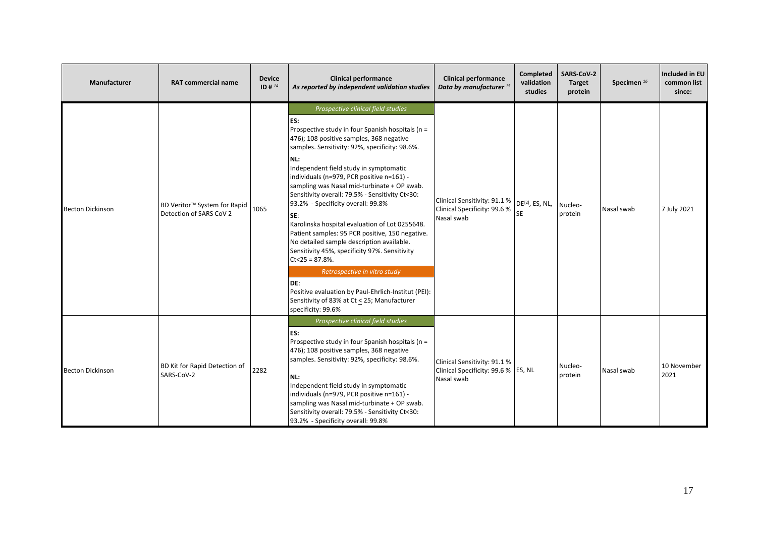| Manufacturer            | <b>RAT commercial name</b>                                          | <b>Device</b><br>ID # $^{14}$ | <b>Clinical performance</b><br>As reported by independent validation studies                                                                                                                                                                                                                                                                                                                                                                                                                                                                                                                                                                                                                                                                                                                                                        | <b>Clinical performance</b><br>Data by manufacturer <sup>15</sup>                                        | Completed<br>validation<br>studies | SARS-CoV-2<br><b>Target</b><br>protein | Specimen <sup>16</sup> | Included in EU<br>common list<br>since: |
|-------------------------|---------------------------------------------------------------------|-------------------------------|-------------------------------------------------------------------------------------------------------------------------------------------------------------------------------------------------------------------------------------------------------------------------------------------------------------------------------------------------------------------------------------------------------------------------------------------------------------------------------------------------------------------------------------------------------------------------------------------------------------------------------------------------------------------------------------------------------------------------------------------------------------------------------------------------------------------------------------|----------------------------------------------------------------------------------------------------------|------------------------------------|----------------------------------------|------------------------|-----------------------------------------|
| <b>Becton Dickinson</b> | BD Veritor <sup>™</sup> System for Rapid<br>Detection of SARS CoV 2 | 1065                          | Prospective clinical field studies<br>ES:<br>Prospective study in four Spanish hospitals (n =<br>476); 108 positive samples, 368 negative<br>samples. Sensitivity: 92%, specificity: 98.6%.<br>NL:<br>Independent field study in symptomatic<br>individuals (n=979, PCR positive n=161) -<br>sampling was Nasal mid-turbinate + OP swab.<br>Sensitivity overall: 79.5% - Sensitivity Ct<30:<br>93.2% - Specificity overall: 99.8%<br>SE:<br>Karolinska hospital evaluation of Lot 0255648.<br>Patient samples: 95 PCR positive, 150 negative.<br>No detailed sample description available.<br>Sensitivity 45%, specificity 97%. Sensitivity<br>$Ct<25 = 87.8%$ .<br>Retrospective in vitro study<br>DE:<br>Positive evaluation by Paul-Ehrlich-Institut (PEI):<br>Sensitivity of 83% at Ct < 25; Manufacturer<br>specificity: 99.6% | Clinical Sensitivity: 91.1 %   DE <sup>[2]</sup> , ES, NL,<br>Clinical Specificity: 99.6 %<br>Nasal swab | <b>SE</b>                          | Nucleo-<br>protein                     | Nasal swab             | 7 July 2021                             |
| <b>Becton Dickinson</b> | BD Kit for Rapid Detection of<br>SARS-CoV-2                         | 2282                          | Prospective clinical field studies<br>ES:<br>Prospective study in four Spanish hospitals (n =<br>476); 108 positive samples, 368 negative<br>samples. Sensitivity: 92%, specificity: 98.6%.<br>NL:<br>Independent field study in symptomatic<br>individuals (n=979, PCR positive n=161) -<br>sampling was Nasal mid-turbinate + OP swab.<br>Sensitivity overall: 79.5% - Sensitivity Ct<30:<br>93.2% - Specificity overall: 99.8%                                                                                                                                                                                                                                                                                                                                                                                                   | Clinical Sensitivity: 91.1 %<br>Clinical Specificity: 99.6 % ES, NL<br>Nasal swab                        |                                    | Nucleo-<br>protein                     | Nasal swab             | 10 November<br>2021                     |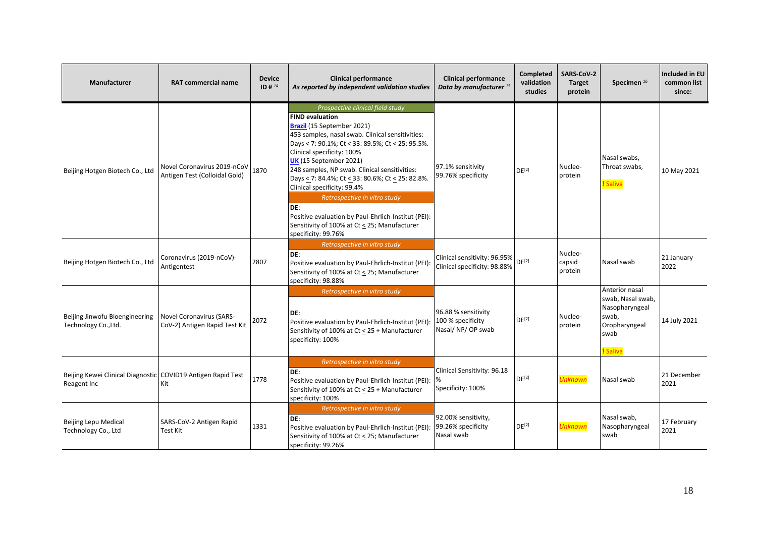| Manufacturer                                                                | <b>RAT commercial name</b>                                       | <b>Device</b><br>ID # $^{14}$ | <b>Clinical performance</b><br>As reported by independent validation studies                                                                                                                                                                                                                                                                                                                                                                                                                                                                                      | <b>Clinical performance</b><br>Data by manufacturer <sup>15</sup> | <b>Completed</b><br>validation<br>studies | SARS-CoV-2<br><b>Target</b><br>protein | Specimen <sup>16</sup>                                                                              | Included in EU<br>common list<br>since: |
|-----------------------------------------------------------------------------|------------------------------------------------------------------|-------------------------------|-------------------------------------------------------------------------------------------------------------------------------------------------------------------------------------------------------------------------------------------------------------------------------------------------------------------------------------------------------------------------------------------------------------------------------------------------------------------------------------------------------------------------------------------------------------------|-------------------------------------------------------------------|-------------------------------------------|----------------------------------------|-----------------------------------------------------------------------------------------------------|-----------------------------------------|
| Beijing Hotgen Biotech Co., Ltd                                             | Novel Coronavirus 2019-nCoV<br>Antigen Test (Colloidal Gold)     | 1870                          | Prospective clinical field study<br><b>FIND evaluation</b><br>Brazil (15 September 2021)<br>453 samples, nasal swab. Clinical sensitivities:<br>Days < 7: 90.1%; Ct < 33: 89.5%; Ct < 25: 95.5%.<br>Clinical specificity: 100%<br>UK (15 September 2021)<br>248 samples, NP swab. Clinical sensitivities:<br>Days < 7: 84.4%; Ct < 33: 80.6%; Ct < 25: 82.8%.<br>Clinical specificity: 99.4%<br>Retrospective in vitro study<br>DE:<br>Positive evaluation by Paul-Ehrlich-Institut (PEI):<br>Sensitivity of 100% at Ct < 25; Manufacturer<br>specificity: 99.76% | 97.1% sensitivity<br>99.76% specificity                           | DE <sup>[2]</sup>                         | Nucleo-<br>protein                     | Nasal swabs,<br>Throat swabs,<br>! Saliva                                                           | 10 May 2021                             |
| Beijing Hotgen Biotech Co., Ltd                                             | Coronavirus (2019-nCoV)-<br>Antigentest                          | 2807                          | Retrospective in vitro study<br>DE:<br>Positive evaluation by Paul-Ehrlich-Institut (PEI):<br>Sensitivity of 100% at Ct < 25; Manufacturer<br>specificity: 98.88%                                                                                                                                                                                                                                                                                                                                                                                                 | Clinical sensitivity: 96.95%<br>Clinical specificity: 98.88%      | DF <sup>[2]</sup>                         | Nucleo-<br>capsid<br>protein           | Nasal swab                                                                                          | 21 January<br>2022                      |
| Beijing Jinwofu Bioengineering<br>Technology Co., Ltd.                      | <b>Novel Coronavirus (SARS-</b><br>CoV-2) Antigen Rapid Test Kit | 2072                          | Retrospective in vitro study<br>DE:<br>Positive evaluation by Paul-Ehrlich-Institut (PEI):<br>Sensitivity of 100% at Ct ≤ 25 + Manufacturer<br>specificity: 100%                                                                                                                                                                                                                                                                                                                                                                                                  | 96.88 % sensitivity<br>100 % specificity<br>Nasal/ NP/ OP swab    | DE <sup>[2]</sup>                         | Nucleo-<br>protein                     | Anterior nasal<br>swab, Nasal swab,<br>Nasopharyngeal<br>swab,<br>Oropharyngeal<br>swab<br>! Saliva | 14 July 2021                            |
| Beijing Kewei Clinical Diagnostic COVID19 Antigen Rapid Test<br>Reagent Inc | Kit                                                              | 1778                          | Retrospective in vitro study<br>DE:<br>Positive evaluation by Paul-Ehrlich-Institut (PEI):<br>Sensitivity of 100% at Ct < 25 + Manufacturer<br>specificity: 100%                                                                                                                                                                                                                                                                                                                                                                                                  | Clinical Sensitivity: 96.18<br>%<br>Specificity: 100%             | DE <sup>[2]</sup>                         | <b>Unknown</b>                         | Nasal swab                                                                                          | 21 December<br>2021                     |
| <b>Beijing Lepu Medical</b><br>Technology Co., Ltd                          | SARS-CoV-2 Antigen Rapid<br><b>Test Kit</b>                      | 1331                          | Retrospective in vitro study<br>DE:<br>Positive evaluation by Paul-Ehrlich-Institut (PEI):<br>Sensitivity of 100% at Ct < 25; Manufacturer<br>specificity: 99.26%                                                                                                                                                                                                                                                                                                                                                                                                 | 92.00% sensitivity,<br>99.26% specificity<br>Nasal swab           | $DE^{[2]}$                                | Unknown                                | Nasal swab,<br>Nasopharyngeal<br>swab                                                               | 17 February<br>2021                     |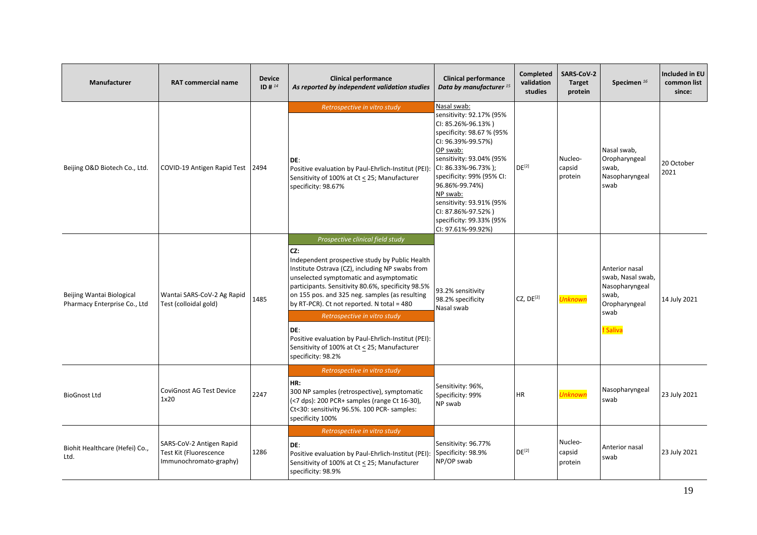| <b>Manufacturer</b>                                       | <b>RAT commercial name</b>                                                   | <b>Device</b><br>ID # 14 | <b>Clinical performance</b><br>As reported by independent validation studies                                                                                                                                                                                                                                                                                                                                                                                                                                      | <b>Clinical performance</b><br>Data by manufacturer <sup>15</sup>                                                                                                                                                                                                                                                                              | Completed<br>validation<br>studies | SARS-CoV-2<br><b>Target</b><br>protein | Specimen <sup>16</sup>                                                                              | Included in EU<br>common list<br>since: |
|-----------------------------------------------------------|------------------------------------------------------------------------------|--------------------------|-------------------------------------------------------------------------------------------------------------------------------------------------------------------------------------------------------------------------------------------------------------------------------------------------------------------------------------------------------------------------------------------------------------------------------------------------------------------------------------------------------------------|------------------------------------------------------------------------------------------------------------------------------------------------------------------------------------------------------------------------------------------------------------------------------------------------------------------------------------------------|------------------------------------|----------------------------------------|-----------------------------------------------------------------------------------------------------|-----------------------------------------|
| Beijing O&D Biotech Co., Ltd.                             | COVID-19 Antigen Rapid Test   2494                                           |                          | Retrospective in vitro study<br>DE:<br>Positive evaluation by Paul-Ehrlich-Institut (PEI):<br>Sensitivity of 100% at Ct < 25; Manufacturer<br>specificity: 98.67%                                                                                                                                                                                                                                                                                                                                                 | Nasal swab:<br>sensitivity: 92.17% (95%<br>CI: 85.26%-96.13%)<br>specificity: 98.67 % (95%<br>CI: 96.39%-99.57%)<br>OP swab:<br>sensitivity: 93.04% (95%<br>CI: 86.33%-96.73%);<br>specificity: 99% (95% CI:<br>96.86%-99.74%)<br>NP swab:<br>sensitivity: 93.91% (95%<br>CI: 87.86%-97.52%)<br>specificity: 99.33% (95%<br>CI: 97.61%-99.92%) | $DE^{[2]}$                         | Nucleo-<br>capsid<br>protein           | Nasal swab,<br>Oropharyngeal<br>swab,<br>Nasopharyngeal<br>swab                                     | 20 October<br>2021                      |
| Beijing Wantai Biological<br>Pharmacy Enterprise Co., Ltd | Wantai SARS-CoV-2 Ag Rapid<br>Test (colloidal gold)                          | 1485                     | Prospective clinical field study<br>CZ:<br>Independent prospective study by Public Health<br>Institute Ostrava (CZ), including NP swabs from<br>unselected symptomatic and asymptomatic<br>participants. Sensitivity 80.6%, specificity 98.5%<br>on 155 pos. and 325 neg. samples (as resulting<br>by RT-PCR). Ct not reported. N total = 480<br>Retrospective in vitro study<br>DE:<br>Positive evaluation by Paul-Ehrlich-Institut (PEI):<br>Sensitivity of 100% at Ct < 25; Manufacturer<br>specificity: 98.2% | 93.2% sensitivity<br>98.2% specificity<br>Nasal swab                                                                                                                                                                                                                                                                                           | CZ, DE <sup>[2]</sup>              | <b>Unknown</b>                         | Anterior nasal<br>swab, Nasal swab,<br>Nasopharyngeal<br>swab,<br>Oropharyngeal<br>swab<br>! Saliva | 14 July 2021                            |
| <b>BioGnost Ltd</b>                                       | <b>CoviGnost AG Test Device</b><br>1x20                                      | 2247                     | Retrospective in vitro study<br>HR:<br>300 NP samples (retrospective), symptomatic<br>(<7 dps): 200 PCR+ samples (range Ct 16-30),<br>Ct<30: sensitivity 96.5%. 100 PCR- samples:<br>specificity 100%                                                                                                                                                                                                                                                                                                             | Sensitivity: 96%,<br>Specificity: 99%<br>NP swab                                                                                                                                                                                                                                                                                               | <b>HR</b>                          | <b>Unknown</b>                         | Nasopharyngeal<br>swab                                                                              | 23 July 2021                            |
| Biohit Healthcare (Hefei) Co.,<br>Ltd.                    | SARS-CoV-2 Antigen Rapid<br>Test Kit (Fluorescence<br>Immunochromato-graphy) | 1286                     | Retrospective in vitro study<br>DE:<br>Positive evaluation by Paul-Ehrlich-Institut (PEI):<br>Sensitivity of 100% at Ct < 25; Manufacturer<br>specificity: 98.9%                                                                                                                                                                                                                                                                                                                                                  | Sensitivity: 96.77%<br>Specificity: 98.9%<br>NP/OP swab                                                                                                                                                                                                                                                                                        | $DE^{[2]}$                         | Nucleo-<br>capsid<br>protein           | Anterior nasal<br>swab                                                                              | 23 July 2021                            |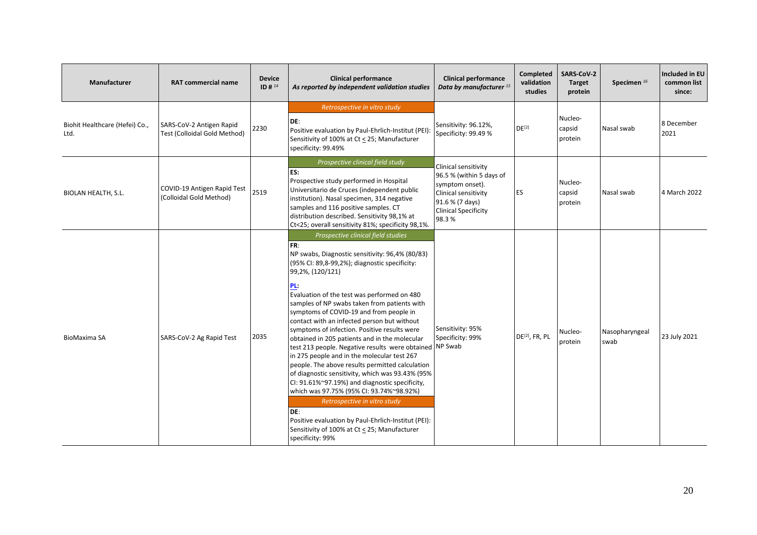| <b>Manufacturer</b>                    | <b>RAT commercial name</b>                               | <b>Device</b><br>ID # $^{14}$ | <b>Clinical performance</b><br>As reported by independent validation studies                                                                                                                                                                                                                                                                                                                                                                                                                                                                                                                                                                                                                                                                                                                                                                                                                                                                        | <b>Clinical performance</b><br>Data by manufacturer <sup>15</sup>                                                                                      | <b>Completed</b><br>validation<br>studies | <b>SARS-CoV-2</b><br><b>Target</b><br>protein | Specimen <sup>16</sup> | <b>Included in EU</b><br>common list<br>since: |
|----------------------------------------|----------------------------------------------------------|-------------------------------|-----------------------------------------------------------------------------------------------------------------------------------------------------------------------------------------------------------------------------------------------------------------------------------------------------------------------------------------------------------------------------------------------------------------------------------------------------------------------------------------------------------------------------------------------------------------------------------------------------------------------------------------------------------------------------------------------------------------------------------------------------------------------------------------------------------------------------------------------------------------------------------------------------------------------------------------------------|--------------------------------------------------------------------------------------------------------------------------------------------------------|-------------------------------------------|-----------------------------------------------|------------------------|------------------------------------------------|
| Biohit Healthcare (Hefei) Co.,<br>Ltd. | SARS-CoV-2 Antigen Rapid<br>Test (Colloidal Gold Method) | 2230                          | Retrospective in vitro study<br>DE:<br>Positive evaluation by Paul-Ehrlich-Institut (PEI):<br>Sensitivity of 100% at Ct < 25; Manufacturer<br>specificity: 99.49%                                                                                                                                                                                                                                                                                                                                                                                                                                                                                                                                                                                                                                                                                                                                                                                   | Sensitivity: 96.12%,<br>Specificity: 99.49 %                                                                                                           | $DE^{[2]}$                                | Nucleo-<br>capsid<br>protein                  | Nasal swab             | 8 December<br>2021                             |
| <b>BIOLAN HEALTH, S.L.</b>             | COVID-19 Antigen Rapid Test<br>(Colloidal Gold Method)   | 2519                          | Prospective clinical field study<br>ES:<br>Prospective study performed in Hospital<br>Universitario de Cruces (independent public<br>institution). Nasal specimen, 314 negative<br>samples and 116 positive samples. CT<br>distribution described. Sensitivity 98,1% at<br>Ct<25; overall sensitivity 81%; specificity 98,1%.                                                                                                                                                                                                                                                                                                                                                                                                                                                                                                                                                                                                                       | Clinical sensitivity<br>96.5 % (within 5 days of<br>symptom onset).<br>Clinical sensitivity<br>91.6 % (7 days)<br><b>Clinical Specificity</b><br>98.3% | <b>ES</b>                                 | Nucleo-<br>capsid<br>protein                  | Nasal swab             | 4 March 2022                                   |
| <b>BioMaxima SA</b>                    | SARS-CoV-2 Ag Rapid Test                                 | 2035                          | Prospective clinical field studies<br>FR:<br>NP swabs, Diagnostic sensitivity: 96,4% (80/83)<br>(95% CI: 89,8-99,2%); diagnostic specificity:<br>99,2%, (120/121)<br>PL:<br>Evaluation of the test was performed on 480<br>samples of NP swabs taken from patients with<br>symptoms of COVID-19 and from people in<br>contact with an infected person but without<br>symptoms of infection. Positive results were<br>obtained in 205 patients and in the molecular<br>test 213 people. Negative results were obtained NP Swab<br>in 275 people and in the molecular test 267<br>people. The above results permitted calculation<br>of diagnostic sensitivity, which was 93.43% (95%<br>CI: 91.61%~97.19%) and diagnostic specificity,<br>which was 97.75% (95% CI: 93.74%~98.92%)<br>Retrospective in vitro study<br>DE:<br>Positive evaluation by Paul-Ehrlich-Institut (PEI):<br>Sensitivity of 100% at Ct < 25; Manufacturer<br>specificity: 99% | Sensitivity: 95%<br>Specificity: 99%                                                                                                                   | DE <sup>[2]</sup> , FR, PL                | Nucleo-<br>protein                            | Nasopharyngeal<br>swab | 23 July 2021                                   |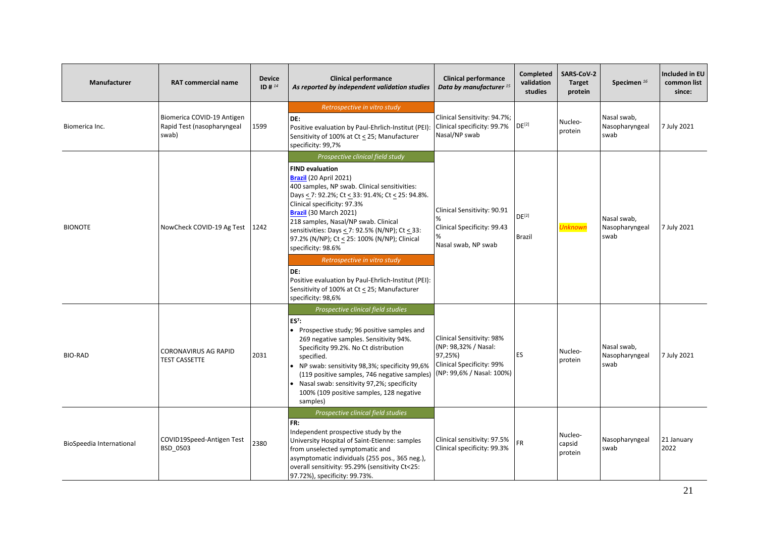| Manufacturer             | <b>RAT commercial name</b>                                        | <b>Device</b><br>ID # 14 | <b>Clinical performance</b><br>As reported by independent validation studies                                                                                                                                                                                                                                                                                                                                                                                                                                                                                                                   | <b>Clinical performance</b><br>Data by manufacturer <sup>15</sup>                                                             | Completed<br>validation<br>studies | SARS-CoV-2<br><b>Target</b><br>protein | Specimen $^{16}$                      | <b>Included in EU</b><br>common list<br>since: |
|--------------------------|-------------------------------------------------------------------|--------------------------|------------------------------------------------------------------------------------------------------------------------------------------------------------------------------------------------------------------------------------------------------------------------------------------------------------------------------------------------------------------------------------------------------------------------------------------------------------------------------------------------------------------------------------------------------------------------------------------------|-------------------------------------------------------------------------------------------------------------------------------|------------------------------------|----------------------------------------|---------------------------------------|------------------------------------------------|
| Biomerica Inc.           | Biomerica COVID-19 Antigen<br>Rapid Test (nasopharyngeal<br>swab) | 1599                     | Retrospective in vitro study<br>DE:<br>Positive evaluation by Paul-Ehrlich-Institut (PEI):<br>Sensitivity of 100% at Ct < 25; Manufacturer<br>specificity: 99,7%                                                                                                                                                                                                                                                                                                                                                                                                                               | Clinical Sensitivity: 94.7%;<br>Clinical specificity: 99.7%<br>Nasal/NP swab                                                  | $DE^{[2]}$                         | Nucleo-<br>protein                     | Nasal swab,<br>Nasopharyngeal<br>swab | 7 July 2021                                    |
| <b>BIONOTE</b>           | NowCheck COVID-19 Ag Test 1242                                    |                          | Prospective clinical field study<br><b>FIND evaluation</b><br><b>Brazil</b> (20 April 2021)<br>400 samples, NP swab. Clinical sensitivities:<br>Days < 7: 92.2%; Ct < 33: 91.4%; Ct < 25: 94.8%.<br>Clinical specificity: 97.3%<br>Brazil (30 March 2021)<br>218 samples, Nasal/NP swab. Clinical<br>sensitivities: Days < 7: 92.5% (N/NP); Ct < 33:<br>97.2% (N/NP); Ct < 25: 100% (N/NP); Clinical<br>specificity: 98.6%<br>Retrospective in vitro study<br>DE:<br>Positive evaluation by Paul-Ehrlich-Institut (PEI):<br>Sensitivity of 100% at Ct < 25; Manufacturer<br>specificity: 98,6% | Clinical Sensitivity: 90.91<br>%<br>Clinical Specificity: 99.43<br>Nasal swab, NP swab                                        | $DE^{[2]}$<br><b>Brazil</b>        | <b>Unknown</b>                         | Nasal swab,<br>Nasopharyngeal<br>swab | 7 July 2021                                    |
| <b>BIO-RAD</b>           | <b>CORONAVIRUS AG RAPID</b><br><b>TEST CASSETTE</b>               | 2031                     | Prospective clinical field studies<br>$ES7$ :<br>• Prospective study; 96 positive samples and<br>269 negative samples. Sensitivity 94%.<br>Specificity 99.2%. No Ct distribution<br>specified.<br>NP swab: sensitivity 98,3%; specificity 99,6%<br>(119 positive samples, 746 negative samples)<br>Nasal swab: sensitivity 97,2%; specificity<br>100% (109 positive samples, 128 negative<br>samples)                                                                                                                                                                                          | <b>Clinical Sensitivity: 98%</b><br>(NP: 98,32% / Nasal:<br>97.25%)<br>Clinical Specificity: 99%<br>(NP: 99,6% / Nasal: 100%) | ES                                 | Nucleo-<br>protein                     | Nasal swab,<br>Nasopharyngeal<br>swab | 7 July 2021                                    |
| BioSpeedia International | COVID19Speed-Antigen Test<br>BSD_0503                             | 2380                     | Prospective clinical field studies<br>FR:<br>Independent prospective study by the<br>University Hospital of Saint-Etienne: samples<br>from unselected symptomatic and<br>asymptomatic individuals (255 pos., 365 neg.),<br>overall sensitivity: 95.29% (sensitivity Ct<25:<br>97.72%), specificity: 99.73%.                                                                                                                                                                                                                                                                                    | Clinical sensitivity: 97.5%<br>Clinical specificity: 99.3%                                                                    | <b>FR</b>                          | Nucleo-<br>capsid<br>protein           | Nasopharyngeal<br>swab                | 21 January<br>2022                             |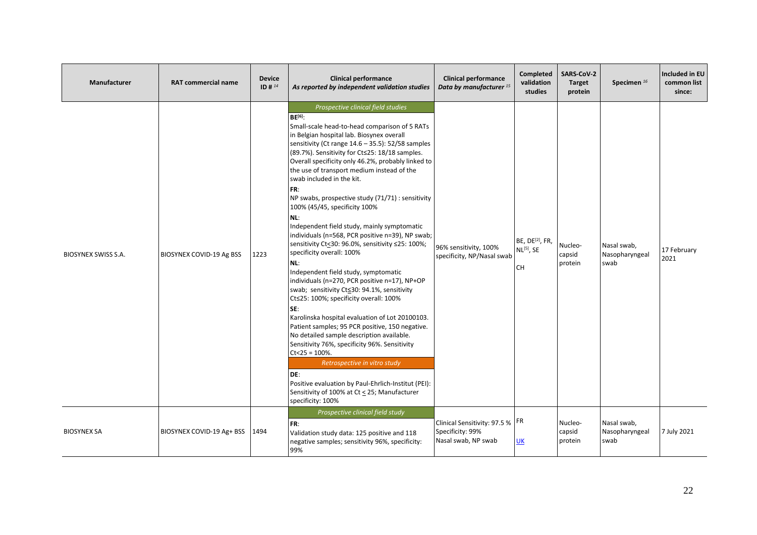| Manufacturer               | <b>RAT commercial name</b> | <b>Device</b><br>ID # $^{14}$ | <b>Clinical performance</b><br>As reported by independent validation studies                                                                                                                                                                                                                                                                                                                                                                                                                                                                                                                                                                                                                                                                                                                                                                                                                                                                                                                                                                                                                                                                                                                                                                                                        | <b>Clinical performance</b><br>Data by manufacturer <sup>15</sup>            | <b>Completed</b><br>validation<br>studies                          | <b>SARS-CoV-2</b><br><b>Target</b><br>protein | Specimen <sup>16</sup>                | Included in EU<br>common list<br>since: |
|----------------------------|----------------------------|-------------------------------|-------------------------------------------------------------------------------------------------------------------------------------------------------------------------------------------------------------------------------------------------------------------------------------------------------------------------------------------------------------------------------------------------------------------------------------------------------------------------------------------------------------------------------------------------------------------------------------------------------------------------------------------------------------------------------------------------------------------------------------------------------------------------------------------------------------------------------------------------------------------------------------------------------------------------------------------------------------------------------------------------------------------------------------------------------------------------------------------------------------------------------------------------------------------------------------------------------------------------------------------------------------------------------------|------------------------------------------------------------------------------|--------------------------------------------------------------------|-----------------------------------------------|---------------------------------------|-----------------------------------------|
| <b>BIOSYNEX SWISS S.A.</b> | BIOSYNEX COVID-19 Ag BSS   | 1223                          | Prospective clinical field studies<br>BF <sup>[6]</sup><br>Small-scale head-to-head comparison of 5 RATs<br>in Belgian hospital lab. Biosynex overall<br>sensitivity (Ct range 14.6 - 35.5): 52/58 samples<br>(89.7%). Sensitivity for Ct≤25: 18/18 samples.<br>Overall specificity only 46.2%, probably linked to<br>the use of transport medium instead of the<br>swab included in the kit.<br>FR:<br>NP swabs, prospective study (71/71) : sensitivity<br>100% (45/45, specificity 100%<br>NL:<br>Independent field study, mainly symptomatic<br>individuals (n=568, PCR positive n=39), NP swab;<br>sensitivity Ct<30: 96.0%, sensitivity ≤25: 100%;<br>specificity overall: 100%<br>NL:<br>Independent field study, symptomatic<br>individuals (n=270, PCR positive n=17), NP+OP<br>swab; sensitivity Ct≤30: 94.1%, sensitivity<br>Ct≤25: 100%; specificity overall: 100%<br>SE:<br>Karolinska hospital evaluation of Lot 20100103.<br>Patient samples; 95 PCR positive, 150 negative.<br>No detailed sample description available.<br>Sensitivity 76%, specificity 96%. Sensitivity<br>$Ct < 25 = 100\%$ .<br>Retrospective in vitro study<br>DE:<br>Positive evaluation by Paul-Ehrlich-Institut (PEI):<br>Sensitivity of 100% at Ct < 25; Manufacturer<br>specificity: 100% | 96% sensitivity, 100%<br>specificity, NP/Nasal swab                          | BE, DE <sup>[2]</sup> , FR,<br>NL <sup>[5]</sup> , SE<br><b>CH</b> | Nucleo-<br>capsid<br>protein                  | Nasal swab,<br>Nasopharyngeal<br>swab | 17 February<br>2021                     |
| <b>BIOSYNEX SA</b>         | BIOSYNEX COVID-19 Ag+ BSS  | 1494                          | Prospective clinical field study<br>FR:<br>Validation study data: 125 positive and 118<br>negative samples; sensitivity 96%, specificity:<br>99%                                                                                                                                                                                                                                                                                                                                                                                                                                                                                                                                                                                                                                                                                                                                                                                                                                                                                                                                                                                                                                                                                                                                    | Clinical Sensitivity: 97.5 %   FR<br>Specificity: 99%<br>Nasal swab, NP swab | UK                                                                 | Nucleo-<br>capsid<br>protein                  | Nasal swab,<br>Nasopharyngeal<br>swab | 7 July 2021                             |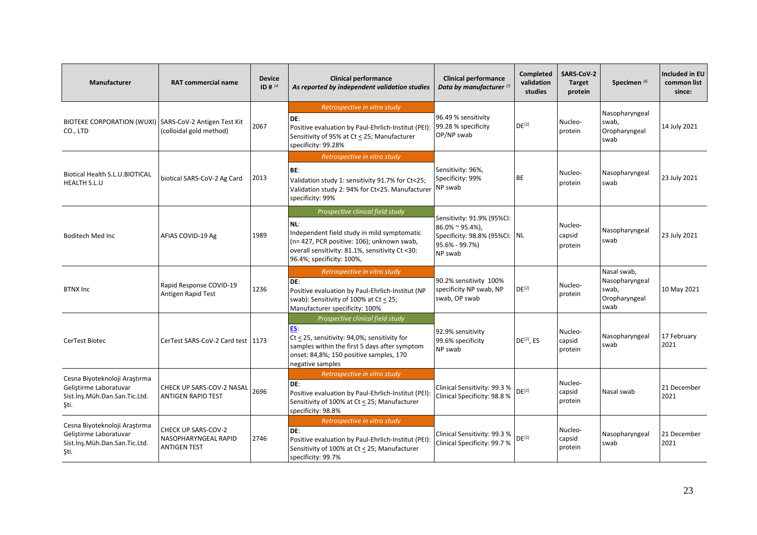| <b>Manufacturer</b>                                                                                    | <b>RAT commercial name</b>                                         | <b>Device</b><br>ID # 14 | <b>Clinical performance</b><br>As reported by independent validation studies                                                                                                                                         | <b>Clinical performance</b><br>Data by manufacturer <sup>15</sup>                                              | Completed<br>validation<br>studies | <b>SARS CoV-2</b><br><b>Target</b><br>protein | Specimen <sup>16</sup>                                          | <b>Included in EU</b><br>common list<br>since: |
|--------------------------------------------------------------------------------------------------------|--------------------------------------------------------------------|--------------------------|----------------------------------------------------------------------------------------------------------------------------------------------------------------------------------------------------------------------|----------------------------------------------------------------------------------------------------------------|------------------------------------|-----------------------------------------------|-----------------------------------------------------------------|------------------------------------------------|
| BIOTEKE CORPORATION (WUXI)   SARS-CoV-2 Antigen Test Kit<br>CO., LTD                                   | (colloidal gold method)                                            | 2067                     | Retrospective in vitro study<br>DE:<br>Positive evaluation by Paul-Ehrlich-Institut (PEI):<br>Sensitivity of 95% at Ct < 25; Manufacturer<br>specificity: 99.28%                                                     | 96.49 % sensitivity<br>99.28 % specificity<br>OP/NP swab                                                       | DE <sup>[2]</sup>                  | Nucleo-<br>protein                            | Nasopharyngeal<br>swab,<br>Oropharyngeal<br>swab                | 14 July 2021                                   |
| Biotical Health S.L.U.BIOTICAL<br><b>HEALTH S.L.U</b>                                                  | biotical SARS-CoV-2 Ag Card                                        | 2013                     | Retrospective in vitro study<br>BE:<br>Validation study 1: sensitivity 91.7% for Ct<25;<br>Validation study 2: 94% for Ct<25. Manufacturer<br>specificity: 99%                                                       | Sensitivity: 96%,<br>Specificity: 99%<br>NP swab                                                               | BE                                 | Nucleo-<br>protein                            | Nasopharyngeal<br>swab                                          | 23 July 2021                                   |
| <b>Boditech Med Inc</b>                                                                                | AFIAS COVID-19 Ag                                                  | 1989                     | Prospective clinical field study<br>NL:<br>Independent field study in mild symptomatic<br>(n= 427, PCR positive: 106); unknown swab,<br>overall sensitivity: 81.1%, sensitivity Ct <30:<br>96.4%; specificity: 100%, | Sensitivity: 91.9% (95%CI:<br>$86.0\%$ ~ 95.4%),<br>Specificity: 98.8% (95%CI: NL<br>95.6% - 99.7%)<br>NP swab |                                    | Nucleo-<br>capsid<br>protein                  | Nasopharyngeal<br>swab                                          | 23 July 2021                                   |
| <b>BTNX Inc</b>                                                                                        | Rapid Response COVID-19<br>Antigen Rapid Test                      | 1236                     | Retrospective in vitro study<br>DE:<br>Positive evaluation by Paul-Ehrlich-Institut (NP<br>swab): Sensitivity of 100% at Ct < 25;<br>Manufacturer specificity: 100%                                                  | 90.2% sensitivity 100%<br>specificity NP swab, NP<br>swab, OP swab                                             | $DE^{[2]}$                         | Nucleo-<br>protein                            | Nasal swab,<br>Nasopharyngeal<br>swab,<br>Oropharyngeal<br>swab | 10 May 2021                                    |
| CerTest Biotec                                                                                         | CerTest SARS-CoV-2 Card test   1173                                |                          | Prospective clinical field study<br>ES.<br>Ct < 25, sensitivity: 94,0%; sensitivity for<br>samples within the first 5 days after symptom<br>onset: 84,8%; 150 positive samples, 170<br>negative samples              | 92.9% sensitivity<br>99.6% specificity<br>NP swab                                                              | $DE^{[2]}$ , ES                    | Nucleo-<br>capsid<br>protein                  | Nasopharyngeal<br>swab                                          | 17 February<br>2021                            |
| Cesna Biyoteknoloji Araştırma<br>Geliştirme Laboratuvar<br>Sist. İnş. Müh. Dan. San. Tic. Ltd.<br>Şti. | CHECK UP SARS-COV-2 NASAL<br><b>ANTIGEN RAPID TEST</b>             | 2696                     | Retrospective in vitro study<br>DE:<br>Positive evaluation by Paul-Ehrlich-Institut (PEI):<br>Sensitivity of 100% at Ct < 25; Manufacturer<br>specificity: 98.8%                                                     | Clinical Sensitivity: 99.3 %<br>Clinical Specificity: 98.8 %                                                   | DE <sup>[2]</sup>                  | Nucleo-<br>capsid<br>protein                  | Nasal swab                                                      | 21 December<br>2021                            |
| Cesna Biyoteknoloji Araştırma<br>Gelistirme Laboratuvar<br>Sist.ins.Müh.Dan.San.Tic.Ltd.<br>Şti.       | CHECK UP SARS-COV-2<br>NASOPHARYNGEAL RAPID<br><b>ANTIGEN TEST</b> | 2746                     | Retrospective in vitro study<br>DE:<br>Positive evaluation by Paul-Ehrlich-Institut (PEI):<br>Sensitivity of 100% at Ct < 25; Manufacturer<br>specificity: 99.7%                                                     | Clinical Sensitivity: 99.3 %<br>Clinical Specificity: 99.7 %                                                   | DE <sup>[2]</sup>                  | Nucleo-<br>capsid<br>protein                  | Nasopharyngeal<br>swab                                          | 21 December<br>2021                            |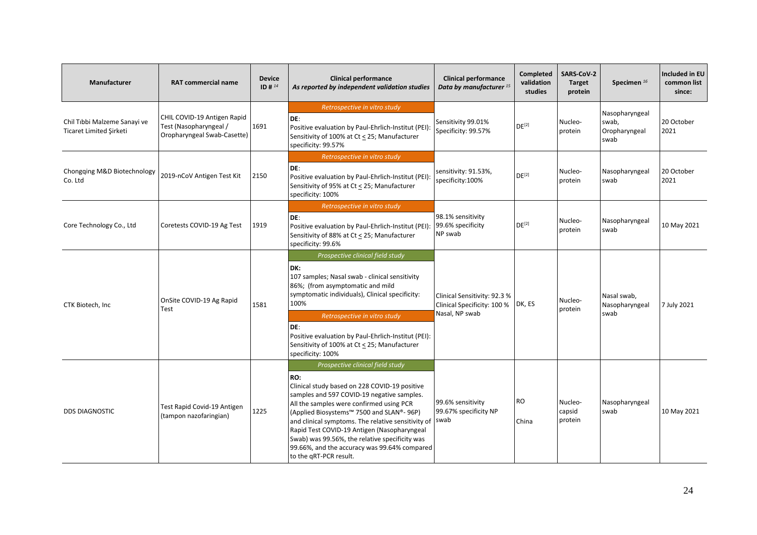| <b>Manufacturer</b>                                     | <b>RAT commercial name</b>                                                           | <b>Device</b><br>ID # $^{14}$ | <b>Clinical performance</b><br>As reported by independent validation studies                                                                                                                                                                                                                                                                                                                                                                                                 | <b>Clinical performance</b><br>Data by manufacturer <sup>15</sup> | <b>Completed</b><br>validation<br>studies | <b>SARS-CoV-2</b><br><b>Target</b><br>protein | Specimen <sup>16</sup>                           | <b>Included in EU</b><br>common list<br>since: |
|---------------------------------------------------------|--------------------------------------------------------------------------------------|-------------------------------|------------------------------------------------------------------------------------------------------------------------------------------------------------------------------------------------------------------------------------------------------------------------------------------------------------------------------------------------------------------------------------------------------------------------------------------------------------------------------|-------------------------------------------------------------------|-------------------------------------------|-----------------------------------------------|--------------------------------------------------|------------------------------------------------|
| Chil Tibbi Malzeme Sanayi ve<br>Ticaret Limited Şirketi | CHIL COVID-19 Antigen Rapid<br>Test (Nasopharyngeal /<br>Oropharyngeal Swab-Casette) | 1691                          | Retrospective in vitro study<br>DE:<br>Positive evaluation by Paul-Ehrlich-Institut (PEI):<br>Sensitivity of 100% at Ct < 25; Manufacturer<br>specificity: 99.57%                                                                                                                                                                                                                                                                                                            | Sensitivity 99.01%<br>Specificity: 99.57%                         | DE <sup>[2]</sup>                         | Nucleo-<br>protein                            | Nasopharyngeal<br>swab,<br>Oropharyngeal<br>swab | 20 October<br>2021                             |
| Chongqing M&D Biotechnology<br>Co. Ltd                  | 2019-nCoV Antigen Test Kit                                                           | 2150                          | Retrospective in vitro study<br>DE:<br>Positive evaluation by Paul-Ehrlich-Institut (PEI):<br>Sensitivity of 95% at Ct < 25; Manufacturer<br>specificity: 100%                                                                                                                                                                                                                                                                                                               | sensitivity: 91.53%,<br>specificity:100%                          | DE <sup>[2]</sup>                         | Nucleo-<br>protein                            | Nasopharyngeal<br>swab                           | 20 October<br>2021                             |
| Core Technology Co., Ltd                                | Coretests COVID-19 Ag Test                                                           | 1919                          | Retrospective in vitro study<br>DE:<br>Positive evaluation by Paul-Ehrlich-Institut (PEI):<br>Sensitivity of 88% at Ct < 25; Manufacturer<br>specificity: 99.6%                                                                                                                                                                                                                                                                                                              | 98.1% sensitivity<br>99.6% specificity<br>NP swab                 | DE <sup>[2]</sup>                         | Nucleo-<br>protein                            | Nasopharyngeal<br>swab                           | 10 May 2021                                    |
| CTK Biotech, Inc.                                       | OnSite COVID-19 Ag Rapid<br>Test                                                     | 1581                          | Prospective clinical field study<br>DK:<br>107 samples; Nasal swab - clinical sensitivity<br>86%; (from asymptomatic and mild<br>symptomatic individuals), Clinical specificity:<br>100%                                                                                                                                                                                                                                                                                     | Clinical Sensitivity: 92.3 %<br>Clinical Specificity: 100 %       | DK, ES                                    | Nucleo-<br>protein                            | Nasal swab,<br>Nasopharyngeal                    | 7 July 2021                                    |
|                                                         |                                                                                      |                               | Retrospective in vitro study<br>DE:<br>Positive evaluation by Paul-Ehrlich-Institut (PEI):<br>Sensitivity of 100% at Ct < 25; Manufacturer<br>specificity: 100%                                                                                                                                                                                                                                                                                                              | Nasal, NP swab                                                    |                                           |                                               | swab                                             |                                                |
| <b>DDS DIAGNOSTIC</b>                                   | Test Rapid Covid-19 Antigen<br>(tampon nazofaringian)                                | 1225                          | Prospective clinical field study<br>RO:<br>Clinical study based on 228 COVID-19 positive<br>samples and 597 COVID-19 negative samples.<br>All the samples were confirmed using PCR<br>(Applied Biosystems <sup>™</sup> 7500 and SLAN®- 96P)<br>and clinical symptoms. The relative sensitivity of<br>Rapid Test COVID-19 Antigen (Nasopharyngeal<br>Swab) was 99.56%, the relative specificity was<br>99.66%, and the accuracy was 99.64% compared<br>to the qRT-PCR result. | 99.6% sensitivity<br>99.67% specificity NP<br>swab                | <b>RO</b><br>China                        | Nucleo-<br>capsid<br>protein                  | Nasopharyngeal<br>swab                           | 10 May 2021                                    |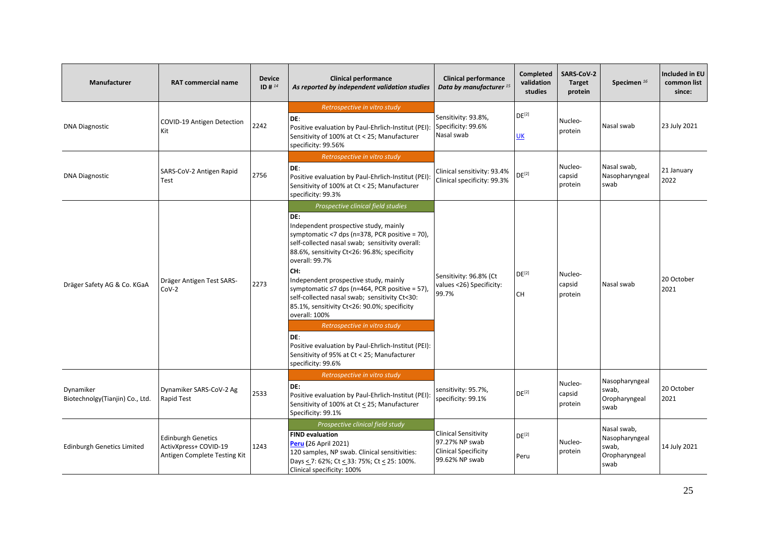| <b>Manufacturer</b>                           | <b>RAT commercial name</b>                                                         | <b>Device</b><br>ID # $^{14}$ | <b>Clinical performance</b><br>As reported by independent validation studies                                                                                                                                                                                                                                                                                                                                                                                                                                                                                                                                                                           | <b>Clinical performance</b><br>Data by manufacturer <sup>15</sup>                              | Completed<br>validation<br>studies | SARS-CoV-2<br><b>Target</b><br>protein | Specimen <sup>16</sup>                                          | Included in EU<br>common list<br>since: |
|-----------------------------------------------|------------------------------------------------------------------------------------|-------------------------------|--------------------------------------------------------------------------------------------------------------------------------------------------------------------------------------------------------------------------------------------------------------------------------------------------------------------------------------------------------------------------------------------------------------------------------------------------------------------------------------------------------------------------------------------------------------------------------------------------------------------------------------------------------|------------------------------------------------------------------------------------------------|------------------------------------|----------------------------------------|-----------------------------------------------------------------|-----------------------------------------|
| <b>DNA Diagnostic</b>                         | COVID-19 Antigen Detection<br>Kit                                                  | 2242                          | Retrospective in vitro study<br>DE:<br>Positive evaluation by Paul-Ehrlich-Institut (PEI):<br>Sensitivity of 100% at Ct < 25; Manufacturer<br>specificity: 99.56%                                                                                                                                                                                                                                                                                                                                                                                                                                                                                      | Sensitivity: 93.8%,<br>Specificity: 99.6%<br>Nasal swab                                        | DE <sup>[2]</sup><br>UK            | Nucleo-<br>protein                     | Nasal swab                                                      | 23 July 2021                            |
| <b>DNA Diagnostic</b>                         | SARS-CoV-2 Antigen Rapid<br>Test                                                   | 2756                          | Retrospective in vitro study<br>DE:<br>Positive evaluation by Paul-Ehrlich-Institut (PEI):<br>Sensitivity of 100% at Ct < 25; Manufacturer<br>specificity: 99.3%                                                                                                                                                                                                                                                                                                                                                                                                                                                                                       | Clinical sensitivity: 93.4%<br>Clinical specificity: 99.3%                                     | $DE^{[2]}$                         | Nucleo-<br>capsid<br>protein           | Nasal swab,<br>Nasopharyngeal<br>swab                           | 21 January<br>2022                      |
| Dräger Safety AG & Co. KGaA                   | Dräger Antigen Test SARS-<br>$CoV-2$                                               | 2273                          | Prospective clinical field studies<br>DE:<br>Independent prospective study, mainly<br>symptomatic <7 dps (n=378, PCR positive = 70),<br>self-collected nasal swab; sensitivity overall:<br>88.6%, sensitivity Ct<26: 96.8%; specificity<br>overall: 99.7%<br>CH:<br>Independent prospective study, mainly<br>symptomatic $\leq$ 7 dps (n=464, PCR positive = 57),<br>self-collected nasal swab; sensitivity Ct<30:<br>85.1%, sensitivity Ct<26: 90.0%; specificity<br>overall: 100%<br>Retrospective in vitro study<br>DE:<br>Positive evaluation by Paul-Ehrlich-Institut (PEI):<br>Sensitivity of 95% at Ct < 25; Manufacturer<br>specificity: 99.6% | Sensitivity: 96.8% (Ct<br>values <26) Specificity:<br>99.7%                                    | $DE^{[2]}$<br><b>CH</b>            | Nucleo-<br>capsid<br>protein           | Nasal swab                                                      | 20 October<br>2021                      |
| Dynamiker<br>Biotechnolgy (Tianjin) Co., Ltd. | Dynamiker SARS-CoV-2 Ag<br>Rapid Test                                              | 2533                          | Retrospective in vitro study<br>DE:<br>Positive evaluation by Paul-Ehrlich-Institut (PEI):<br>Sensitivity of 100% at Ct < 25; Manufacturer<br>Specificity: 99.1%                                                                                                                                                                                                                                                                                                                                                                                                                                                                                       | sensitivity: 95.7%,<br>specificity: 99.1%                                                      | DE <sup>[2]</sup>                  | Nucleo-<br>capsid<br>protein           | Nasopharyngeal<br>swab,<br>Oropharyngeal<br>swab                | 20 October<br>2021                      |
| <b>Edinburgh Genetics Limited</b>             | <b>Edinburgh Genetics</b><br>ActivXpress+ COVID-19<br>Antigen Complete Testing Kit | 1243                          | Prospective clinical field study<br><b>FIND evaluation</b><br>Peru (26 April 2021)<br>120 samples, NP swab. Clinical sensitivities:<br>Days < 7: 62%; Ct < 33: 75%; Ct < 25: 100%.<br>Clinical specificity: 100%                                                                                                                                                                                                                                                                                                                                                                                                                                       | <b>Clinical Sensitivity</b><br>97.27% NP swab<br><b>Clinical Specificity</b><br>99.62% NP swab | $DE^{[2]}$<br>Peru                 | Nucleo-<br>protein                     | Nasal swab,<br>Nasopharyngeal<br>swab,<br>Oropharyngeal<br>swab | 14 July 2021                            |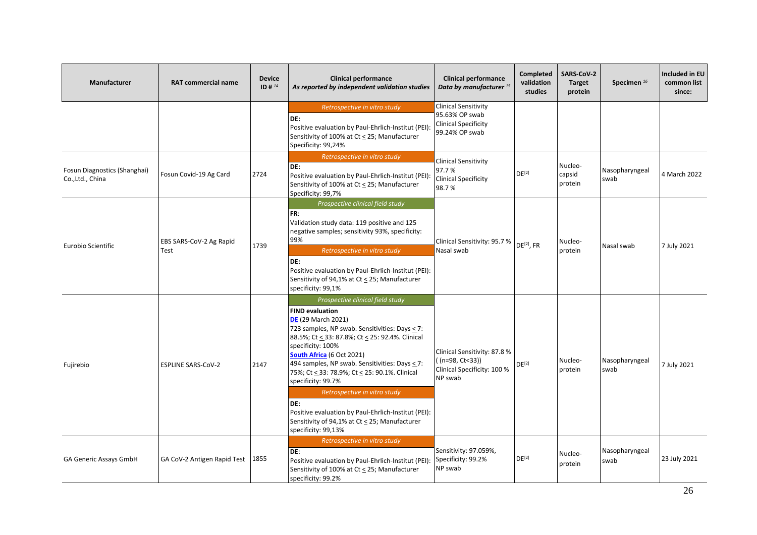| <b>Manufacturer</b>                              | <b>RAT commercial name</b>         | <b>Device</b><br>ID # $^{14}$ | <b>Clinical performance</b><br>As reported by independent validation studies                                                                                                                                                                                                                                                                                                                                                                                                                                                                       | <b>Clinical performance</b><br>Data by manufacturer <sup>15</sup>                              | Completed<br>validation<br>studies | <b>SARS-CoV-2</b><br><b>Target</b><br>protein | Specimen <sup>16</sup> | Included in EU<br>common list<br>since: |
|--------------------------------------------------|------------------------------------|-------------------------------|----------------------------------------------------------------------------------------------------------------------------------------------------------------------------------------------------------------------------------------------------------------------------------------------------------------------------------------------------------------------------------------------------------------------------------------------------------------------------------------------------------------------------------------------------|------------------------------------------------------------------------------------------------|------------------------------------|-----------------------------------------------|------------------------|-----------------------------------------|
|                                                  |                                    |                               | Retrospective in vitro study<br>DE:<br>Positive evaluation by Paul-Ehrlich-Institut (PEI):<br>Sensitivity of 100% at Ct < 25; Manufacturer<br>Specificity: 99,24%                                                                                                                                                                                                                                                                                                                                                                                  | <b>Clinical Sensitivity</b><br>95.63% OP swab<br><b>Clinical Specificity</b><br>99.24% OP swab |                                    |                                               |                        |                                         |
| Fosun Diagnostics (Shanghai)<br>Co., Ltd., China | Fosun Covid-19 Ag Card             | 2724                          | Retrospective in vitro study<br>DE:<br>Positive evaluation by Paul-Ehrlich-Institut (PEI):<br>Sensitivity of 100% at Ct < 25; Manufacturer<br>Specificity: 99,7%                                                                                                                                                                                                                                                                                                                                                                                   | <b>Clinical Sensitivity</b><br>97.7%<br><b>Clinical Specificity</b><br>98.7%                   | DE <sup>[2]</sup>                  | Nucleo-<br>capsid<br>protein                  | Nasopharyngeal<br>swab | 4 March 2022                            |
| Eurobio Scientific                               | EBS SARS-CoV-2 Ag Rapid<br>Test    | 1739                          | Prospective clinical field study<br>FR:<br>Validation study data: 119 positive and 125<br>negative samples; sensitivity 93%, specificity:<br>99%<br>Retrospective in vitro study<br>DE:<br>Positive evaluation by Paul-Ehrlich-Institut (PEI):<br>Sensitivity of 94,1% at Ct < 25; Manufacturer<br>specificity: 99,1%                                                                                                                                                                                                                              | Clinical Sensitivity: 95.7 %<br>Nasal swab                                                     | DE <sup>[2]</sup> , FR             | Nucleo-<br>protein                            | Nasal swab             | 7 July 2021                             |
| Fujirebio                                        | <b>ESPLINE SARS-CoV-2</b>          | 2147                          | Prospective clinical field study<br><b>FIND evaluation</b><br><b>DE</b> (29 March 2021)<br>723 samples, NP swab. Sensitivities: Days $\leq$ 7:<br>88.5%; Ct < 33: 87.8%; Ct < 25: 92.4%. Clinical<br>specificity: 100%<br>South Africa (6 Oct 2021)<br>494 samples, NP swab. Sensitivities: Days < 7:<br>75%; Ct < 33: 78.9%; Ct < 25: 90.1%. Clinical<br>specificity: 99.7%<br>Retrospective in vitro study<br>DE:<br>Positive evaluation by Paul-Ehrlich-Institut (PEI):<br>Sensitivity of 94,1% at Ct < 25; Manufacturer<br>specificity: 99,13% | Clinical Sensitivity: 87.8 %<br>((n=98, Ct<33))<br>Clinical Specificity: 100 %<br>NP swab      | DE <sup>[2]</sup>                  | Nucleo-<br>protein                            | Nasopharyngeal<br>swab | 7 July 2021                             |
| GA Generic Assays GmbH                           | GA CoV-2 Antigen Rapid Test   1855 |                               | Retrospective in vitro study<br>DE:<br>Positive evaluation by Paul-Ehrlich-Institut (PEI):<br>Sensitivity of 100% at Ct < 25; Manufacturer<br>specificity: 99.2%                                                                                                                                                                                                                                                                                                                                                                                   | Sensitivity: 97.059%,<br>Specificity: 99.2%<br>NP swab                                         | $DE^{[2]}$                         | Nucleo-<br>protein                            | Nasopharyngeal<br>swab | 23 July 2021                            |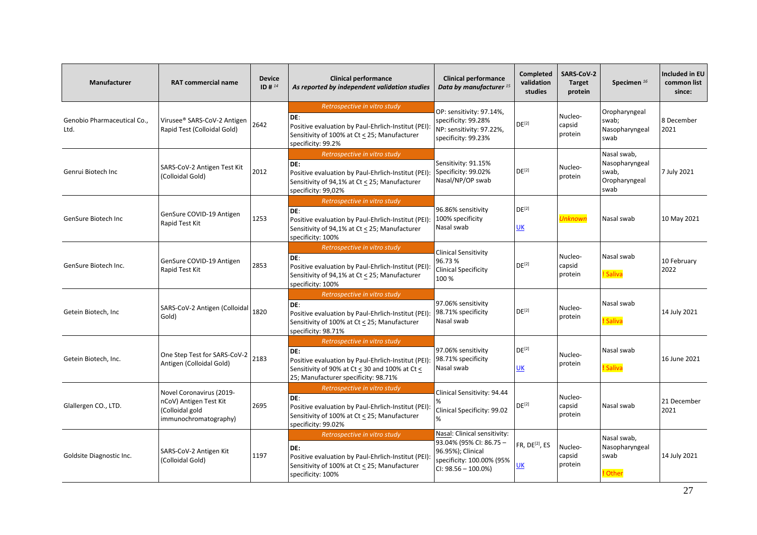| <b>Manufacturer</b>                 | <b>RAT commercial name</b>                                                                     | <b>Device</b><br>ID # 14 | <b>Clinical performance</b><br>As reported by independent validation studies                                                                                                         | <b>Clinical performance</b><br>Data by manufacturer <sup>15</sup>                                                                   | Completed<br>validation<br>studies | SARS-CoV-2<br><b>Target</b><br>protein | Specimen <sup>16</sup>                                          | <b>Included in EU</b><br>common list<br>since: |
|-------------------------------------|------------------------------------------------------------------------------------------------|--------------------------|--------------------------------------------------------------------------------------------------------------------------------------------------------------------------------------|-------------------------------------------------------------------------------------------------------------------------------------|------------------------------------|----------------------------------------|-----------------------------------------------------------------|------------------------------------------------|
| Genobio Pharmaceutical Co.,<br>Ltd. | Virusee® SARS-CoV-2 Antigen<br>Rapid Test (Colloidal Gold)                                     | 2642                     | Retrospective in vitro study<br>DE:<br>Positive evaluation by Paul-Ehrlich-Institut (PEI):<br>Sensitivity of 100% at Ct < 25; Manufacturer<br>specificity: 99.2%                     | OP: sensitivity: 97.14%,<br>specificity: 99.28%<br>NP: sensitivity: 97.22%,<br>specificity: 99.23%                                  | DE <sup>[2]</sup>                  | Nucleo-<br>capsid<br>protein           | Oropharyngeal<br>swab;<br>Nasopharyngeal<br>swab                | 8 December<br>2021                             |
| Genrui Biotech Inc                  | SARS-CoV-2 Antigen Test Kit<br>(Colloidal Gold)                                                | 2012                     | Retrospective in vitro study<br>DE:<br>Positive evaluation by Paul-Ehrlich-Institut (PEI):<br>Sensitivity of 94,1% at Ct < 25; Manufacturer<br>specificity: 99,02%                   | Sensitivity: 91.15%<br>Specificity: 99.02%<br>Nasal/NP/OP swab                                                                      | DE <sup>[2]</sup>                  | Nucleo-<br>protein                     | Nasal swab,<br>Nasopharyngeal<br>swab,<br>Oropharyngeal<br>swab | 7 July 2021                                    |
| GenSure Biotech Inc                 | GenSure COVID-19 Antigen<br>Rapid Test Kit                                                     | 1253                     | Retrospective in vitro study<br>DE:<br>Positive evaluation by Paul-Ehrlich-Institut (PEI):<br>Sensitivity of 94,1% at Ct < 25; Manufacturer<br>specificity: 100%                     | 96.86% sensitivity<br>100% specificity<br>Nasal swab                                                                                | $DE^{[2]}$<br><b>UK</b>            | <b>Unknown</b>                         | Nasal swab                                                      | 10 May 2021                                    |
| GenSure Biotech Inc.                | GenSure COVID-19 Antigen<br>Rapid Test Kit                                                     | 2853                     | Retrospective in vitro study<br>DE:<br>Positive evaluation by Paul-Ehrlich-Institut (PEI):<br>Sensitivity of 94,1% at Ct < 25; Manufacturer<br>specificity: 100%                     | <b>Clinical Sensitivity</b><br>96.73%<br><b>Clinical Specificity</b><br>100 %                                                       | DE <sup>[2]</sup>                  | Nucleo-<br>capsid<br>protein           | Nasal swab<br>! Saliva                                          | 10 February<br>2022                            |
| Getein Biotech, Inc.                | SARS-CoV-2 Antigen (Colloidal<br>Gold)                                                         | 1820                     | Retrospective in vitro study<br>DE:<br>Positive evaluation by Paul-Ehrlich-Institut (PEI):<br>Sensitivity of 100% at Ct < 25; Manufacturer<br>specificity: 98.71%                    | 97.06% sensitivity<br>98.71% specificity<br>Nasal swab                                                                              | DE <sup>[2]</sup>                  | Nucleo-<br>protein                     | Nasal swab<br>! Saliva                                          | 14 July 2021                                   |
| Getein Biotech, Inc.                | One Step Test for SARS-CoV-2<br>Antigen (Colloidal Gold)                                       | 2183                     | Retrospective in vitro study<br>DE:<br>Positive evaluation by Paul-Ehrlich-Institut (PEI):<br>Sensitivity of 90% at Ct < 30 and 100% at Ct <<br>25; Manufacturer specificity: 98.71% | 97.06% sensitivity<br>98.71% specificity<br>Nasal swab                                                                              | DE <sup>[2]</sup><br>UK            | Nucleo-<br>protein                     | Nasal swab<br>! Saliva                                          | 16 June 2021                                   |
| Glallergen CO., LTD.                | Novel Coronavirus (2019-<br>nCoV) Antigen Test Kit<br>(Colloidal gold<br>immunochromatography) | 2695                     | Retrospective in vitro study<br>DE:<br>Positive evaluation by Paul-Ehrlich-Institut (PEI):<br>Sensitivity of 100% at Ct < 25; Manufacturer<br>specificity: 99.02%                    | Clinical Sensitivity: 94.44<br>Clinical Specificity: 99.02<br>$\%$                                                                  | $DE^{[2]}$                         | Nucleo-<br>capsid<br>protein           | Nasal swab                                                      | 21 December<br>2021                            |
| Goldsite Diagnostic Inc.            | SARS-CoV-2 Antigen Kit<br>(Colloidal Gold)                                                     | 1197                     | Retrospective in vitro study<br>DE:<br>Positive evaluation by Paul-Ehrlich-Institut (PEI):<br>Sensitivity of 100% at Ct < 25; Manufacturer<br>specificity: 100%                      | Nasal: Clinical sensitivity:<br>93.04% (95% CI: 86.75 -<br>96.95%); Clinical<br>specificity: 100.00% (95%<br>$CI: 98.56 - 100.0\%)$ | FR, DE <sup>[2]</sup> , ES<br>UK   | Nucleo-<br>capsid<br>protein           | Nasal swab,<br>Nasopharyngeal<br>swab<br>! Other                | 14 July 2021                                   |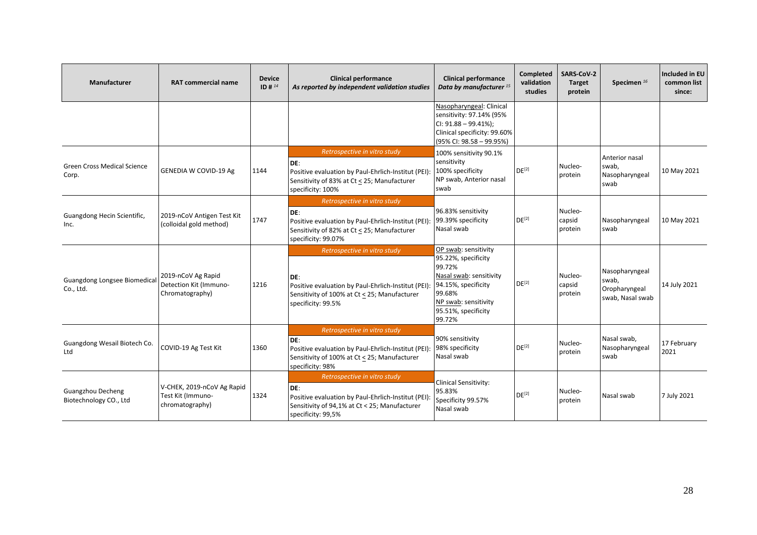| <b>Manufacturer</b>                                | <b>RAT commercial name</b>                                         | <b>Device</b><br>ID # $^{14}$ | <b>Clinical performance</b><br>As reported by independent validation studies                                                                                      | <b>Clinical performance</b><br>Data by manufacturer <sup>15</sup>                                                                                                          | <b>Completed</b><br>validation<br>studies | <b>SARS-CoV-2</b><br><b>Target</b><br>protein | Specimen $^{16}$                                             | Included in EU<br>common list<br>since: |
|----------------------------------------------------|--------------------------------------------------------------------|-------------------------------|-------------------------------------------------------------------------------------------------------------------------------------------------------------------|----------------------------------------------------------------------------------------------------------------------------------------------------------------------------|-------------------------------------------|-----------------------------------------------|--------------------------------------------------------------|-----------------------------------------|
|                                                    |                                                                    |                               |                                                                                                                                                                   | Nasopharyngeal: Clinical<br>sensitivity: 97.14% (95%<br>CI: $91.88 - 99.41\%$ ;<br>Clinical specificity: 99.60%<br>$(95\%$ CI: $98.58 - 99.95\%)$                          |                                           |                                               |                                                              |                                         |
| <b>Green Cross Medical Science</b><br>Corp.        | <b>GENEDIA W COVID-19 Ag</b>                                       | 1144                          | Retrospective in vitro study<br>DE:<br>Positive evaluation by Paul-Ehrlich-Institut (PEI):<br>Sensitivity of 83% at Ct < 25; Manufacturer<br>specificity: 100%    | 100% sensitivity 90.1%<br>sensitivity<br>100% specificity<br>NP swab, Anterior nasal<br>swab                                                                               | $DE^{[2]}$                                | Nucleo-<br>protein                            | Anterior nasal<br>swab,<br>Nasopharyngeal<br>swab            | 10 May 2021                             |
| Guangdong Hecin Scientific,<br>Inc.                | 2019-nCoV Antigen Test Kit<br>(colloidal gold method)              | 1747                          | Retrospective in vitro study<br>DE:<br>Positive evaluation by Paul-Ehrlich-Institut (PEI):<br>Sensitivity of 82% at Ct < 25; Manufacturer<br>specificity: 99.07%  | 96.83% sensitivity<br>99.39% specificity<br>Nasal swab                                                                                                                     | $DE^{[2]}$                                | Nucleo-<br>capsid<br>protein                  | Nasopharyngeal<br>swab                                       | 10 May 2021                             |
| Guangdong Longsee Biomedical<br>Co., Ltd.          | 2019-nCoV Ag Rapid<br>Detection Kit (Immuno-<br>Chromatography)    | 1216                          | Retrospective in vitro study<br>DE:<br>Positive evaluation by Paul-Ehrlich-Institut (PEI):<br>Sensitivity of 100% at Ct < 25; Manufacturer<br>specificity: 99.5%  | OP swab: sensitivity<br>95.22%, specificity<br>99.72%<br>Nasal swab: sensitivity<br>94.15%, specificity<br>99.68%<br>NP swab: sensitivity<br>95.51%, specificity<br>99.72% | DE <sup>[2]</sup>                         | Nucleo-<br>capsid<br>protein                  | Nasopharyngeal<br>swab,<br>Oropharyngeal<br>swab, Nasal swab | 14 July 2021                            |
| Guangdong Wesail Biotech Co.<br>Ltd                | COVID-19 Ag Test Kit                                               | 1360                          | Retrospective in vitro study<br>DE:<br>Positive evaluation by Paul-Ehrlich-Institut (PEI):<br>Sensitivity of 100% at Ct < 25; Manufacturer<br>specificity: 98%    | 90% sensitivity<br>98% specificity<br>Nasal swab                                                                                                                           | $DE^{[2]}$                                | Nucleo-<br>protein                            | Nasal swab,<br>Nasopharyngeal<br>swab                        | 17 February<br>2021                     |
| <b>Guangzhou Decheng</b><br>Biotechnology CO., Ltd | V-CHEK, 2019-nCoV Ag Rapid<br>Test Kit (Immuno-<br>chromatography) | 1324                          | Retrospective in vitro study<br>DE:<br>Positive evaluation by Paul-Ehrlich-Institut (PEI):<br>Sensitivity of 94,1% at Ct < 25; Manufacturer<br>specificity: 99,5% | <b>Clinical Sensitivity:</b><br>95.83%<br>Specificity 99.57%<br>Nasal swab                                                                                                 | DE <sup>[2]</sup>                         | Nucleo-<br>protein                            | Nasal swab                                                   | 7 July 2021                             |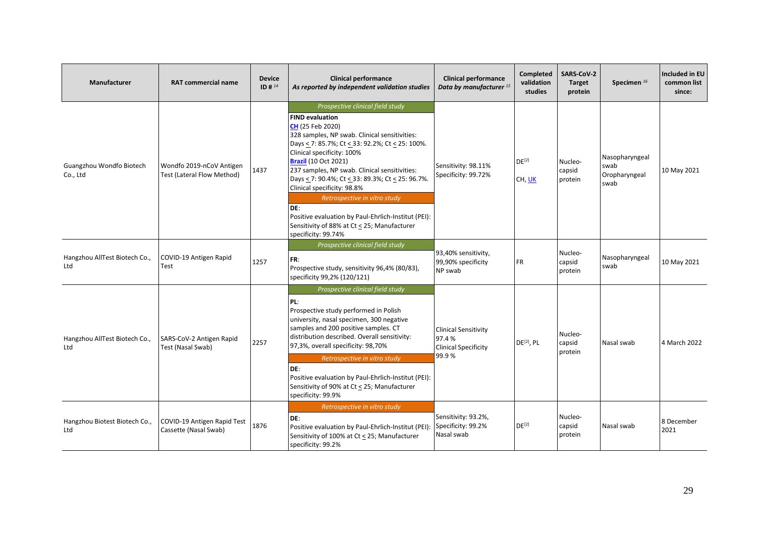| Manufacturer                         | <b>RAT commercial name</b>                             | <b>Device</b><br>ID # $^{14}$ | <b>Clinical performance</b><br>As reported by independent validation studies                                                                                                                                                                                                                                                                                                                                                                                                                                                                            | <b>Clinical performance</b><br>Data by manufacturer <sup>15</sup>            | <b>Completed</b><br>validation<br>studies | SARS-CoV-2<br><b>Target</b><br>protein | Specimen <sup>16</sup>                          | Included in EU<br>common list<br>since: |
|--------------------------------------|--------------------------------------------------------|-------------------------------|---------------------------------------------------------------------------------------------------------------------------------------------------------------------------------------------------------------------------------------------------------------------------------------------------------------------------------------------------------------------------------------------------------------------------------------------------------------------------------------------------------------------------------------------------------|------------------------------------------------------------------------------|-------------------------------------------|----------------------------------------|-------------------------------------------------|-----------------------------------------|
| Guangzhou Wondfo Biotech<br>Co., Ltd | Wondfo 2019-nCoV Antigen<br>Test (Lateral Flow Method) | 1437                          | Prospective clinical field study<br><b>FIND evaluation</b><br>CH (25 Feb 2020)<br>328 samples, NP swab. Clinical sensitivities:<br>Days < 7: 85.7%; Ct < 33: 92.2%; Ct < 25: 100%.<br>Clinical specificity: 100%<br><b>Brazil</b> (10 Oct 2021)<br>237 samples, NP swab. Clinical sensitivities:<br>Days < 7: 90.4%; Ct < 33: 89.3%; Ct < 25: 96.7%.<br>Clinical specificity: 98.8%<br>Retrospective in vitro study<br>DE:<br>Positive evaluation by Paul-Ehrlich-Institut (PEI):<br>Sensitivity of 88% at Ct < 25; Manufacturer<br>specificity: 99.74% | Sensitivity: 98.11%<br>Specificity: 99.72%                                   | $DE^{[2]}$<br>CH, UK                      | Nucleo-<br>capsid<br>protein           | Nasopharyngeal<br>swab<br>Oropharyngeal<br>swab | 10 May 2021                             |
| Hangzhou AllTest Biotech Co.,<br>Ltd | COVID-19 Antigen Rapid<br>Test                         | 1257                          | Prospective clinical field study<br>FR:<br>Prospective study, sensitivity 96,4% (80/83),<br>specificity 99,2% (120/121)                                                                                                                                                                                                                                                                                                                                                                                                                                 | 93,40% sensitivity,<br>99,90% specificity<br>NP swab                         | <b>FR</b>                                 | Nucleo-<br>capsid<br>protein           | Nasopharyngeal<br>swab                          | 10 May 2021                             |
| Hangzhou AllTest Biotech Co.,<br>Ltd | SARS-CoV-2 Antigen Rapid<br>Test (Nasal Swab)          | 2257                          | Prospective clinical field study<br>PL:<br>Prospective study performed in Polish<br>university, nasal specimen, 300 negative<br>samples and 200 positive samples. CT<br>distribution described. Overall sensitivity:<br>97,3%, overall specificity: 98,70%<br>Retrospective in vitro study<br>DE:<br>Positive evaluation by Paul-Ehrlich-Institut (PEI):<br>Sensitivity of 90% at Ct < 25; Manufacturer<br>specificity: 99.9%                                                                                                                           | <b>Clinical Sensitivity</b><br>97.4%<br><b>Clinical Specificity</b><br>99.9% | $DE^{[2]}$ , PL                           | Nucleo-<br>capsid<br>protein           | Nasal swab                                      | 4 March 2022                            |
| Hangzhou Biotest Biotech Co.,<br>Ltd | COVID-19 Antigen Rapid Test<br>Cassette (Nasal Swab)   | 1876                          | Retrospective in vitro study<br>DE:<br>Positive evaluation by Paul-Ehrlich-Institut (PEI):<br>Sensitivity of 100% at Ct < 25; Manufacturer<br>specificity: 99.2%                                                                                                                                                                                                                                                                                                                                                                                        | Sensitivity: 93.2%,<br>Specificity: 99.2%<br>Nasal swab                      | DE <sup>[2]</sup>                         | Nucleo-<br>capsid<br>protein           | Nasal swab                                      | 8 December<br>2021                      |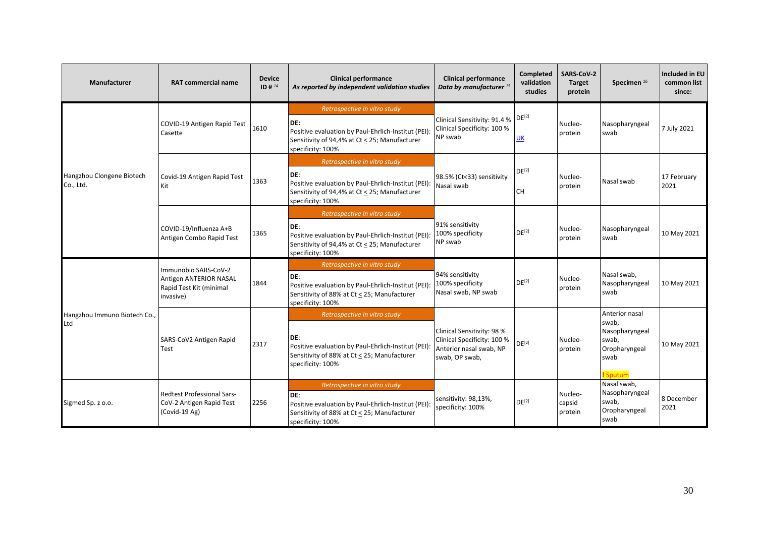| Manufacturer                           | <b>RAT commercial name</b>                                                             | <b>Device</b><br>ID # $^{14}$ | <b>Clinical performance</b><br>As reported by independent validation studies                                                                                     | <b>Clinical performance</b><br>Data by manufacturer <sup>15</sup>                                      | Completed<br>validation<br>studies | <b>SARS CoV-2</b><br><b>Target</b><br>protein | Specimen <sup>16</sup>                                                                  | <b>Included in EU</b><br>common list<br>since: |
|----------------------------------------|----------------------------------------------------------------------------------------|-------------------------------|------------------------------------------------------------------------------------------------------------------------------------------------------------------|--------------------------------------------------------------------------------------------------------|------------------------------------|-----------------------------------------------|-----------------------------------------------------------------------------------------|------------------------------------------------|
|                                        | COVID-19 Antigen Rapid Test<br>Casette                                                 | 1610                          | Retrospective in vitro study<br>DE:<br>Positive evaluation by Paul-Ehrlich-Institut (PEI):<br>Sensitivity of 94,4% at Ct < 25; Manufacturer<br>specificity: 100% | Clinical Sensitivity: 91.4 %<br>Clinical Specificity: 100 %<br>NP swab                                 | $DE^{[2]}$<br><b>UK</b>            | Nucleo-<br>protein                            | Nasopharyngeal<br>swab                                                                  | 7 July 2021                                    |
| Hangzhou Clongene Biotech<br>Co., Ltd. | Covid-19 Antigen Rapid Test<br>Kit                                                     | 1363                          | Retrospective in vitro study<br>DE:<br>Positive evaluation by Paul-Ehrlich-Institut (PEI):<br>Sensitivity of 94,4% at Ct < 25; Manufacturer<br>specificity: 100% | 98.5% (Ct<33) sensitivity<br>Nasal swab                                                                | $DE^{[2]}$<br><b>CH</b>            | Nucleo-<br>protein                            | Nasal swab                                                                              | 17 February<br>2021                            |
|                                        | COVID-19/Influenza A+B<br>Antigen Combo Rapid Test                                     | 1365                          | Retrospective in vitro study<br>DE:<br>Positive evaluation by Paul-Ehrlich-Institut (PEI):<br>Sensitivity of 94,4% at Ct < 25; Manufacturer<br>specificity: 100% | 91% sensitivity<br>100% specificity<br>NP swab                                                         | DE <sup>[2]</sup>                  | Nucleo-<br>protein                            | Nasopharyngeal<br>swab                                                                  | 10 May 2021                                    |
|                                        | Immunobio SARS-CoV-2<br>Antigen ANTERIOR NASAL<br>Rapid Test Kit (minimal<br>invasive) | 1844                          | Retrospective in vitro study<br>DE:<br>Positive evaluation by Paul-Ehrlich-Institut (PEI):<br>Sensitivity of 88% at Ct < 25; Manufacturer<br>specificity: 100%   | 94% sensitivity<br>100% specificity<br>Nasal swab, NP swab                                             | $DE^{[2]}$                         | Nucleo-<br>protein                            | Nasal swab,<br>Nasopharyngeal<br>swab                                                   | 10 May 2021                                    |
| Hangzhou Immuno Biotech Co.,<br>Ltd    | SARS-CoV2 Antigen Rapid<br>Test                                                        | 2317                          | Retrospective in vitro study<br>DE:<br>Positive evaluation by Paul-Ehrlich-Institut (PEI):<br>Sensitivity of 88% at Ct < 25; Manufacturer<br>specificity: 100%   | Clinical Sensitivity: 98 %<br>Clinical Specificity: 100 %<br>Anterior nasal swab, NP<br>swab, OP swab, | $DE^{[2]}$                         | Nucleo-<br>protein                            | Anterior nasal<br>swab,<br>Nasopharyngeal<br>swab,<br>Oropharyngeal<br>swab<br>! Sputum | 10 May 2021                                    |
| Sigmed Sp. z o.o.                      | <b>Redtest Professional Sars-</b><br>CoV-2 Antigen Rapid Test<br>(Covid-19 Ag)         | 2256                          | Retrospective in vitro study<br>DE:<br>Positive evaluation by Paul-Ehrlich-Institut (PEI):<br>Sensitivity of 88% at Ct < 25; Manufacturer<br>specificity: 100%   | sensitivity: 98,13%,<br>specificity: 100%                                                              | DE <sup>[2]</sup>                  | Nucleo-<br>capsid<br>protein                  | Nasal swab.<br>Nasopharyngeal<br>swab,<br>Oropharyngeal<br>swab                         | 8 December<br>2021                             |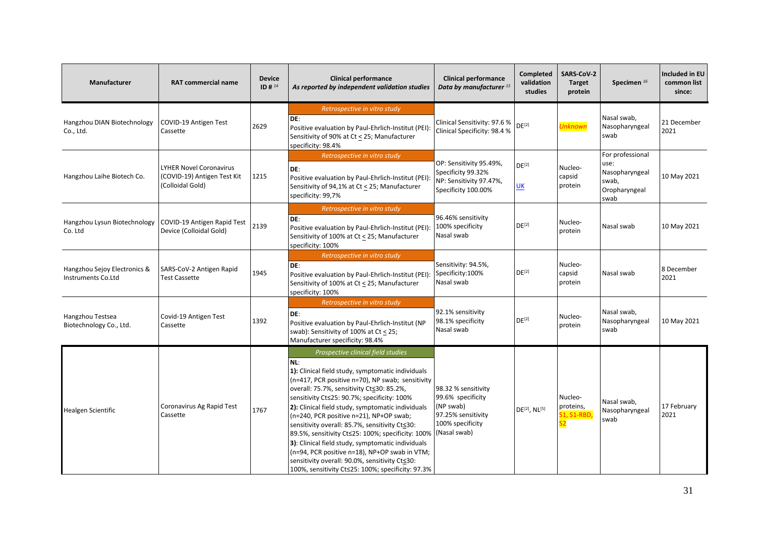| Manufacturer                                       | <b>RAT commercial name</b>                                                        | <b>Device</b><br>$ID#^{14}$ | <b>Clinical performance</b><br>As reported by independent validation studies                                                                                                                                                                                                                                                                                                                                                                                                                                                                                                                                                                                                      | <b>Clinical performance</b><br>Data by manufacturer <sup>15</sup>                               | <b>Completed</b><br>validation<br>studies | SARS-CoV-2<br><b>Target</b><br>protein          | Specimen <sup>16</sup>                                                       | Included in EU<br>common list<br>since: |
|----------------------------------------------------|-----------------------------------------------------------------------------------|-----------------------------|-----------------------------------------------------------------------------------------------------------------------------------------------------------------------------------------------------------------------------------------------------------------------------------------------------------------------------------------------------------------------------------------------------------------------------------------------------------------------------------------------------------------------------------------------------------------------------------------------------------------------------------------------------------------------------------|-------------------------------------------------------------------------------------------------|-------------------------------------------|-------------------------------------------------|------------------------------------------------------------------------------|-----------------------------------------|
| Hangzhou DIAN Biotechnology<br>Co., Ltd.           | COVID-19 Antigen Test<br>Cassette                                                 | 2629                        | Retrospective in vitro study<br>DE:<br>Positive evaluation by Paul-Ehrlich-Institut (PEI):<br>Sensitivity of 90% at Ct < 25; Manufacturer<br>specificity: 98.4%                                                                                                                                                                                                                                                                                                                                                                                                                                                                                                                   | Clinical Sensitivity: 97.6 %<br>Clinical Specificity: 98.4 %                                    | $DE^{[2]}$                                | <b>Unknown</b>                                  | Nasal swab,<br>Nasopharyngeal<br>swab                                        | 21 December<br>2021                     |
| Hangzhou Laihe Biotech Co.                         | <b>LYHER Novel Coronavirus</b><br>(COVID-19) Antigen Test Kit<br>(Colloidal Gold) | 1215                        | Retrospective in vitro study<br>DE:<br>Positive evaluation by Paul-Ehrlich-Institut (PEI)<br>Sensitivity of 94,1% at Ct < 25; Manufacturer<br>specificity: 99,7%                                                                                                                                                                                                                                                                                                                                                                                                                                                                                                                  | OP: Sensitivity 95.49%,<br>Specificity 99.32%<br>NP: Sensitivity 97.47%,<br>Specificity 100.00% | DE <sup>[2]</sup><br><u>UК</u>            | Nucleo-<br>capsid<br>protein                    | For professional<br>use:<br>Nasopharyngeal<br>swab,<br>Oropharyngeal<br>swab | 10 May 2021                             |
| Hangzhou Lysun Biotechnology<br>Co. Ltd            | COVID-19 Antigen Rapid Test<br>Device (Colloidal Gold)                            | 2139                        | Retrospective in vitro study<br>DE:<br>Positive evaluation by Paul-Ehrlich-Institut (PEI):<br>Sensitivity of 100% at Ct < 25; Manufacturer<br>specificity: 100%                                                                                                                                                                                                                                                                                                                                                                                                                                                                                                                   | 96.46% sensitivity<br>100% specificity<br>Nasal swab                                            | $DE^{[2]}$                                | Nucleo-<br>protein                              | Nasal swab                                                                   | 10 May 2021                             |
| Hangzhou Sejoy Electronics &<br>Instruments Co.Ltd | SARS-CoV-2 Antigen Rapid<br>Test Cassette                                         | 1945                        | Retrospective in vitro study<br>DE:<br>Positive evaluation by Paul-Ehrlich-Institut (PEI): Specificity:100%<br>Sensitivity of 100% at Ct < 25; Manufacturer<br>specificity: 100%                                                                                                                                                                                                                                                                                                                                                                                                                                                                                                  | Sensitivity: 94.5%,<br>Nasal swab                                                               | $DE^{[2]}$                                | Nucleo-<br>capsid<br>protein                    | Nasal swab                                                                   | 8 December<br>2021                      |
| Hangzhou Testsea<br>Biotechnology Co., Ltd.        | Covid-19 Antigen Test<br>Cassette                                                 | 1392                        | Retrospective in vitro study<br>DE:<br>Positive evaluation by Paul-Ehrlich-Institut (NP<br>swab): Sensitivity of 100% at $Ct \le 25$ ;<br>Manufacturer specificity: 98.4%                                                                                                                                                                                                                                                                                                                                                                                                                                                                                                         | 92.1% sensitivity<br>98.1% specificity<br>Nasal swab                                            | DE <sup>[2]</sup>                         | Nucleo-<br>protein                              | Nasal swab,<br>Nasopharyngeal<br>swab                                        | 10 May 2021                             |
| Healgen Scientific                                 | Coronavirus Ag Rapid Test<br>Cassette                                             | 1767                        | Prospective clinical field studies<br>NL:<br>1): Clinical field study, symptomatic individuals<br>(n=417, PCR positive n=70), NP swab; sensitivity<br>overall: 75.7%, sensitivity Ct≤30: 85.2%,<br>sensitivity Ct≤25: 90.7%; specificity: 100%<br>2): Clinical field study, symptomatic individuals<br>(n=240, PCR positive n=21), NP+OP swab;<br>sensitivity overall: 85.7%, sensitivity Ct≤30:<br>89.5%, sensitivity Ct≤25: 100%; specificity: 100%   (Nasal swab)<br>3): Clinical field study, symptomatic individuals<br>(n=94, PCR positive n=18), NP+OP swab in VTM;<br>sensitivity overall: 90.0%, sensitivity Cts30:<br>100%, sensitivity Ct≤25: 100%; specificity: 97.3% | 98.32 % sensitivity<br>99.6% specificity<br>(NP swab)<br>97.25% sensitivity<br>100% specificity | DE <sup>[2]</sup> , NL <sup>[5]</sup>     | Nucleo-<br>proteins,<br><b>S1, S1-RBD</b><br>S2 | Nasal swab,<br>Nasopharyngeal<br>swab                                        | 17 February<br>2021                     |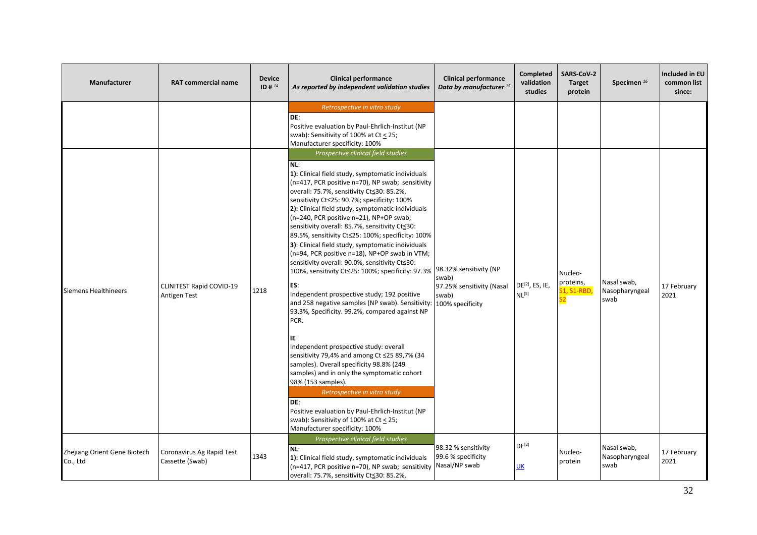| Manufacturer                             | <b>RAT commercial name</b>                      | <b>Device</b><br>$ID#^{14}$ | <b>Clinical performance</b><br>As reported by independent validation studies                                                                                                                                                                                                                                                                                                                                                                                                                                                                                                                                                                                                                                                                                                                                                                                                                                                                                                                                                                                                                                       | <b>Clinical performance</b><br>Data by manufacturer <sup>15</sup>                         | <b>Completed</b><br>validation<br>studies        | SARS-CoV-2<br><b>Target</b><br>protein | Specimen <sup>16</sup>                | Included in EU<br>common list<br>since: |
|------------------------------------------|-------------------------------------------------|-----------------------------|--------------------------------------------------------------------------------------------------------------------------------------------------------------------------------------------------------------------------------------------------------------------------------------------------------------------------------------------------------------------------------------------------------------------------------------------------------------------------------------------------------------------------------------------------------------------------------------------------------------------------------------------------------------------------------------------------------------------------------------------------------------------------------------------------------------------------------------------------------------------------------------------------------------------------------------------------------------------------------------------------------------------------------------------------------------------------------------------------------------------|-------------------------------------------------------------------------------------------|--------------------------------------------------|----------------------------------------|---------------------------------------|-----------------------------------------|
| <b>Siemens Healthineers</b>              | <b>CLINITEST Rapid COVID-19</b><br>Antigen Test | 1218                        | Retrospective in vitro study<br>DE:<br>Positive evaluation by Paul-Ehrlich-Institut (NP<br>swab): Sensitivity of 100% at Ct $\leq$ 25;<br>Manufacturer specificity: 100%<br>Prospective clinical field studies<br>NL:<br>1): Clinical field study, symptomatic individuals<br>(n=417, PCR positive n=70), NP swab; sensitivity<br>overall: 75.7%, sensitivity Ct≤30: 85.2%,<br>sensitivity Ct≤25: 90.7%; specificity: 100%<br>2): Clinical field study, symptomatic individuals<br>(n=240, PCR positive n=21), NP+OP swab;<br>sensitivity overall: 85.7%, sensitivity Ct≤30:<br>89.5%, sensitivity Ct≤25: 100%; specificity: 100%<br>3): Clinical field study, symptomatic individuals<br>(n=94, PCR positive n=18), NP+OP swab in VTM;<br>sensitivity overall: 90.0%, sensitivity Ct≤30:<br>100%, sensitivity Ct≤25: 100%; specificity: 97.3%<br>ES:<br>Independent prospective study; 192 positive<br>and 258 negative samples (NP swab). Sensitivity:<br>93,3%, Specificity. 99.2%, compared against NP<br>PCR.<br>ΙE<br>Independent prospective study: overall<br>sensitivity 79,4% and among Ct ≤25 89,7% (34 | 98.32% sensitivity (NP<br>swab)<br>97.25% sensitivity (Nasal<br>swab)<br>100% specificity | DE <sup>[2]</sup> , ES, IE,<br>NL <sup>[5]</sup> | Nucleo-<br>proteins,<br>51, S1-RBD,    | Nasal swab,<br>Nasopharyngeal<br>swab | 17 February<br>2021                     |
|                                          |                                                 |                             | samples). Overall specificity 98.8% (249<br>samples) and in only the symptomatic cohort<br>98% (153 samples).<br>Retrospective in vitro study<br>DE:<br>Positive evaluation by Paul-Ehrlich-Institut (NP<br>swab): Sensitivity of 100% at Ct $\leq$ 25;<br>Manufacturer specificity: 100%                                                                                                                                                                                                                                                                                                                                                                                                                                                                                                                                                                                                                                                                                                                                                                                                                          |                                                                                           |                                                  |                                        |                                       |                                         |
| Zhejiang Orient Gene Biotech<br>Co., Ltd | Coronavirus Ag Rapid Test<br>Cassette (Swab)    | 1343                        | Prospective clinical field studies<br>NL:<br>1): Clinical field study, symptomatic individuals<br>(n=417, PCR positive n=70), NP swab; sensitivity Nasal/NP swab<br>overall: 75.7%, sensitivity Ct≤30: 85.2%,                                                                                                                                                                                                                                                                                                                                                                                                                                                                                                                                                                                                                                                                                                                                                                                                                                                                                                      | 98.32 % sensitivity<br>99.6 % specificity                                                 | $DE^{[2]}$<br>UK                                 | Nucleo-<br>protein                     | Nasal swab,<br>Nasopharyngeal<br>swab | 17 February<br>2021                     |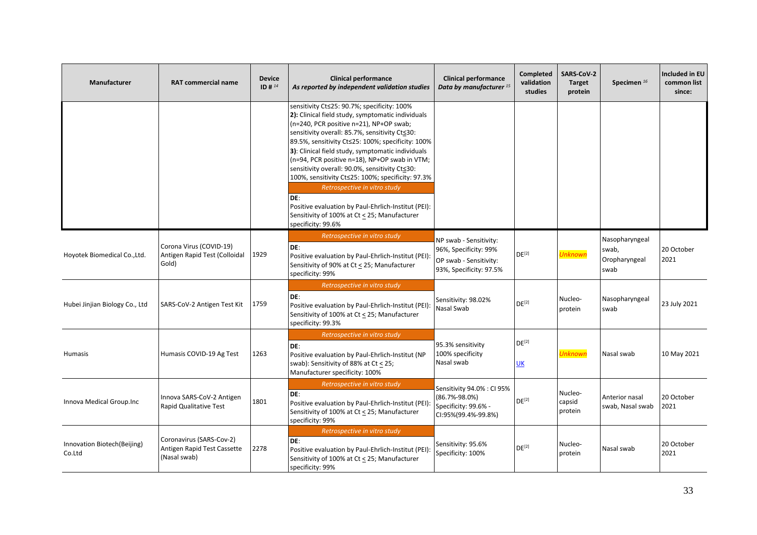| Manufacturer                           | <b>RAT commercial name</b>                                              | <b>Device</b><br>$ID#^{14}$ | <b>Clinical performance</b><br>As reported by independent validation studies                                                                                                                                                                                                                                                                                                                                                                                                                                                                                                                                                        | <b>Clinical performance</b><br>Data by manufacturer <sup>15</sup>                                    | <b>Completed</b><br>validation<br>studies | <b>SARS-CoV-2</b><br><b>Target</b><br>protein | Specimen <sup>16</sup>                           | Included in EU<br>common list<br>since: |
|----------------------------------------|-------------------------------------------------------------------------|-----------------------------|-------------------------------------------------------------------------------------------------------------------------------------------------------------------------------------------------------------------------------------------------------------------------------------------------------------------------------------------------------------------------------------------------------------------------------------------------------------------------------------------------------------------------------------------------------------------------------------------------------------------------------------|------------------------------------------------------------------------------------------------------|-------------------------------------------|-----------------------------------------------|--------------------------------------------------|-----------------------------------------|
|                                        |                                                                         |                             | sensitivity Ct≤25: 90.7%; specificity: 100%<br>2): Clinical field study, symptomatic individuals<br>(n=240, PCR positive n=21), NP+OP swab;<br>sensitivity overall: 85.7%, sensitivity Ct≤30:<br>89.5%, sensitivity Ct≤25: 100%; specificity: 100%<br>3): Clinical field study, symptomatic individuals<br>(n=94, PCR positive n=18), NP+OP swab in VTM;<br>sensitivity overall: 90.0%, sensitivity Ct≤30:<br>100%, sensitivity Ct≤25: 100%; specificity: 97.3%<br>Retrospective in vitro study<br>DE:<br>Positive evaluation by Paul-Ehrlich-Institut (PEI):<br>Sensitivity of 100% at Ct < 25; Manufacturer<br>specificity: 99.6% |                                                                                                      |                                           |                                               |                                                  |                                         |
| Hoyotek Biomedical Co., Ltd.           | Corona Virus (COVID-19)<br>Antigen Rapid Test (Colloidal<br>Gold)       | 1929                        | Retrospective in vitro study<br>DE:<br>Positive evaluation by Paul-Ehrlich-Institut (PEI):<br>Sensitivity of 90% at Ct < 25; Manufacturer<br>specificity: 99%                                                                                                                                                                                                                                                                                                                                                                                                                                                                       | NP swab - Sensitivity:<br>96%, Specificity: 99%<br>OP swab - Sensitivity:<br>93%, Specificity: 97.5% | DE <sup>[2]</sup>                         | Unknown                                       | Nasopharyngeal<br>swab,<br>Oropharyngeal<br>swab | 20 October<br>2021                      |
| Hubei Jinjian Biology Co., Ltd         | SARS-CoV-2 Antigen Test Kit                                             | 1759                        | Retrospective in vitro study<br>DE:<br>Positive evaluation by Paul-Ehrlich-Institut (PEI):<br>Sensitivity of 100% at Ct < 25; Manufacturer<br>specificity: 99.3%                                                                                                                                                                                                                                                                                                                                                                                                                                                                    | Sensitivity: 98.02%<br>Nasal Swab                                                                    | DE <sup>[2]</sup>                         | Nucleo-<br>protein                            | Nasopharyngeal<br>swab                           | 23 July 2021                            |
| Humasis                                | Humasis COVID-19 Ag Test                                                | 1263                        | Retrospective in vitro study<br>DE:<br>Positive evaluation by Paul-Ehrlich-Institut (NP<br>swab): Sensitivity of 88% at Ct < 25;<br>Manufacturer specificity: 100%                                                                                                                                                                                                                                                                                                                                                                                                                                                                  | 95.3% sensitivity<br>100% specificity<br>Nasal swab                                                  | $DE^{[2]}$<br>UK                          | <b>Unknown</b>                                | Nasal swab                                       | 10 May 2021                             |
| Innova Medical Group.Inc               | Innova SARS-CoV-2 Antigen<br>Rapid Qualitative Test                     | 1801                        | Retrospective in vitro study<br>DE:<br>Positive evaluation by Paul-Ehrlich-Institut (PEI):<br>Sensitivity of 100% at Ct < 25; Manufacturer<br>specificity: 99%                                                                                                                                                                                                                                                                                                                                                                                                                                                                      | Sensitivity 94.0% : CI 95%<br>(86.7%-98.0%)<br>Specificity: 99.6% -<br>CI:95%(99.4%-99.8%)           | DE <sup>[2]</sup>                         | Nucleo-<br>capsid<br>protein                  | Anterior nasal<br>swab, Nasal swab               | 20 October<br>2021                      |
| Innovation Biotech (Beijing)<br>Co.Ltd | Coronavirus (SARS-Cov-2)<br>Antigen Rapid Test Cassette<br>(Nasal swab) | 2278                        | Retrospective in vitro study<br>DE:<br>Positive evaluation by Paul-Ehrlich-Institut (PEI):<br>Sensitivity of 100% at Ct < 25; Manufacturer<br>specificity: 99%                                                                                                                                                                                                                                                                                                                                                                                                                                                                      | Sensitivity: 95.6%<br>Specificity: 100%                                                              | DE <sup>[2]</sup>                         | Nucleo-<br>protein                            | Nasal swab                                       | 20 October<br>2021                      |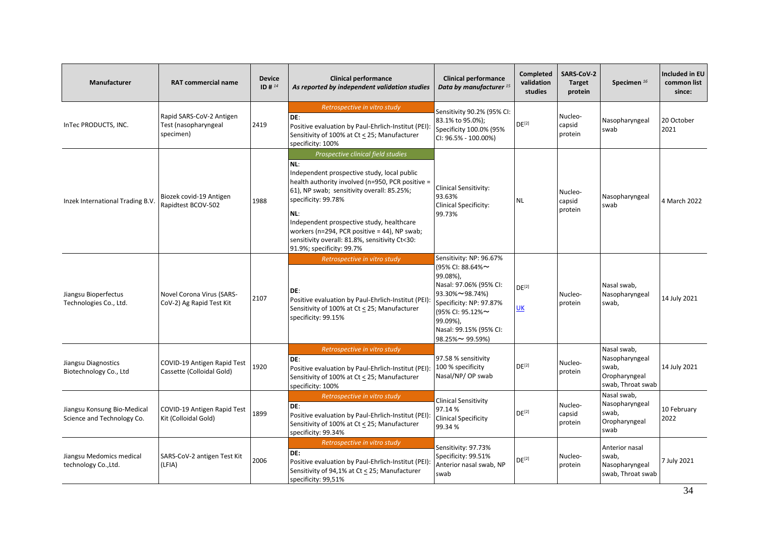| Manufacturer                                              | <b>RAT commercial name</b>                                    | <b>Device</b><br>ID # $^{14}$ | <b>Clinical performance</b><br>As reported by independent validation studies                                                                                                                                                                                                                                                                                                                         | <b>Clinical performance</b><br>Data by manufacturer <sup>15</sup>                                                                                                                                           | <b>Completed</b><br>validation<br>studies | SARS-CoV-2<br><b>Target</b><br>protein | Specimen <sup>16</sup>                                                       | <b>Included in EU</b><br>common list<br>since: |
|-----------------------------------------------------------|---------------------------------------------------------------|-------------------------------|------------------------------------------------------------------------------------------------------------------------------------------------------------------------------------------------------------------------------------------------------------------------------------------------------------------------------------------------------------------------------------------------------|-------------------------------------------------------------------------------------------------------------------------------------------------------------------------------------------------------------|-------------------------------------------|----------------------------------------|------------------------------------------------------------------------------|------------------------------------------------|
| InTec PRODUCTS, INC.                                      | Rapid SARS-CoV-2 Antigen<br>Test (nasopharyngeal<br>specimen) | 2419                          | Retrospective in vitro study<br>DE:<br>Positive evaluation by Paul-Ehrlich-Institut (PEI):<br>Sensitivity of 100% at Ct < 25; Manufacturer<br>specificity: 100%                                                                                                                                                                                                                                      | Sensitivity 90.2% (95% CI:<br>83.1% to 95.0%);<br>Specificity 100.0% (95%<br>CI: 96.5% - 100.00%)                                                                                                           | $DE^{[2]}$                                | Nucleo-<br>capsid<br>protein           | Nasopharyngeal<br>swab                                                       | 20 October<br>2021                             |
| Inzek International Trading B.V.                          | Biozek covid-19 Antigen<br>Rapidtest BCOV-502                 | 1988                          | Prospective clinical field studies<br>NL:<br>Independent prospective study, local public<br>health authority involved (n=950, PCR positive =<br>61), NP swab; sensitivity overall: 85.25%;<br>specificity: 99.78%<br>NL:<br>Independent prospective study, healthcare<br>workers (n=294, PCR positive = 44), NP swab;<br>sensitivity overall: 81.8%, sensitivity Ct<30:<br>91.9%; specificity: 99.7% | <b>Clinical Sensitivity:</b><br>93.63%<br><b>Clinical Specificity:</b><br>99.73%                                                                                                                            | NL                                        | Nucleo-<br>capsid<br>protein           | Nasopharyngeal<br>swab                                                       | 4 March 2022                                   |
| Jiangsu Bioperfectus<br>Technologies Co., Ltd.            | Novel Corona Virus (SARS-<br>CoV-2) Ag Rapid Test Kit         | 2107                          | Retrospective in vitro study<br>DE:<br>Positive evaluation by Paul-Ehrlich-Institut (PEI):<br>Sensitivity of 100% at Ct < 25; Manufacturer<br>specificity: 99.15%                                                                                                                                                                                                                                    | Sensitivity: NP: 96.67%<br>(95% CI: 88.64%~<br>99.08%),<br>Nasal: 97.06% (95% CI:<br>93.30%~98.74%)<br>Specificity: NP: 97.87%<br>(95% CI: 95.12%~<br>99.09%),<br>Nasal: 99.15% (95% CI:<br>98.25%~ 99.59%) | $DE^{[2]}$<br>UK                          | Nucleo-<br>protein                     | Nasal swab.<br>Nasopharyngeal<br>swab,                                       | 14 July 2021                                   |
| Jiangsu Diagnostics<br>Biotechnology Co., Ltd             | COVID-19 Antigen Rapid Test<br>Cassette (Colloidal Gold)      | 1920                          | Retrospective in vitro study<br>DE:<br>Positive evaluation by Paul-Ehrlich-Institut (PEI):<br>Sensitivity of 100% at Ct < 25; Manufacturer<br>specificity: 100%                                                                                                                                                                                                                                      | 97.58 % sensitivity<br>100 % specificity<br>Nasal/NP/ OP swab                                                                                                                                               | DE <sup>[2]</sup>                         | Nucleo-<br>protein                     | Nasal swab,<br>Nasopharyngeal<br>swab,<br>Oropharyngeal<br>swab, Throat swab | 14 July 2021                                   |
| Jiangsu Konsung Bio-Medical<br>Science and Technology Co. | COVID-19 Antigen Rapid Test<br>Kit (Colloidal Gold)           | 1899                          | Retrospective in vitro study<br>DE:<br>Positive evaluation by Paul-Ehrlich-Institut (PEI):<br>Sensitivity of 100% at Ct < 25; Manufacturer<br>specificity: 99.34%                                                                                                                                                                                                                                    | <b>Clinical Sensitivity</b><br>97.14%<br><b>Clinical Specificity</b><br>99.34%                                                                                                                              | DE <sup>[2]</sup>                         | Nucleo-<br>capsid<br>protein           | Nasal swab,<br>Nasopharyngeal<br>swab,<br>Oropharyngeal<br>swab              | 10 February<br>2022                            |
| Jiangsu Medomics medical<br>technology Co., Ltd.          | SARS-CoV-2 antigen Test Kit<br>(LFIA)                         | 2006                          | Retrospective in vitro study<br>DE:<br>Positive evaluation by Paul-Ehrlich-Institut (PEI):<br>Sensitivity of 94,1% at Ct < 25; Manufacturer<br>specificity: 99,51%                                                                                                                                                                                                                                   | Sensitivity: 97.73%<br>Specificity: 99.51%<br>Anterior nasal swab, NP<br>swab                                                                                                                               | $DE^{[2]}$                                | Nucleo-<br>protein                     | Anterior nasal<br>swab,<br>Nasopharyngeal<br>swab, Throat swab               | 7 July 2021                                    |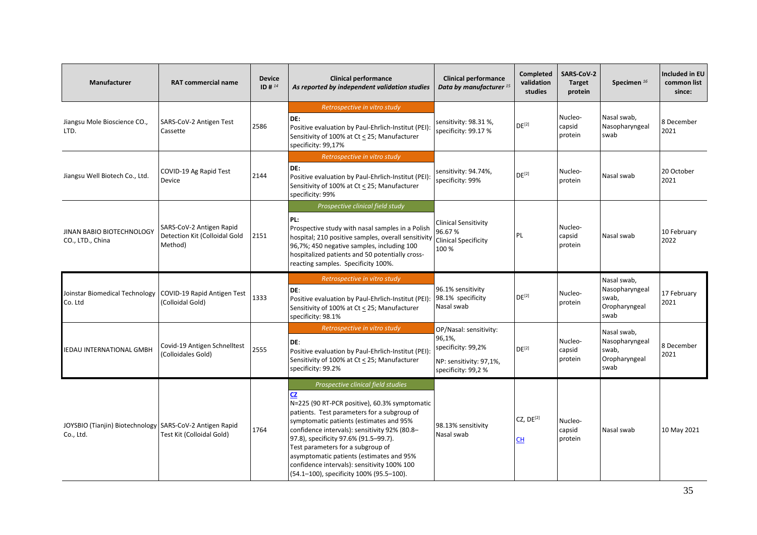| <b>Manufacturer</b>                                                   | <b>RAT commercial name</b>                                           | <b>Device</b><br>$ID#^{14}$ | <b>Clinical performance</b><br>As reported by independent validation studies                                                                                                                                                                                                                                                                                                                                                                                     | <b>Clinical performance</b><br>Data by manufacturer <sup>15</sup>                                        | <b>Completed</b><br>validation<br>studies | SARS-CoV-2<br><b>Target</b><br>protein | Specimen <sup>16</sup>                                          | <b>Included in EU</b><br>common list<br>since: |
|-----------------------------------------------------------------------|----------------------------------------------------------------------|-----------------------------|------------------------------------------------------------------------------------------------------------------------------------------------------------------------------------------------------------------------------------------------------------------------------------------------------------------------------------------------------------------------------------------------------------------------------------------------------------------|----------------------------------------------------------------------------------------------------------|-------------------------------------------|----------------------------------------|-----------------------------------------------------------------|------------------------------------------------|
| Jiangsu Mole Bioscience CO.,<br>LTD.                                  | SARS-CoV-2 Antigen Test<br>Cassette                                  | 2586                        | Retrospective in vitro study<br>DE:<br>Positive evaluation by Paul-Ehrlich-Institut (PEI):<br>Sensitivity of 100% at Ct < 25; Manufacturer<br>specificity: 99,17%                                                                                                                                                                                                                                                                                                | sensitivity: 98.31 %,<br>specificity: 99.17 %                                                            | $DE^{[2]}$                                | Nucleo-<br>capsid<br>protein           | Nasal swab,<br>Nasopharyngeal<br>swab                           | 8 December<br>2021                             |
| Jiangsu Well Biotech Co., Ltd.                                        | COVID-19 Ag Rapid Test<br>Device                                     | 2144                        | Retrospective in vitro study<br>DE:<br>Positive evaluation by Paul-Ehrlich-Institut (PEI):<br>Sensitivity of 100% at Ct < 25; Manufacturer<br>specificity: 99%                                                                                                                                                                                                                                                                                                   | sensitivity: 94.74%,<br>specificity: 99%                                                                 | DE <sup>[2]</sup>                         | Nucleo-<br>protein                     | Nasal swab                                                      | 20 October<br>2021                             |
| JINAN BABIO BIOTECHNOLOGY<br>CO., LTD., China                         | SARS-CoV-2 Antigen Rapid<br>Detection Kit (Colloidal Gold<br>Method) | 2151                        | Prospective clinical field study<br>PL:<br>Prospective study with nasal samples in a Polish<br>hospital; 210 positive samples, overall sensitivity<br>96,7%; 450 negative samples, including 100<br>hospitalized patients and 50 potentially cross-<br>reacting samples. Specificity 100%.                                                                                                                                                                       | Clinical Sensitivity<br>96.67%<br><b>Clinical Specificity</b><br>100%                                    | PL                                        | Nucleo-<br>capsid<br>protein           | Nasal swab                                                      | 10 February<br>2022                            |
| Joinstar Biomedical Technology<br>Co. Ltd                             | COVID-19 Rapid Antigen Test<br>(Colloidal Gold)                      | 1333                        | Retrospective in vitro study<br>DE:<br>Positive evaluation by Paul-Ehrlich-Institut (PEI):<br>Sensitivity of 100% at Ct < 25; Manufacturer<br>specificity: 98.1%                                                                                                                                                                                                                                                                                                 | 96.1% sensitivity<br>98.1% specificity<br>Nasal swab                                                     | DE <sup>[2]</sup>                         | Nucleo-<br>protein                     | Nasal swab,<br>Nasopharyngeal<br>swab,<br>Oropharyngeal<br>swab | 17 February<br>2021                            |
| <b>IEDAU INTERNATIONAL GMBH</b>                                       | Covid-19 Antigen Schnelltest<br>(Colloidales Gold)                   | 2555                        | Retrospective in vitro study<br>DE:<br>Positive evaluation by Paul-Ehrlich-Institut (PEI):<br>Sensitivity of 100% at Ct < 25; Manufacturer<br>specificity: 99.2%                                                                                                                                                                                                                                                                                                 | OP/Nasal: sensitivity:<br>96,1%,<br>specificity: 99,2%<br>NP: sensitivity: 97,1%,<br>specificity: 99,2 % | DE <sup>[2]</sup>                         | Nucleo-<br>capsid<br>protein           | Nasal swab,<br>Nasopharyngeal<br>swab,<br>Oropharyngeal<br>swab | 8 December<br>2021                             |
| JOYSBIO (Tianjin) Biotechnology SARS-CoV-2 Antigen Rapid<br>Co., Ltd. | Test Kit (Colloidal Gold)                                            | 1764                        | Prospective clinical field studies<br><b>CZ</b><br>N=225 (90 RT-PCR positive), 60.3% symptomatic<br>patients. Test parameters for a subgroup of<br>symptomatic patients (estimates and 95%<br>confidence intervals): sensitivity 92% (80.8-<br>97.8), specificity 97.6% (91.5-99.7).<br>Test parameters for a subgroup of<br>asymptomatic patients (estimates and 95%<br>confidence intervals): sensitivity 100% 100<br>(54.1-100), specificity 100% (95.5-100). | 98.13% sensitivity<br>Nasal swab                                                                         | CZ, DE <sup>[2]</sup><br>CН               | Nucleo-<br>capsid<br>protein           | Nasal swab                                                      | 10 May 2021                                    |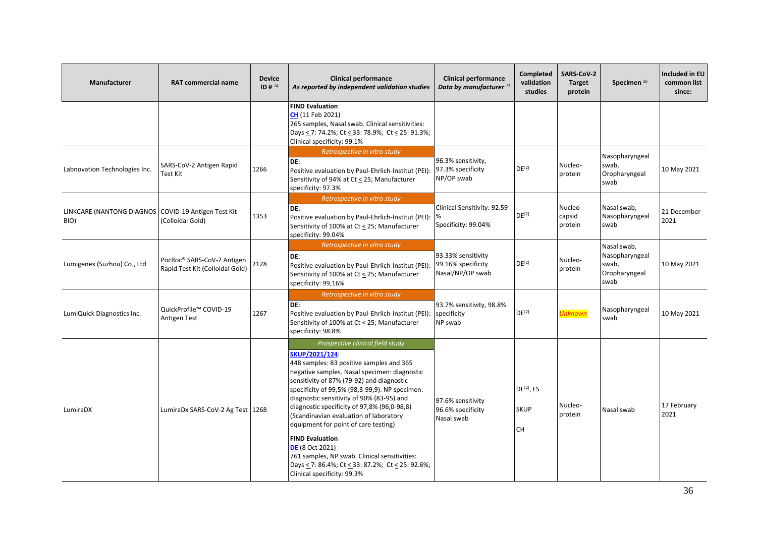| <b>Manufacturer</b>                                           | <b>RAT commercial name</b>                                    | <b>Device</b><br>ID # $^{14}$ | <b>Clinical performance</b><br>As reported by independent validation studies                                                                                                                                                                                                                                                                                                                                                                                                                                                                                                                                        | <b>Clinical performance</b><br>Data by manufacturer <sup>15</sup> | Completed<br>validation<br>studies   | SARS-CoV-2<br><b>Target</b><br>protein | Specimen <sup>16</sup>                                          | Included in EU<br>common list<br>since: |
|---------------------------------------------------------------|---------------------------------------------------------------|-------------------------------|---------------------------------------------------------------------------------------------------------------------------------------------------------------------------------------------------------------------------------------------------------------------------------------------------------------------------------------------------------------------------------------------------------------------------------------------------------------------------------------------------------------------------------------------------------------------------------------------------------------------|-------------------------------------------------------------------|--------------------------------------|----------------------------------------|-----------------------------------------------------------------|-----------------------------------------|
|                                                               |                                                               |                               | <b>FIND Evaluation</b><br>CH (11 Feb 2021)<br>265 samples, Nasal swab. Clinical sensitivities:<br>Days < 7: 74.2%; Ct < 33: 78.9%; Ct < 25: 91.3%;<br>Clinical specificity: 99.1%                                                                                                                                                                                                                                                                                                                                                                                                                                   |                                                                   |                                      |                                        |                                                                 |                                         |
| Labnovation Technologies Inc.                                 | SARS-CoV-2 Antigen Rapid<br>Test Kit                          | 1266                          | Retrospective in vitro study<br>DE:<br>Positive evaluation by Paul-Ehrlich-Institut (PEI):<br>Sensitivity of 94% at Ct < 25; Manufacturer<br>specificity: 97.3%                                                                                                                                                                                                                                                                                                                                                                                                                                                     | 96.3% sensitivity,<br>97.3% specificity<br>NP/OP swab             | DE <sup>[2]</sup>                    | Nucleo-<br>protein                     | Nasopharyngeal<br>swab,<br>Oropharyngeal<br>swab                | 10 May 2021                             |
| LINKCARE (NANTONG DIAGNOS   COVID-19 Antigen Test Kit<br>BIO) | (Colloidal Gold)                                              | 1353                          | Retrospective in vitro study<br>DE:<br>Positive evaluation by Paul-Ehrlich-Institut (PEI):<br>Sensitivity of 100% at Ct < 25; Manufacturer<br>specificity: 99.04%                                                                                                                                                                                                                                                                                                                                                                                                                                                   | Clinical Sensitivity: 92.59<br>Specificity: 99.04%                | $DE^{[2]}$                           | Nucleo-<br>capsid<br>protein           | Nasal swab,<br>Nasopharyngeal<br>swab                           | 21 December<br>2021                     |
| Lumigenex (Suzhou) Co., Ltd                                   | PocRoc® SARS-CoV-2 Antigen<br>Rapid Test Kit (Colloidal Gold) | 2128                          | Retrospective in vitro study<br>DE:<br>Positive evaluation by Paul-Ehrlich-Institut (PEI):<br>Sensitivity of 100% at Ct < 25; Manufacturer<br>specificity: 99,16%                                                                                                                                                                                                                                                                                                                                                                                                                                                   | 93.33% sensitivity<br>99.16% specificity<br>Nasal/NP/OP swab      | $DE^{[2]}$                           | Nucleo-<br>protein                     | Nasal swab,<br>Nasopharyngeal<br>swab,<br>Oropharyngeal<br>swab | 10 May 2021                             |
| LumiQuick Diagnostics Inc.                                    | QuickProfile™ COVID-19<br>Antigen Test                        | 1267                          | Retrospective in vitro study<br>DE:<br>Positive evaluation by Paul-Ehrlich-Institut (PEI):<br>Sensitivity of 100% at Ct < 25; Manufacturer<br>specificity: 98.8%                                                                                                                                                                                                                                                                                                                                                                                                                                                    | 93.7% sensitivity, 98.8%<br>specificity<br>NP swab                | DE <sup>[2]</sup>                    | <b>Unknown</b>                         | Nasopharyngeal<br>swab                                          | 10 May 2021                             |
| LumiraDX                                                      | LumiraDx SARS-CoV-2 Ag Test   1268                            |                               | Prospective clinical field study<br>SKUP/2021/124:<br>448 samples: 83 positive samples and 365<br>negative samples. Nasal specimen: diagnostic<br>sensitivity of 87% (79-92) and diagnostic<br>specificity of 99,5% (98,3-99,9). NP specimen:<br>diagnostic sensitivity of 90% (83-95) and<br>diagnostic specificity of 97,8% (96,0-98,8)<br>(Scandinavian evaluation of laboratory<br>equipment for point of care testing)<br><b>FIND Evaluation</b><br><b>DE</b> (8 Oct 2021)<br>761 samples, NP swab. Clinical sensitivities:<br>Days < 7: 86.4%; Ct < 33: 87.2%; Ct < 25: 92.6%;<br>Clinical specificity: 99.3% | 97.6% sensitivity<br>96.6% specificity<br>Nasal swab              | $DE^{[2]}$ , ES<br><b>SKUP</b><br>CH | Nucleo-<br>protein                     | Nasal swab                                                      | 17 February<br>2021                     |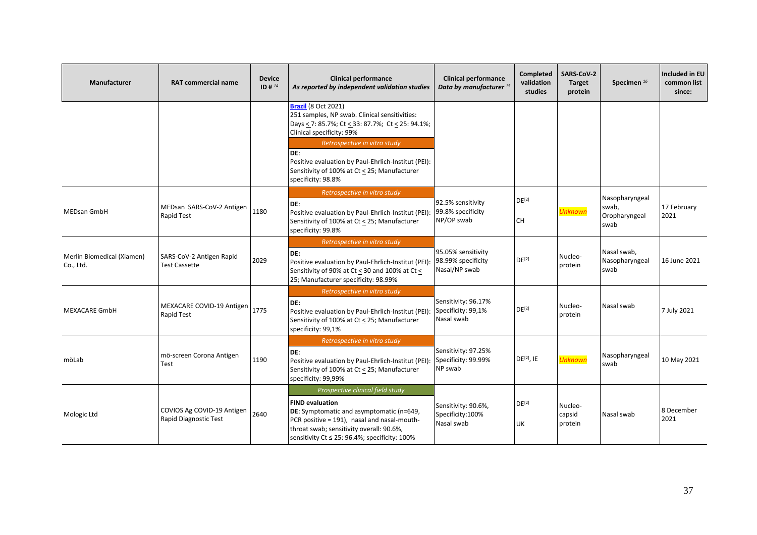| Manufacturer                            | <b>RAT commercial name</b>                          | <b>Device</b><br>ID # $^{14}$ | <b>Clinical performance</b><br>As reported by independent validation studies                                                                                                                                                                       | <b>Clinical performance</b><br>Data by manufacturer <sup>15</sup> | <b>Completed</b><br>validation<br>studies | <b>SARS-CoV-2</b><br><b>Target</b><br>protein | Specimen <sup>16</sup>                           | Included in EU<br>common list<br>since: |
|-----------------------------------------|-----------------------------------------------------|-------------------------------|----------------------------------------------------------------------------------------------------------------------------------------------------------------------------------------------------------------------------------------------------|-------------------------------------------------------------------|-------------------------------------------|-----------------------------------------------|--------------------------------------------------|-----------------------------------------|
|                                         |                                                     |                               | <b>Brazil</b> (8 Oct 2021)<br>251 samples, NP swab. Clinical sensitivities:<br>Days < 7: 85.7%; Ct < 33: 87.7%; Ct < 25: 94.1%;<br>Clinical specificity: 99%                                                                                       |                                                                   |                                           |                                               |                                                  |                                         |
|                                         |                                                     |                               | Retrospective in vitro study<br>DE:<br>Positive evaluation by Paul-Ehrlich-Institut (PEI):<br>Sensitivity of 100% at Ct < 25; Manufacturer<br>specificity: 98.8%                                                                                   |                                                                   |                                           |                                               |                                                  |                                         |
| <b>MEDsan GmbH</b>                      | MEDsan SARS-CoV-2 Antigen<br><b>Rapid Test</b>      | 1180                          | Retrospective in vitro study<br>DE:<br>Positive evaluation by Paul-Ehrlich-Institut (PEI):<br>Sensitivity of 100% at Ct < 25; Manufacturer<br>specificity: 99.8%                                                                                   | 92.5% sensitivity<br>99.8% specificity<br>NP/OP swab              | $DE^{[2]}$<br>CH                          | <b>Unknown</b>                                | Nasopharyngeal<br>swab,<br>Oropharyngeal<br>swab | 17 February<br>2021                     |
| Merlin Biomedical (Xiamen)<br>Co., Ltd. | SARS-CoV-2 Antigen Rapid<br><b>Test Cassette</b>    | 2029                          | Retrospective in vitro study<br>DE:<br>Positive evaluation by Paul-Ehrlich-Institut (PEI):<br>Sensitivity of 90% at Ct < 30 and 100% at Ct <<br>25; Manufacturer specificity: 98.99%                                                               | 95.05% sensitivity<br>98.99% specificity<br>Nasal/NP swab         | DE <sup>[2]</sup>                         | Nucleo-<br>protein                            | Nasal swab,<br>Nasopharyngeal<br>swab            | 16 June 2021                            |
| <b>MEXACARE GmbH</b>                    | MEXACARE COVID-19 Antigen<br>Rapid Test             | 1775                          | Retrospective in vitro study<br>DE:<br>Positive evaluation by Paul-Ehrlich-Institut (PEI):<br>Sensitivity of 100% at Ct < 25; Manufacturer<br>specificity: 99,1%                                                                                   | Sensitivity: 96.17%<br>Specificity: 99,1%<br>Nasal swab           | $DE^{[2]}$                                | Nucleo-<br>protein                            | Nasal swab                                       | 7 July 2021                             |
| möLab                                   | mö-screen Corona Antigen<br>Test                    | 1190                          | Retrospective in vitro study<br>DE:<br>Positive evaluation by Paul-Ehrlich-Institut (PEI):<br>Sensitivity of 100% at Ct < 25; Manufacturer<br>specificity: 99,99%                                                                                  | Sensitivity: 97.25%<br>Specificity: 99.99%<br>NP swab             | DE <sup>[2]</sup> , IE                    | <b>Unknown</b>                                | Nasopharyngeal<br>swab                           | 10 May 2021                             |
| Mologic Ltd                             | COVIOS Ag COVID-19 Antigen<br>Rapid Diagnostic Test | 2640                          | Prospective clinical field study<br><b>FIND evaluation</b><br>DE: Symptomatic and asymptomatic (n=649,<br>PCR positive = 191), nasal and nasal-mouth-<br>throat swab; sensitivity overall: 90.6%,<br>sensitivity Ct ≤ 25: 96.4%; specificity: 100% | Sensitivity: 90.6%,<br>Specificity:100%<br>Nasal swab             | DE <sup>[2]</sup><br>UK                   | Nucleo-<br>capsid<br>protein                  | Nasal swab                                       | 8 December<br>2021                      |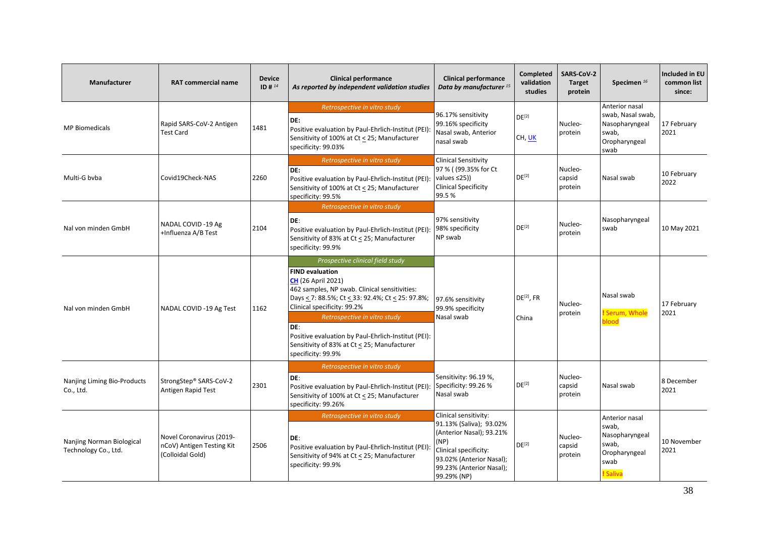| Manufacturer                                      | <b>RAT commercial name</b>                                                | <b>Device</b><br>ID # 14 | <b>Clinical performance</b><br>As reported by independent validation studies                                                                                                                                                                                                                                                                                                                   | <b>Clinical performance</b><br>Data by manufacturer <sup>15</sup>                                                                                                                    | <b>Completed</b><br>validation<br>studies | SARS-CoV-2<br><b>Target</b><br>protein | Specimen $^{16}$                                                                        | <b>Included in EU</b><br>common list<br>since: |
|---------------------------------------------------|---------------------------------------------------------------------------|--------------------------|------------------------------------------------------------------------------------------------------------------------------------------------------------------------------------------------------------------------------------------------------------------------------------------------------------------------------------------------------------------------------------------------|--------------------------------------------------------------------------------------------------------------------------------------------------------------------------------------|-------------------------------------------|----------------------------------------|-----------------------------------------------------------------------------------------|------------------------------------------------|
| <b>MP Biomedicals</b>                             | Rapid SARS-CoV-2 Antigen<br><b>Test Card</b>                              | 1481                     | Retrospective in vitro study<br>DE:<br>Positive evaluation by Paul-Ehrlich-Institut (PEI):<br>Sensitivity of 100% at Ct < 25; Manufacturer<br>specificity: 99.03%                                                                                                                                                                                                                              | 96.17% sensitivity<br>99.16% specificity<br>Nasal swab, Anterior<br>nasal swab                                                                                                       | DE <sup>[2]</sup><br>CH, UK               | Nucleo-<br>protein                     | Anterior nasal<br>swab, Nasal swab,<br>Nasopharyngeal<br>swab,<br>Oropharyngeal<br>swab | 17 February<br>2021                            |
| Multi-G byba                                      | Covid19Check-NAS                                                          | 2260                     | Retrospective in vitro study<br>DE:<br>Positive evaluation by Paul-Ehrlich-Institut (PEI):<br>Sensitivity of 100% at Ct < 25; Manufacturer<br>specificity: 99.5%                                                                                                                                                                                                                               | <b>Clinical Sensitivity</b><br>97 % ( (99.35% for Ct<br>values $\leq$ 25))<br><b>Clinical Specificity</b><br>99.5%                                                                   | DE <sup>[2]</sup>                         | Nucleo-<br>capsid<br>protein           | Nasal swab                                                                              | 10 February<br>2022                            |
| Nal von minden GmbH                               | NADAL COVID-19 Ag<br>+Influenza A/B Test                                  | 2104                     | Retrospective in vitro study<br>DE:<br>Positive evaluation by Paul-Ehrlich-Institut (PEI):<br>Sensitivity of 83% at Ct < 25; Manufacturer<br>specificity: 99.9%                                                                                                                                                                                                                                | 97% sensitivity<br>98% specificity<br>NP swab                                                                                                                                        | $DE^{[2]}$                                | Nucleo-<br>protein                     | Nasopharyngeal<br>swab                                                                  | 10 May 2021                                    |
| Nal von minden GmbH                               | NADAL COVID -19 Ag Test                                                   | 1162                     | Prospective clinical field study<br><b>FIND evaluation</b><br><b>CH</b> (26 April 2021)<br>462 samples, NP swab. Clinical sensitivities:<br>Days < 7: 88.5%; Ct < 33: 92.4%; Ct < 25: 97.8%;<br>Clinical specificity: 99.2%<br>Retrospective in vitro study<br>DE:<br>Positive evaluation by Paul-Ehrlich-Institut (PEI):<br>Sensitivity of 83% at Ct < 25; Manufacturer<br>specificity: 99.9% | 97.6% sensitivity<br>99.9% specificity<br>Nasal swab                                                                                                                                 | DE <sup>[2]</sup> , FR<br>China           | Nucleo-<br>protein                     | Nasal swab<br>! Serum, Whole<br>blood                                                   | 17 February<br>2021                            |
| Nanjing Liming Bio-Products<br>Co., Ltd.          | StrongStep® SARS-CoV-2<br>Antigen Rapid Test                              | 2301                     | Retrospective in vitro study<br>DE:<br>Positive evaluation by Paul-Ehrlich-Institut (PEI):<br>Sensitivity of 100% at Ct < 25; Manufacturer<br>specificity: 99.26%                                                                                                                                                                                                                              | Sensitivity: 96.19 %,<br>Specificity: 99.26 %<br>Nasal swab                                                                                                                          | DE <sup>[2]</sup>                         | Nucleo-<br>capsid<br>protein           | Nasal swab                                                                              | 8 December<br>2021                             |
| Nanjing Norman Biological<br>Technology Co., Ltd. | Novel Coronavirus (2019-<br>nCoV) Antigen Testing Kit<br>(Colloidal Gold) | 2506                     | Retrospective in vitro study<br>DE:<br>Positive evaluation by Paul-Ehrlich-Institut (PEI):<br>Sensitivity of 94% at Ct < 25; Manufacturer<br>specificity: 99.9%                                                                                                                                                                                                                                | Clinical sensitivity:<br>91.13% (Saliva); 93.02%<br>(Anterior Nasal); 93.21%<br>(NP)<br>Clinical specificity:<br>93.02% (Anterior Nasal);<br>99.23% (Anterior Nasal);<br>99.29% (NP) | DE <sup>[2]</sup>                         | Nucleo-<br>capsid<br>protein           | Anterior nasal<br>swab,<br>Nasopharyngeal<br>swab,<br>Oropharyngeal<br>swab<br>! Saliva | 10 November<br>2021                            |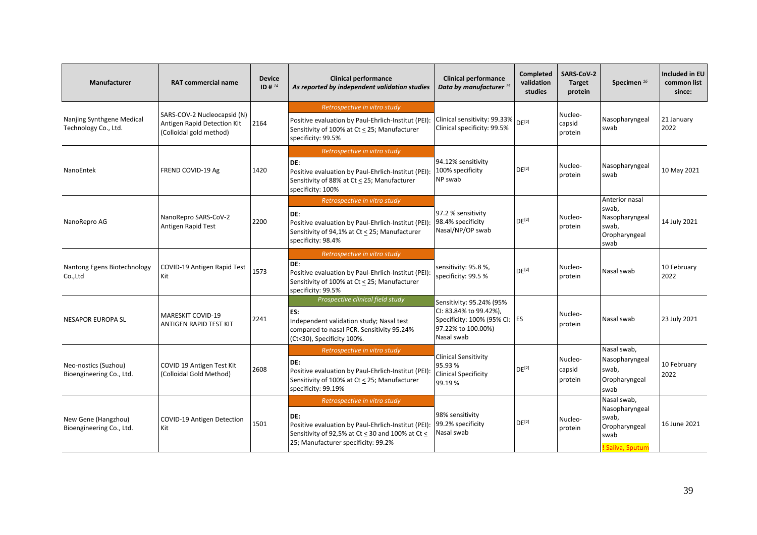| <b>Manufacturer</b>                               | <b>RAT commercial name</b>                                                            | <b>Device</b><br>ID # $^{14}$ | <b>Clinical performance</b><br>As reported by independent validation studies                                                                                                          | <b>Clinical performance</b><br>Data by manufacturer <sup>15</sup>                                                       | Completed<br>validation<br>studies | SARS-CoV-2<br><b>Target</b><br>protein | Specimen <sup>16</sup>                                                              | Included in EU<br>common list<br>since: |
|---------------------------------------------------|---------------------------------------------------------------------------------------|-------------------------------|---------------------------------------------------------------------------------------------------------------------------------------------------------------------------------------|-------------------------------------------------------------------------------------------------------------------------|------------------------------------|----------------------------------------|-------------------------------------------------------------------------------------|-----------------------------------------|
| Nanjing Synthgene Medical<br>Technology Co., Ltd. | SARS-COV-2 Nucleocapsid (N)<br>Antigen Rapid Detection Kit<br>(Colloidal gold method) | 2164                          | Retrospective in vitro study<br>Positive evaluation by Paul-Ehrlich-Institut (PEI):<br>Sensitivity of 100% at Ct < 25; Manufacturer<br>specificity: 99.5%                             | Clinical sensitivity: 99.33%<br>Clinical specificity: 99.5%                                                             | DF <sup>[2]</sup>                  | Nucleo-<br>capsid<br>protein           | Nasopharyngeal<br>swab                                                              | 21 January<br>2022                      |
| NanoEntek                                         | FREND COVID-19 Ag                                                                     | 1420                          | Retrospective in vitro study<br>DE:<br>Positive evaluation by Paul-Ehrlich-Institut (PEI):<br>Sensitivity of 88% at Ct < 25; Manufacturer<br>specificity: 100%                        | 94.12% sensitivity<br>100% specificity<br>NP swab                                                                       | $DE^{[2]}$                         | Nucleo-<br>protein                     | Nasopharyngeal<br>swab                                                              | 10 May 2021                             |
| NanoRepro AG                                      | NanoRepro SARS-CoV-2<br>Antigen Rapid Test                                            | 2200                          | Retrospective in vitro study<br>DE:<br>Positive evaluation by Paul-Ehrlich-Institut (PEI):<br>Sensitivity of 94,1% at Ct < 25; Manufacturer<br>specificity: 98.4%                     | 97.2 % sensitivity<br>98.4% specificity<br>Nasal/NP/OP swab                                                             | $DE^{[2]}$                         | Nucleo-<br>protein                     | Anterior nasal<br>swab,<br>Nasopharyngeal<br>swab.<br>Oropharyngeal<br>swab         | 14 July 2021                            |
| Nantong Egens Biotechnology<br>Co., Ltd           | COVID-19 Antigen Rapid Test<br>Kit                                                    | 1573                          | Retrospective in vitro study<br>DE:<br>Positive evaluation by Paul-Ehrlich-Institut (PEI):<br>Sensitivity of 100% at Ct < 25; Manufacturer<br>specificity: 99.5%                      | sensitivity: 95.8 %,<br>specificity: 99.5 %                                                                             | $DE^{[2]}$                         | Nucleo-<br>protein                     | Nasal swab                                                                          | 10 February<br>2022                     |
| <b>NESAPOR EUROPA SL</b>                          | <b>MARESKIT COVID-19</b><br><b>ANTIGEN RAPID TEST KIT</b>                             | 2241                          | Prospective clinical field study<br>ES:<br>Independent validation study; Nasal test<br>compared to nasal PCR. Sensitivity 95.24%<br>(Ct<30), Specificity 100%.                        | Sensitivity: 95.24% (95%<br>CI: 83.84% to 99.42%),<br>Specificity: 100% (95% CI: ES<br>97.22% to 100.00%)<br>Nasal swab |                                    | Nucleo-<br>protein                     | Nasal swab                                                                          | 23 July 2021                            |
| Neo-nostics (Suzhou)<br>Bioengineering Co., Ltd.  | COVID 19 Antigen Test Kit<br>(Colloidal Gold Method)                                  | 2608                          | Retrospective in vitro study<br>DE:<br>Positive evaluation by Paul-Ehrlich-Institut (PEI):<br>Sensitivity of 100% at Ct < 25; Manufacturer<br>specificity: 99.19%                     | <b>Clinical Sensitivity</b><br>95.93%<br><b>Clinical Specificity</b><br>99.19%                                          | DE <sup>[2]</sup>                  | Nucleo-<br>capsid<br>protein           | Nasal swab,<br>Nasopharyngeal<br>swab,<br>Oropharyngeal<br>swab                     | 10 February<br>2022                     |
| New Gene (Hangzhou)<br>Bioengineering Co., Ltd.   | COVID-19 Antigen Detection<br>Kit                                                     | 1501                          | Retrospective in vitro study<br>DE:<br>Positive evaluation by Paul-Ehrlich-Institut (PEI):<br>Sensitivity of 92,5% at Ct < 30 and 100% at Ct <<br>25; Manufacturer specificity: 99.2% | 98% sensitivity<br>99.2% specificity<br>Nasal swab                                                                      | DE <sup>[2]</sup>                  | Nucleo-<br>protein                     | Nasal swab,<br>Nasopharyngeal<br>swab,<br>Oropharyngeal<br>swab<br>! Saliva, Sputum | 16 June 2021                            |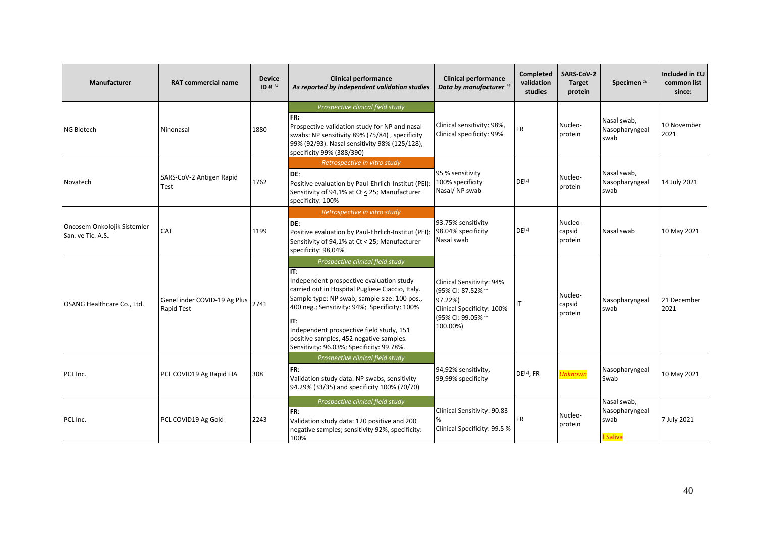| Manufacturer                                     | <b>RAT commercial name</b>                | <b>Device</b><br>ID # $^{14}$ | <b>Clinical performance</b><br>As reported by independent validation studies                                                                                                                                                                                                                                                                                                        | <b>Clinical performance</b><br>Data by manufacturer <sup>15</sup>                                                        | Completed<br>validation<br>studies | <b>SARS-CoV-2</b><br><b>Target</b><br>protein | Specimen <sup>16</sup>                            | Included in EU<br>common list<br>since: |
|--------------------------------------------------|-------------------------------------------|-------------------------------|-------------------------------------------------------------------------------------------------------------------------------------------------------------------------------------------------------------------------------------------------------------------------------------------------------------------------------------------------------------------------------------|--------------------------------------------------------------------------------------------------------------------------|------------------------------------|-----------------------------------------------|---------------------------------------------------|-----------------------------------------|
| NG Biotech                                       | Ninonasal                                 | 1880                          | Prospective clinical field study<br>FR:<br>Prospective validation study for NP and nasal<br>swabs: NP sensitivity 89% (75/84), specificity<br>99% (92/93). Nasal sensitivity 98% (125/128),<br>specificity 99% (388/390)                                                                                                                                                            | Clinical sensitivity: 98%,<br>Clinical specificity: 99%                                                                  | FR.                                | Nucleo-<br>protein                            | Nasal swab,<br>Nasopharyngeal<br>swab             | 10 November<br>2021                     |
| Novatech                                         | SARS-CoV-2 Antigen Rapid<br>Test          | 1762                          | Retrospective in vitro study<br>DE:<br>Positive evaluation by Paul-Ehrlich-Institut (PEI):<br>Sensitivity of 94,1% at Ct < 25; Manufacturer<br>specificity: 100%                                                                                                                                                                                                                    | 95 % sensitivity<br>100% specificity<br>Nasal/NP swab                                                                    | $DE^{[2]}$                         | Nucleo-<br>protein                            | Nasal swab,<br>Nasopharyngeal<br>swab             | 14 July 2021                            |
| Oncosem Onkolojik Sistemler<br>San. ve Tic. A.S. | CAT                                       | 1199                          | Retrospective in vitro study<br>DE:<br>Positive evaluation by Paul-Ehrlich-Institut (PEI):<br>Sensitivity of 94,1% at Ct < 25; Manufacturer<br>specificity: 98,04%                                                                                                                                                                                                                  | 93.75% sensitivity<br>98.04% specificity<br>Nasal swab                                                                   | DE <sup>[2]</sup>                  | Nucleo-<br>capsid<br>protein                  | Nasal swab                                        | 10 May 2021                             |
| OSANG Healthcare Co., Ltd.                       | GeneFinder COVID-19 Ag Plus<br>Rapid Test | 2741                          | Prospective clinical field study<br>IT:<br>Independent prospective evaluation study<br>carried out in Hospital Pugliese Ciaccio, Italy.<br>Sample type: NP swab; sample size: 100 pos.,<br>400 neg.; Sensitivity: 94%; Specificity: 100%<br>IT:<br>Independent prospective field study, 151<br>positive samples, 452 negative samples.<br>Sensitivity: 96.03%; Specificity: 99.78%. | Clinical Sensitivity: 94%<br>(95% CI: 87.52% ~<br>97.22%)<br>Clinical Specificity: 100%<br>(95% CI: 99.05% ~<br>100.00%) | IT                                 | Nucleo-<br>capsid<br>protein                  | Nasopharyngeal<br>swab                            | 21 December<br>2021                     |
| PCL Inc.                                         | PCL COVID19 Ag Rapid FIA                  | 308                           | Prospective clinical field study<br>FR:<br>Validation study data: NP swabs, sensitivity<br>94.29% (33/35) and specificity 100% (70/70)                                                                                                                                                                                                                                              | 94,92% sensitivity,<br>99,99% specificity                                                                                | $DE[2]$ , FR                       | <b>Unknown</b>                                | Nasopharyngeal<br>Swab                            | 10 May 2021                             |
| PCL Inc.                                         | PCL COVID19 Ag Gold                       | 2243                          | Prospective clinical field study<br>FR:<br>Validation study data: 120 positive and 200<br>negative samples; sensitivity 92%, specificity:<br>100%                                                                                                                                                                                                                                   | Clinical Sensitivity: 90.83<br>%<br>Clinical Specificity: 99.5 %                                                         | <b>FR</b>                          | Nucleo-<br>protein                            | Nasal swab,<br>Nasopharyngeal<br>swab<br>! Saliva | 7 July 2021                             |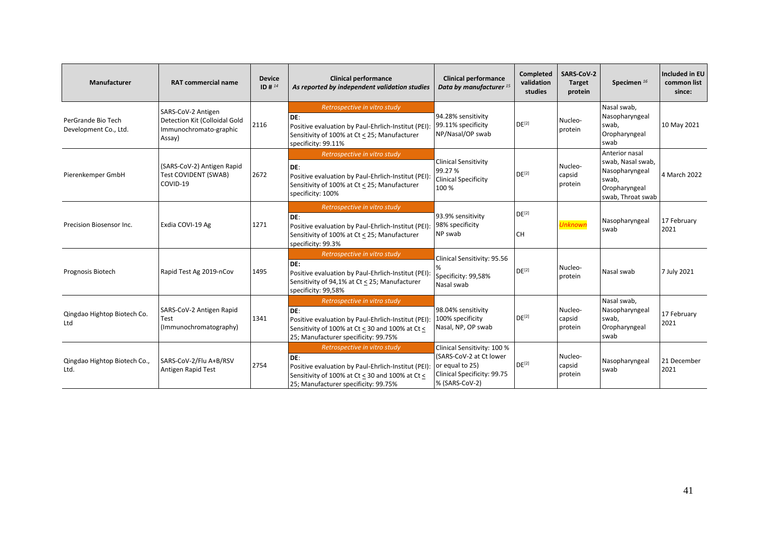| Manufacturer                                | <b>RAT commercial name</b>                                                              | <b>Device</b><br>$ID#^{14}$ | <b>Clinical performance</b><br>As reported by independent validation studies                                                                                                          | <b>Clinical performance</b><br>Data by manufacturer <sup>15</sup>                                                          | Completed<br>validation<br>studies | <b>SARS CoV-2</b><br><b>Target</b><br>protein | Specimen <sup>16</sup>                                                                               | <b>Included in EU</b><br>common list<br>since: |
|---------------------------------------------|-----------------------------------------------------------------------------------------|-----------------------------|---------------------------------------------------------------------------------------------------------------------------------------------------------------------------------------|----------------------------------------------------------------------------------------------------------------------------|------------------------------------|-----------------------------------------------|------------------------------------------------------------------------------------------------------|------------------------------------------------|
| PerGrande Bio Tech<br>Development Co., Ltd. | SARS-CoV-2 Antigen<br>Detection Kit (Colloidal Gold<br>Immunochromato-graphic<br>Assay) | 2116                        | Retrospective in vitro study<br>DE:<br>Positive evaluation by Paul-Ehrlich-Institut (PEI):<br>Sensitivity of 100% at Ct < 25; Manufacturer<br>specificity: 99.11%                     | 94.28% sensitivity<br>99.11% specificity<br>NP/Nasal/OP swab                                                               | $DE^{[2]}$                         | Nucleo-<br>protein                            | Nasal swab,<br>Nasopharyngeal<br>swab,<br>Oropharyngeal<br>swab                                      | 10 May 2021                                    |
| Pierenkemper GmbH                           | (SARS-CoV-2) Antigen Rapid<br>Test COVIDENT (SWAB)<br>COVID-19                          | 2672                        | Retrospective in vitro study<br>DE:<br>Positive evaluation by Paul-Ehrlich-Institut (PEI):<br>Sensitivity of 100% at Ct < 25; Manufacturer<br>specificity: 100%                       | <b>Clinical Sensitivity</b><br>99.27%<br><b>Clinical Specificity</b><br>100%                                               | DE <sup>[2]</sup>                  | Nucleo-<br>capsid<br>protein                  | Anterior nasal<br>swab, Nasal swab,<br>Nasopharyngeal<br>swab,<br>Oropharyngeal<br>swab, Throat swab | 4 March 2022                                   |
| Precision Biosensor Inc.                    | Exdia COVI-19 Ag                                                                        | 1271                        | Retrospective in vitro study<br>DE:<br>Positive evaluation by Paul-Ehrlich-Institut (PEI):<br>Sensitivity of 100% at Ct < 25; Manufacturer<br>specificity: 99.3%                      | 93.9% sensitivity<br>98% specificity<br>NP swab                                                                            | DE <sup>[2]</sup><br><b>CH</b>     | <b>Unknown</b>                                | Nasopharyngeal<br>swab                                                                               | 17 February<br>2021                            |
| Prognosis Biotech                           | Rapid Test Ag 2019-nCov                                                                 | 1495                        | Retrospective in vitro study<br>DE:<br>Positive evaluation by Paul-Ehrlich-Institut (PEI):<br>Sensitivity of 94,1% at Ct < 25; Manufacturer<br>specificity: 99,58%                    | Clinical Sensitivity: 95.56<br>Specificity: 99,58%<br>Nasal swab                                                           | $DE^{[2]}$                         | Nucleo-<br>protein                            | Nasal swab                                                                                           | 7 July 2021                                    |
| Qingdao Hightop Biotech Co.<br>Ltd          | SARS-CoV-2 Antigen Rapid<br>Test<br>(Immunochromatography)                              | 1341                        | Retrospective in vitro study<br>DE:<br>Positive evaluation by Paul-Ehrlich-Institut (PEI):<br>Sensitivity of 100% at Ct < 30 and 100% at Ct <<br>25; Manufacturer specificity: 99.75% | 98.04% sensitivity<br>100% specificity<br>Nasal, NP, OP swab                                                               | DE <sup>[2]</sup>                  | Nucleo-<br>capsid<br>protein                  | Nasal swab,<br>Nasopharyngeal<br>swab,<br>Oropharyngeal<br>swab                                      | 17 February<br>2021                            |
| Qingdao Hightop Biotech Co.,<br>Ltd.        | SARS-CoV-2/Flu A+B/RSV<br>Antigen Rapid Test                                            | 2754                        | Retrospective in vitro study<br>DE:<br>Positive evaluation by Paul-Ehrlich-Institut (PEI):<br>Sensitivity of 100% at Ct < 30 and 100% at Ct <<br>25; Manufacturer specificity: 99.75% | Clinical Sensitivity: 100 %<br>(SARS-CoV-2 at Ct lower<br>or equal to 25)<br>Clinical Specificity: 99.75<br>% (SARS-CoV-2) | DE <sup>[2]</sup>                  | Nucleo-<br>capsid<br>protein                  | Nasopharyngeal<br>swab                                                                               | 21 December<br>2021                            |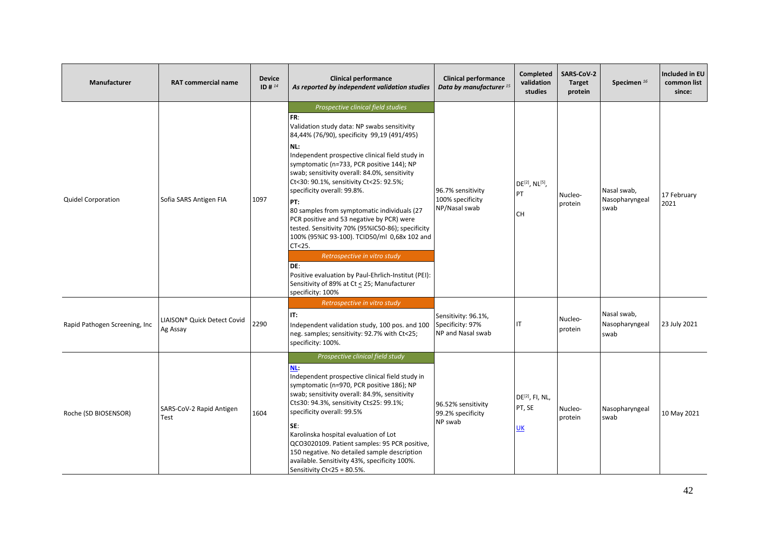| Manufacturer                   | <b>RAT commercial name</b>              | <b>Device</b><br>ID # $^{14}$ | <b>Clinical performance</b><br>As reported by independent validation studies                                                                                                                                                                                                                                                                                                                                                                                                                                                                                                                                                                                                                                                                                    | <b>Clinical performance</b><br>Data by manufacturer <sup>15</sup> | <b>Completed</b><br>validation<br>studies                  | <b>SARS-CoV-2</b><br><b>Target</b><br>protein | Specimen <sup>16</sup>                | <b>Included in EU</b><br>common list<br>since: |
|--------------------------------|-----------------------------------------|-------------------------------|-----------------------------------------------------------------------------------------------------------------------------------------------------------------------------------------------------------------------------------------------------------------------------------------------------------------------------------------------------------------------------------------------------------------------------------------------------------------------------------------------------------------------------------------------------------------------------------------------------------------------------------------------------------------------------------------------------------------------------------------------------------------|-------------------------------------------------------------------|------------------------------------------------------------|-----------------------------------------------|---------------------------------------|------------------------------------------------|
| <b>Quidel Corporation</b>      | Sofia SARS Antigen FIA                  | 1097                          | Prospective clinical field studies<br>FR:<br>Validation study data: NP swabs sensitivity<br>84,44% (76/90), specificity 99,19 (491/495)<br>NL:<br>Independent prospective clinical field study in<br>symptomatic (n=733, PCR positive 144); NP<br>swab; sensitivity overall: 84.0%, sensitivity<br>Ct<30: 90.1%, sensitivity Ct<25: 92.5%;<br>specificity overall: 99.8%.<br>PT:<br>80 samples from symptomatic individuals (27<br>PCR positive and 53 negative by PCR) were<br>tested. Sensitivity 70% (95%IC50-86); specificity<br>100% (95%IC 93-100). TCID50/ml 0,68x 102 and<br>CT < 25.<br>Retrospective in vitro study<br>DE:<br>Positive evaluation by Paul-Ehrlich-Institut (PEI):<br>Sensitivity of 89% at Ct < 25; Manufacturer<br>specificity: 100% | 96.7% sensitivity<br>100% specificity<br>NP/Nasal swab            | DE <sup>[2]</sup> , NL <sup>[5]</sup> ,<br>PT<br><b>CH</b> | Nucleo-<br>protein                            | Nasal swab,<br>Nasopharyngeal<br>swab | 17 February<br>2021                            |
| Rapid Pathogen Screening, Inc. | LIAISON® Quick Detect Covid<br>Ag Assay | 2290                          | Retrospective in vitro study<br>IT:<br>Independent validation study, 100 pos. and 100<br>neg. samples; sensitivity: 92.7% with Ct<25;<br>specificity: 100%.                                                                                                                                                                                                                                                                                                                                                                                                                                                                                                                                                                                                     | Sensitivity: 96.1%,<br>Specificity: 97%<br>NP and Nasal swab      | IT                                                         | Nucleo-<br>protein                            | Nasal swab,<br>Nasopharyngeal<br>swab | 23 July 2021                                   |
| Roche (SD BIOSENSOR)           | SARS-CoV-2 Rapid Antigen<br>Test        | 1604                          | Prospective clinical field study<br>NL:<br>Independent prospective clinical field study in<br>symptomatic (n=970, PCR positive 186); NP<br>swab; sensitivity overall: 84.9%, sensitivity<br>Ct < 30: 94.3%, sensitivity Ct < 25: 99.1%;<br>specificity overall: 99.5%<br>SE:<br>Karolinska hospital evaluation of Lot<br>QCO3020109. Patient samples: 95 PCR positive,<br>150 negative. No detailed sample description<br>available. Sensitivity 43%, specificity 100%.<br>Sensitivity Ct<25 = 80.5%.                                                                                                                                                                                                                                                           | 96.52% sensitivity<br>99.2% specificity<br>NP swab                | DE <sup>[2]</sup> , FI, NL,<br>PT, SE<br><u>UK</u>         | Nucleo-<br>protein                            | Nasopharyngeal<br>swab                | 10 May 2021                                    |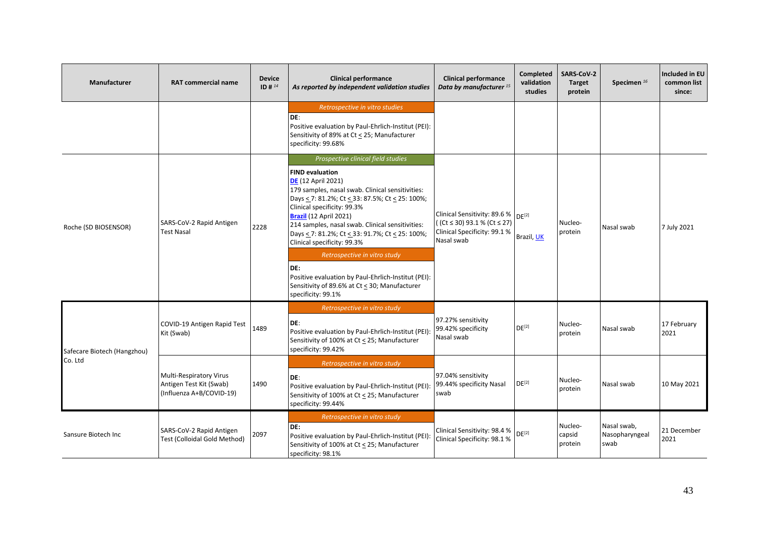| <b>Manufacturer</b>         | <b>RAT commercial name</b>                                                     | <b>Device</b><br>ID # $^{14}$ | <b>Clinical performance</b><br>As reported by independent validation studies                                                                                                                                                                                                                                                                                                                                                                                                                                                                                                | <b>Clinical performance</b><br>Data by manufacturer <sup>15</sup>                                                           | <b>Completed</b><br>validation<br>studies | SARS-CoV-2<br>Target<br>protein | Specimen <sup>16</sup>                | Included in EU<br>common list<br>since: |
|-----------------------------|--------------------------------------------------------------------------------|-------------------------------|-----------------------------------------------------------------------------------------------------------------------------------------------------------------------------------------------------------------------------------------------------------------------------------------------------------------------------------------------------------------------------------------------------------------------------------------------------------------------------------------------------------------------------------------------------------------------------|-----------------------------------------------------------------------------------------------------------------------------|-------------------------------------------|---------------------------------|---------------------------------------|-----------------------------------------|
|                             |                                                                                |                               | Retrospective in vitro studies<br>DE:<br>Positive evaluation by Paul-Ehrlich-Institut (PEI):<br>Sensitivity of 89% at Ct < 25; Manufacturer<br>specificity: 99.68%                                                                                                                                                                                                                                                                                                                                                                                                          |                                                                                                                             |                                           |                                 |                                       |                                         |
| Roche (SD BIOSENSOR)        | SARS-CoV-2 Rapid Antigen<br><b>Test Nasal</b>                                  | 2228                          | Prospective clinical field studies<br><b>FIND evaluation</b><br><b>DE</b> (12 April 2021)<br>179 samples, nasal swab. Clinical sensitivities:<br>Days < 7: 81.2%; Ct < 33: 87.5%; Ct < 25: 100%;<br>Clinical specificity: 99.3%<br><b>Brazil</b> (12 April 2021)<br>214 samples, nasal swab. Clinical sensitivities:<br>Days < 7: 81.2%; Ct < 33: 91.7%; Ct < 25: 100%;<br>Clinical specificity: 99.3%<br>Retrospective in vitro study<br>DE:<br>Positive evaluation by Paul-Ehrlich-Institut (PEI):<br>Sensitivity of 89.6% at Ct < 30; Manufacturer<br>specificity: 99.1% | Clinical Sensitivity: 89.6 % DE[2]<br>$($ (Ct $\leq$ 30) 93.1 % (Ct $\leq$ 27)<br>Clinical Specificity: 99.1%<br>Nasal swab | Brazil, UK                                | Nucleo-<br>protein              | Nasal swab                            | 7 July 2021                             |
| Safecare Biotech (Hangzhou) | COVID-19 Antigen Rapid Test<br>Kit (Swab)                                      | 1489                          | Retrospective in vitro study<br>DE:<br>Positive evaluation by Paul-Ehrlich-Institut (PEI):<br>Sensitivity of 100% at Ct < 25; Manufacturer<br>specificity: 99.42%                                                                                                                                                                                                                                                                                                                                                                                                           | 97.27% sensitivity<br>99.42% specificity<br>Nasal swab                                                                      | DE <sup>[2]</sup>                         | Nucleo-<br>protein              | Nasal swab                            | 17 February<br>2021                     |
| Co. Ltd                     | Multi-Respiratory Virus<br>Antigen Test Kit (Swab)<br>(Influenza A+B/COVID-19) | 1490                          | Retrospective in vitro study<br>DE:<br>Positive evaluation by Paul-Ehrlich-Institut (PEI):<br>Sensitivity of 100% at Ct < 25; Manufacturer<br>specificity: 99.44%                                                                                                                                                                                                                                                                                                                                                                                                           | 97.04% sensitivity<br>99.44% specificity Nasal<br>swab                                                                      | DE <sup>[2]</sup>                         | Nucleo-<br>protein              | Nasal swab                            | 10 May 2021                             |
| Sansure Biotech Inc         | SARS-CoV-2 Rapid Antigen<br>Test (Colloidal Gold Method)                       | 2097                          | Retrospective in vitro study<br>DE:<br>Positive evaluation by Paul-Ehrlich-Institut (PEI):<br>Sensitivity of 100% at Ct < 25; Manufacturer<br>specificity: 98.1%                                                                                                                                                                                                                                                                                                                                                                                                            | Clinical Sensitivity: 98.4 %<br>Clinical Specificity: 98.1%                                                                 | DF <sup>[2]</sup>                         | Nucleo-<br>capsid<br>protein    | Nasal swab,<br>Nasopharyngeal<br>swab | 21 December<br>2021                     |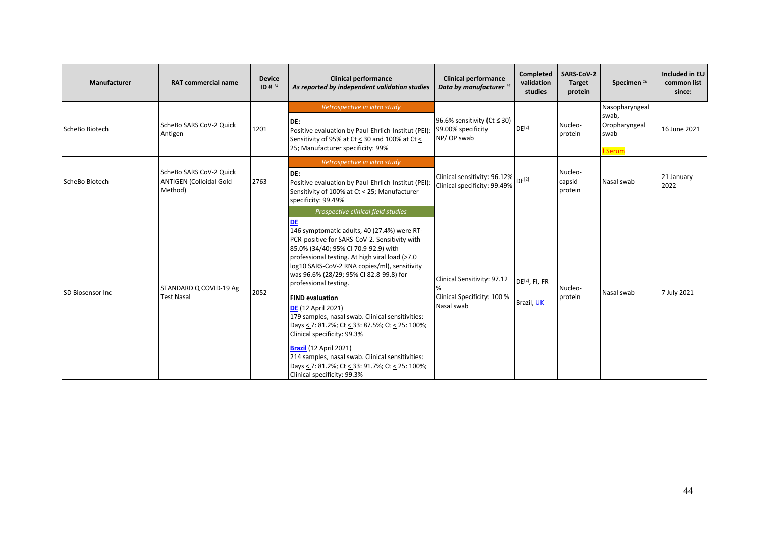| Manufacturer     | <b>RAT commercial name</b>                                           | <b>Device</b><br>ID # $^{14}$ | <b>Clinical performance</b><br>As reported by independent validation studies                                                                                                                                                                                                                                                                                                                                                                                                                                                                                                                                                                                                                                               | <b>Clinical performance</b><br>Data by manufacturer <sup>15</sup>                               | Completed<br>validation<br>studies | SARS-CoV-2<br>Target<br>protein | Specimen $^{16}$                                            | Included in EU<br>common list<br>since: |
|------------------|----------------------------------------------------------------------|-------------------------------|----------------------------------------------------------------------------------------------------------------------------------------------------------------------------------------------------------------------------------------------------------------------------------------------------------------------------------------------------------------------------------------------------------------------------------------------------------------------------------------------------------------------------------------------------------------------------------------------------------------------------------------------------------------------------------------------------------------------------|-------------------------------------------------------------------------------------------------|------------------------------------|---------------------------------|-------------------------------------------------------------|-----------------------------------------|
| ScheBo Biotech   | ScheBo SARS CoV-2 Quick<br>Antigen                                   | 1201                          | Retrospective in vitro study<br>DE:<br>Positive evaluation by Paul-Ehrlich-Institut (PEI):<br>Sensitivity of 95% at Ct < 30 and 100% at Ct <<br>25; Manufacturer specificity: 99%                                                                                                                                                                                                                                                                                                                                                                                                                                                                                                                                          | 96.6% sensitivity (Ct ≤ 30)<br>99.00% specificity<br>NP/OP swab                                 | $DE^{[2]}$                         | Nucleo-<br>protein              | Nasopharyngeal<br>swab,<br>Oropharyngeal<br>swab<br>! Serum | 16 June 2021                            |
| ScheBo Biotech   | ScheBo SARS CoV-2 Quick<br><b>ANTIGEN (Colloidal Gold</b><br>Method) | 2763                          | Retrospective in vitro study<br>DE:<br>Positive evaluation by Paul-Ehrlich-Institut (PEI):<br>Sensitivity of 100% at Ct < 25; Manufacturer<br>specificity: 99.49%                                                                                                                                                                                                                                                                                                                                                                                                                                                                                                                                                          | Clinical sensitivity: 96.12% $\left  \right.$ DE <sup>[2]</sup><br>Clinical specificity: 99.49% |                                    | Nucleo-<br>capsid<br>protein    | Nasal swab                                                  | 21 January<br>2022                      |
| SD Biosensor Inc | STANDARD Q COVID-19 Ag<br><b>Test Nasal</b>                          | 2052                          | Prospective clinical field studies<br><b>DE</b><br>146 symptomatic adults, 40 (27.4%) were RT-<br>PCR-positive for SARS-CoV-2. Sensitivity with<br>85.0% (34/40; 95% CI 70.9-92.9) with<br>professional testing. At high viral load (>7.0<br>log10 SARS-CoV-2 RNA copies/ml), sensitivity<br>was 96.6% (28/29; 95% CI 82.8-99.8) for<br>professional testing.<br><b>FIND evaluation</b><br><b>DE</b> (12 April 2021)<br>179 samples, nasal swab. Clinical sensitivities:<br>Days < 7: 81.2%; Ct < 33: 87.5%; Ct < 25: 100%;<br>Clinical specificity: 99.3%<br>Brazil (12 April 2021)<br>214 samples, nasal swab. Clinical sensitivities:<br>Days < 7: 81.2%; Ct < 33: 91.7%; Ct < 25: 100%;<br>Clinical specificity: 99.3% | Clinical Sensitivity: 97.12<br>Clinical Specificity: 100 %<br>Nasal swab                        | $DE[2]$ , FI, FR<br>Brazil, UK     | Nucleo-<br>protein              | Nasal swab                                                  | 7 July 2021                             |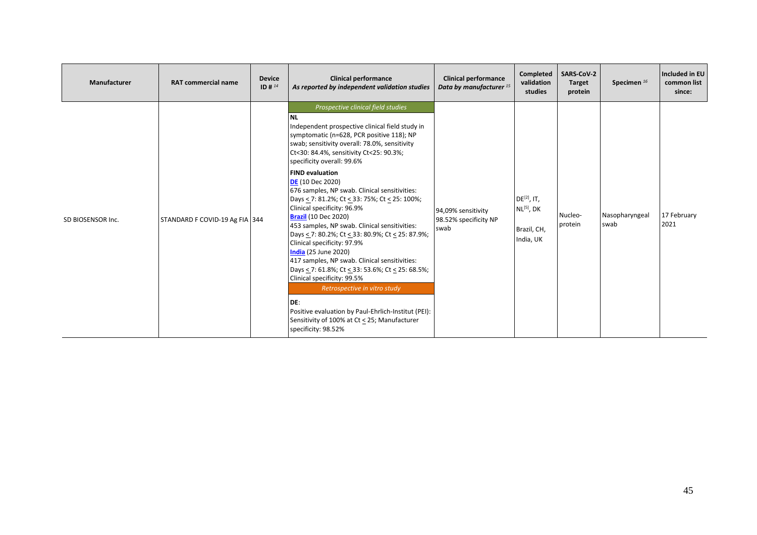| Manufacturer      | <b>RAT commercial name</b>     | <b>Device</b><br>ID # $^{14}$ | <b>Clinical performance</b><br>As reported by independent validation studies                                                                                                                                                                                                                                                                                                                                                                                                                                                                                                                                                                                                                                                                                                                                                                                                                                                                                                           | <b>Clinical performance</b><br>Data by manufacturer <sup>15</sup> | Completed<br>validation<br>studies                              | <b>SARS-CoV-2</b><br>Target<br>protein | Specimen <sup>16</sup> | Included in EU<br>common list<br>since: |
|-------------------|--------------------------------|-------------------------------|----------------------------------------------------------------------------------------------------------------------------------------------------------------------------------------------------------------------------------------------------------------------------------------------------------------------------------------------------------------------------------------------------------------------------------------------------------------------------------------------------------------------------------------------------------------------------------------------------------------------------------------------------------------------------------------------------------------------------------------------------------------------------------------------------------------------------------------------------------------------------------------------------------------------------------------------------------------------------------------|-------------------------------------------------------------------|-----------------------------------------------------------------|----------------------------------------|------------------------|-----------------------------------------|
| SD BIOSENSOR Inc. | STANDARD F COVID-19 Ag FIA 344 |                               | Prospective clinical field studies<br><b>NL</b><br>Independent prospective clinical field study in<br>symptomatic (n=628, PCR positive 118); NP<br>swab; sensitivity overall: 78.0%, sensitivity<br>Ct<30: 84.4%, sensitivity Ct<25: 90.3%;<br>specificity overall: 99.6%<br><b>FIND evaluation</b><br><b>DE</b> (10 Dec 2020)<br>676 samples, NP swab. Clinical sensitivities:<br>Days < 7: 81.2%; Ct < 33: 75%; Ct < 25: 100%;<br>Clinical specificity: 96.9%<br><b>Brazil (10 Dec 2020)</b><br>453 samples, NP swab. Clinical sensitivities:<br>Days $\le$ 7: 80.2%; Ct $\le$ 33: 80.9%; Ct $\le$ 25: 87.9%;<br>Clinical specificity: 97.9%<br><b>India</b> (25 June 2020)<br>417 samples, NP swab. Clinical sensitivities:<br>Days < 7: 61.8%; Ct < 33: 53.6%; Ct < 25: 68.5%;<br>Clinical specificity: 99.5%<br>Retrospective in vitro study<br>DE:<br>Positive evaluation by Paul-Ehrlich-Institut (PEI):<br>Sensitivity of 100% at Ct < 25; Manufacturer<br>specificity: 98.52% | 94,09% sensitivity<br>98.52% specificity NP<br>swab               | $DE^{[2]}$ , IT,<br>$NL^{[5]}$ , DK<br>Brazil, CH,<br>India, UK | Nucleo-<br>protein                     | Nasopharyngeal<br>swab | 17 February<br>2021                     |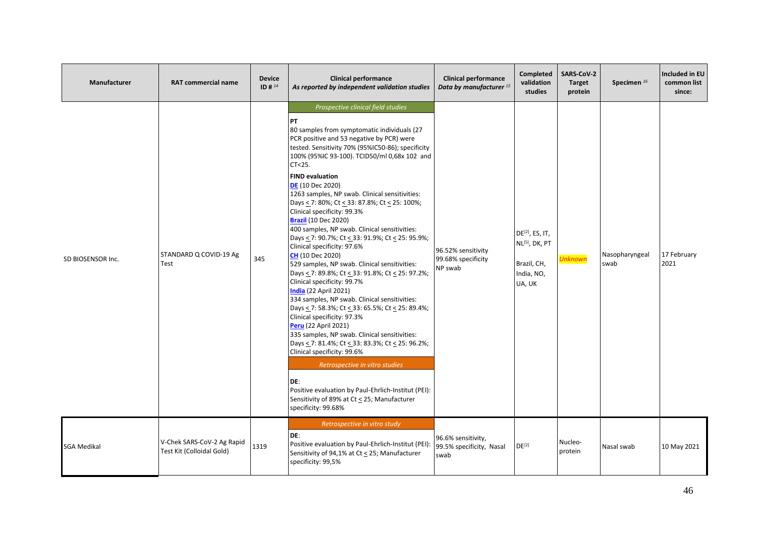| Manufacturer       | <b>RAT commercial name</b>                              | <b>Device</b><br>ID # $^{14}$ | <b>Clinical performance</b><br>As reported by independent validation studies                                                                                                                                                                                                                                                                                                                                                                                                                                                                                                                                                                                                                                                                                                                                                                                                                                                                                                                                                                                                                                                                                                                                                                                                              | <b>Clinical performance</b><br>Data by manufacturer <sup>15</sup> | Completed<br>validation<br>studies                                                               | SARS-CoV-2<br><b>Target</b><br>protein | Specimen <sup>16</sup> | Included in EU<br>common list<br>since: |
|--------------------|---------------------------------------------------------|-------------------------------|-------------------------------------------------------------------------------------------------------------------------------------------------------------------------------------------------------------------------------------------------------------------------------------------------------------------------------------------------------------------------------------------------------------------------------------------------------------------------------------------------------------------------------------------------------------------------------------------------------------------------------------------------------------------------------------------------------------------------------------------------------------------------------------------------------------------------------------------------------------------------------------------------------------------------------------------------------------------------------------------------------------------------------------------------------------------------------------------------------------------------------------------------------------------------------------------------------------------------------------------------------------------------------------------|-------------------------------------------------------------------|--------------------------------------------------------------------------------------------------|----------------------------------------|------------------------|-----------------------------------------|
| SD BIOSENSOR Inc.  | STANDARD Q COVID-19 Ag<br>Test                          | 345                           | Prospective clinical field studies<br><b>PT</b><br>80 samples from symptomatic individuals (27<br>PCR positive and 53 negative by PCR) were<br>tested. Sensitivity 70% (95%IC50-86); specificity<br>100% (95%IC 93-100). TCID50/ml 0,68x 102 and<br>CT<25.<br><b>FIND evaluation</b><br><b>DE</b> (10 Dec 2020)<br>1263 samples, NP swab. Clinical sensitivities:<br>Days < 7: 80%; Ct < 33: 87.8%; Ct < 25: 100%;<br>Clinical specificity: 99.3%<br><b>Brazil (10 Dec 2020)</b><br>400 samples, NP swab. Clinical sensitivities:<br>Days < 7: 90.7%; Ct < 33: 91.9%; Ct < 25: 95.9%;<br>Clinical specificity: 97.6%<br><b>CH</b> (10 Dec 2020)<br>529 samples, NP swab. Clinical sensitivities:<br>Days < 7: 89.8%; Ct < 33: 91.8%; Ct < 25: 97.2%;<br>Clinical specificity: 99.7%<br><b>India</b> (22 April 2021)<br>334 samples, NP swab. Clinical sensitivities:<br>Days < 7: 58.3%; Ct < 33: 65.5%; Ct < 25: 89.4%;<br>Clinical specificity: 97.3%<br>Peru (22 April 2021)<br>335 samples, NP swab. Clinical sensitivities:<br>Days < 7: 81.4%; Ct < 33: 83.3%; Ct < 25: 96.2%;<br>Clinical specificity: 99.6%<br>Retrospective in vitro studies<br>DE:<br>Positive evaluation by Paul-Ehrlich-Institut (PEI):<br>Sensitivity of 89% at Ct < 25; Manufacturer<br>specificity: 99.68% | 96.52% sensitivity<br>99.68% specificity<br>NP swab               | DE <sup>[2]</sup> , ES, IT,<br>NL <sup>[5]</sup> , DK, PT<br>Brazil, CH,<br>India, NO,<br>UA, UK | <mark>Unknown</mark>                   | Nasopharyngeal<br>swab | 17 February<br>2021                     |
| <b>SGA Medikal</b> | V-Chek SARS-CoV-2 Ag Rapid<br>Test Kit (Colloidal Gold) | 1319                          | Retrospective in vitro study<br>DE:<br>Positive evaluation by Paul-Ehrlich-Institut (PEI):<br>Sensitivity of 94,1% at Ct < 25; Manufacturer<br>specificity: 99,5%                                                                                                                                                                                                                                                                                                                                                                                                                                                                                                                                                                                                                                                                                                                                                                                                                                                                                                                                                                                                                                                                                                                         | 96.6% sensitivity,<br>99.5% specificity, Nasal<br>swab            | $DE^{[2]}$                                                                                       | Nucleo-<br>protein                     | Nasal swab             | 10 May 2021                             |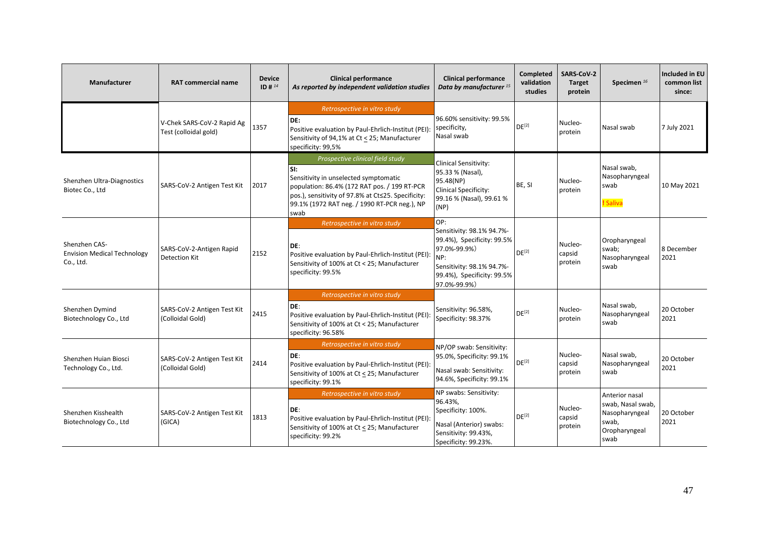| Manufacturer                                                     | <b>RAT commercial name</b>                          | <b>Device</b><br>ID # $^{14}$ | <b>Clinical performance</b><br>As reported by independent validation studies                                                                                                                                                                   | <b>Clinical performance</b><br>Data by manufacturer <sup>15</sup>                                                                                                | <b>Completed</b><br>validation<br>studies | <b>SARS CoV-2</b><br><b>Target</b><br>protein | Specimen <sup>16</sup>                                                                  | <b>Included in EU</b><br>common list<br>since: |
|------------------------------------------------------------------|-----------------------------------------------------|-------------------------------|------------------------------------------------------------------------------------------------------------------------------------------------------------------------------------------------------------------------------------------------|------------------------------------------------------------------------------------------------------------------------------------------------------------------|-------------------------------------------|-----------------------------------------------|-----------------------------------------------------------------------------------------|------------------------------------------------|
|                                                                  | V-Chek SARS-CoV-2 Rapid Ag<br>Test (colloidal gold) | 1357                          | Retrospective in vitro study<br>DE:<br>Positive evaluation by Paul-Ehrlich-Institut (PEI):<br>Sensitivity of 94,1% at Ct < 25; Manufacturer<br>specificity: 99,5%                                                                              | 96.60% sensitivity: 99.5%<br>specificity,<br>Nasal swab                                                                                                          | DE <sup>[2]</sup>                         | Nucleo-<br>protein                            | Nasal swab                                                                              | 7 July 2021                                    |
| Shenzhen Ultra-Diagnostics<br>Biotec Co., Ltd                    | SARS-CoV-2 Antigen Test Kit                         | 2017                          | Prospective clinical field study<br>SI:<br>Sensitivity in unselected symptomatic<br>population: 86.4% (172 RAT pos. / 199 RT-PCR<br>pos.), sensitivity of 97.8% at Ct≤25. Specificity:<br>99.1% (1972 RAT neg. / 1990 RT-PCR neg.), NP<br>swab | Clinical Sensitivity:<br>95.33 % (Nasal),<br>95.48(NP)<br>Clinical Specificity:<br>99.16 % (Nasal), 99.61 %<br>(NP)                                              | BE, SI                                    | Nucleo-<br>protein                            | Nasal swab,<br>Nasopharyngeal<br>swab<br>! Saliva                                       | 10 May 2021                                    |
| Shenzhen CAS-<br><b>Envision Medical Technology</b><br>Co., Ltd. | SARS-CoV-2-Antigen Rapid<br><b>Detection Kit</b>    | 2152                          | Retrospective in vitro study<br>DE:<br>Positive evaluation by Paul-Ehrlich-Institut (PEI):<br>Sensitivity of 100% at Ct < 25; Manufacturer<br>specificity: 99.5%                                                                               | OP:<br>Sensitivity: 98.1% 94.7%-<br>99.4%), Specificity: 99.5%<br>97.0%-99.9%)<br>NP:<br>Sensitivity: 98.1% 94.7%-<br>99.4%), Specificity: 99.5%<br>97.0%-99.9%) | DE <sup>[2]</sup>                         | Nucleo-<br>capsid<br>protein                  | Oropharyngeal<br>swab;<br>Nasopharyngeal<br>swab                                        | 8 December<br>2021                             |
| Shenzhen Dymind<br>Biotechnology Co., Ltd                        | SARS-CoV-2 Antigen Test Kit<br>(Colloidal Gold)     | 2415                          | Retrospective in vitro study<br>DE:<br>Positive evaluation by Paul-Ehrlich-Institut (PEI):<br>Sensitivity of 100% at Ct < 25; Manufacturer<br>specificity: 96.58%                                                                              | Sensitivity: 96.58%,<br>Specificity: 98.37%                                                                                                                      | DE <sup>[2]</sup>                         | Nucleo-<br>protein                            | Nasal swab,<br>Nasopharyngeal<br>swab                                                   | 20 October<br>2021                             |
| Shenzhen Huian Biosci<br>Technology Co., Ltd.                    | SARS-CoV-2 Antigen Test Kit<br>(Colloidal Gold)     | 2414                          | Retrospective in vitro study<br>DE:<br>Positive evaluation by Paul-Ehrlich-Institut (PEI):<br>Sensitivity of 100% at Ct < 25; Manufacturer<br>specificity: 99.1%                                                                               | NP/OP swab: Sensitivity:<br>95.0%, Specificity: 99.1%<br>Nasal swab: Sensitivity:<br>94.6%, Specificity: 99.1%                                                   | $DE^{[2]}$                                | Nucleo-<br>capsid<br>protein                  | Nasal swab,<br>Nasopharyngeal<br>swab                                                   | 20 October<br>2021                             |
| Shenzhen Kisshealth<br>Biotechnology Co., Ltd                    | SARS-CoV-2 Antigen Test Kit<br>(GICA)               | 1813                          | Retrospective in vitro study<br>DE:<br>Positive evaluation by Paul-Ehrlich-Institut (PEI):<br>Sensitivity of 100% at Ct < 25; Manufacturer<br>specificity: 99.2%                                                                               | NP swabs: Sensitivity:<br>96.43%,<br>Specificity: 100%.<br>Nasal (Anterior) swabs:<br>Sensitivity: 99.43%,<br>Specificity: 99.23%.                               | $DE^{[2]}$                                | Nucleo-<br>capsid<br>protein                  | Anterior nasal<br>swab, Nasal swab,<br>Nasopharyngeal<br>swab,<br>Oropharyngeal<br>swab | 20 October<br>2021                             |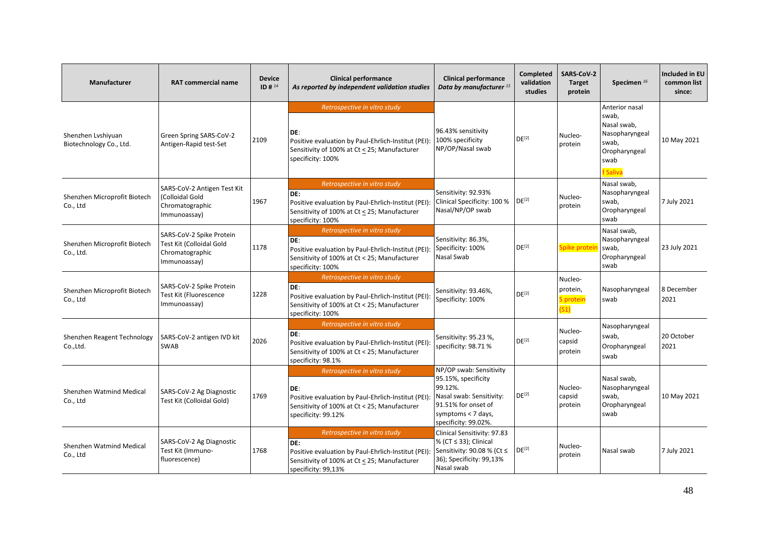| Manufacturer                                  | <b>RAT commercial name</b>                                                              | <b>Device</b><br>ID # 14 | <b>Clinical performance</b><br>As reported by independent validation studies                                                                                      | <b>Clinical performance</b><br>Data by manufacturer <sup>15</sup>                                                                                          | Completed<br>validation<br>studies | SARS-CoV-2<br><b>Target</b><br>protein   | Specimen <sup>16</sup>                                                                                 | <b>Included in EU</b><br>common list<br>since: |
|-----------------------------------------------|-----------------------------------------------------------------------------------------|--------------------------|-------------------------------------------------------------------------------------------------------------------------------------------------------------------|------------------------------------------------------------------------------------------------------------------------------------------------------------|------------------------------------|------------------------------------------|--------------------------------------------------------------------------------------------------------|------------------------------------------------|
| Shenzhen Lyshiyuan<br>Biotechnology Co., Ltd. | Green Spring SARS-CoV-2<br>Antigen-Rapid test-Set                                       | 2109                     | Retrospective in vitro study<br>DE:<br>Positive evaluation by Paul-Ehrlich-Institut (PEI):<br>Sensitivity of 100% at Ct < 25; Manufacturer<br>specificity: 100%   | 96.43% sensitivity<br>100% specificity<br>NP/OP/Nasal swab                                                                                                 | DE <sup>[2]</sup>                  | Nucleo-<br>protein                       | Anterior nasal<br>swab,<br>Nasal swab,<br>Nasopharyngeal<br>swab,<br>Oropharyngeal<br>swab<br>! Saliva | 10 May 2021                                    |
| Shenzhen Microprofit Biotech<br>Co., Ltd      | SARS-CoV-2 Antigen Test Kit<br>(Colloidal Gold<br>Chromatographic<br>Immunoassay)       | 1967                     | Retrospective in vitro study<br>DE:<br>Positive evaluation by Paul-Ehrlich-Institut (PEI):<br>Sensitivity of 100% at Ct < 25; Manufacturer<br>specificity: 100%   | Sensitivity: 92.93%<br>Clinical Specificity: 100 %<br>Nasal/NP/OP swab                                                                                     | DE <sup>[2]</sup>                  | Nucleo-<br>protein                       | Nasal swab,<br>Nasopharyngeal<br>swab,<br>Oropharyngeal<br>swab                                        | 7 July 2021                                    |
| Shenzhen Microprofit Biotech<br>Co., Ltd.     | SARS-CoV-2 Spike Protein<br>Test Kit (Colloidal Gold<br>Chromatographic<br>Immunoassay) | 1178                     | Retrospective in vitro study<br>DE:<br>Positive evaluation by Paul-Ehrlich-Institut (PEI):<br>Sensitivity of 100% at Ct < 25; Manufacturer<br>specificity: 100%   | Sensitivity: 86.3%,<br>Specificity: 100%<br>Nasal Swab                                                                                                     | DE <sup>[2]</sup>                  | Spike proteir                            | Nasal swab,<br>Nasopharyngeal<br>swab,<br>Oropharyngeal<br>swab                                        | 23 July 2021                                   |
| Shenzhen Microprofit Biotech<br>Co., Ltd      | SARS-CoV-2 Spike Protein<br>Test Kit (Fluorescence<br>Immunoassay)                      | 1228                     | Retrospective in vitro study<br>DE:<br>Positive evaluation by Paul-Ehrlich-Institut (PEI):<br>Sensitivity of 100% at Ct < 25; Manufacturer<br>specificity: 100%   | Sensitivity: 93.46%,<br>Specificity: 100%                                                                                                                  | DE <sup>[2]</sup>                  | Nucleo-<br>protein,<br>S protein<br>(S1) | Nasopharyngeal<br>swab                                                                                 | 8 December<br>2021                             |
| Shenzhen Reagent Technology<br>Co., Ltd.      | SARS-CoV-2 antigen IVD kit<br>SWAB                                                      | 2026                     | Retrospective in vitro study<br>DE:<br>Positive evaluation by Paul-Ehrlich-Institut (PEI):<br>Sensitivity of 100% at Ct < 25; Manufacturer<br>specificity: 98.1%  | Sensitivity: 95.23 %,<br>specificity: 98.71 %                                                                                                              | DE <sup>[2]</sup>                  | Nucleo-<br>capsid<br>protein             | Nasopharyngeal<br>swab,<br>Oropharyngeal<br>swab                                                       | 20 October<br>2021                             |
| Shenzhen Watmind Medical<br>Co., Ltd          | SARS-CoV-2 Ag Diagnostic<br>Test Kit (Colloidal Gold)                                   | 1769                     | Retrospective in vitro study<br>DE:<br>Positive evaluation by Paul-Ehrlich-Institut (PEI):<br>Sensitivity of 100% at Ct < 25; Manufacturer<br>specificity: 99.12% | NP/OP swab: Sensitivity<br>95.15%, specificity<br>99.12%.<br>Nasal swab: Sensitivity:<br>91.51% for onset of<br>symptoms < 7 days,<br>specificity: 99.02%. | DE <sup>[2]</sup>                  | Nucleo-<br>capsid<br>protein             | Nasal swab,<br>Nasopharyngeal<br>swab,<br>Oropharyngeal<br>swab                                        | 10 May 2021                                    |
| Shenzhen Watmind Medical<br>Co., Ltd          | SARS-CoV-2 Ag Diagnostic<br>Test Kit (Immuno-<br>fluorescence)                          | 1768                     | Retrospective in vitro study<br>DE:<br>Positive evaluation by Paul-Ehrlich-Institut (PEI):<br>Sensitivity of 100% at Ct < 25; Manufacturer<br>specificity: 99,13% | Clinical Sensitivity: 97.83<br>% (CT ≤ 33); Clinical<br>Sensitivity: 90.08 % (Ct ≤<br>36); Specificity: 99,13%<br>Nasal swab                               | $DE^{[2]}$                         | Nucleo-<br>protein                       | Nasal swab                                                                                             | 7 July 2021                                    |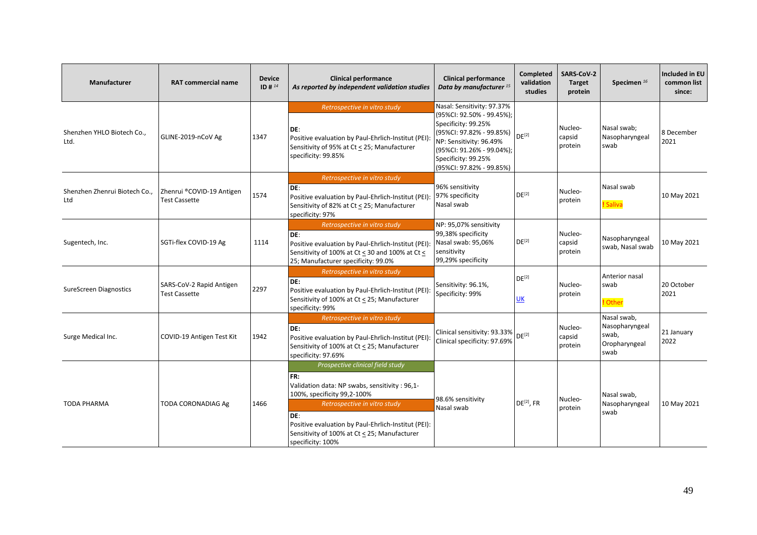| <b>Manufacturer</b>                  | <b>RAT commercial name</b>                        | <b>Device</b><br>ID # $^{14}$ | <b>Clinical performance</b><br>As reported by independent validation studies                                                                                                                                                                                                                | <b>Clinical performance</b><br>Data by manufacturer <sup>15</sup>                                                                                                                                                     | Completed<br>validation<br>studies | <b>SARS CoV-2</b><br><b>Target</b><br>protein | Specimen <sup>16</sup>                                          | Included in EU<br>common list<br>since: |
|--------------------------------------|---------------------------------------------------|-------------------------------|---------------------------------------------------------------------------------------------------------------------------------------------------------------------------------------------------------------------------------------------------------------------------------------------|-----------------------------------------------------------------------------------------------------------------------------------------------------------------------------------------------------------------------|------------------------------------|-----------------------------------------------|-----------------------------------------------------------------|-----------------------------------------|
| Shenzhen YHLO Biotech Co.,<br>Ltd.   | GLINE-2019-nCoV Ag                                | 1347                          | Retrospective in vitro study<br>DE:<br>Positive evaluation by Paul-Ehrlich-Institut (PEI):<br>Sensitivity of 95% at Ct < 25; Manufacturer<br>specificity: 99.85%                                                                                                                            | Nasal: Sensitivity: 97.37%<br>(95%CI: 92.50% - 99.45%);<br>Specificity: 99.25%<br>(95%CI: 97.82% - 99.85%)<br>NP: Sensitivity: 96.49%<br>(95%CI: 91.26% - 99.04%);<br>Specificity: 99.25%<br>(95%CI: 97.82% - 99.85%) | $DE^{[2]}$                         | Nucleo-<br>capsid<br>protein                  | Nasal swab;<br>Nasopharyngeal<br>swab                           | 8 December<br>2021                      |
| Shenzhen Zhenrui Biotech Co.,<br>Ltd | Zhenrui ®COVID-19 Antigen<br><b>Test Cassette</b> | 1574                          | Retrospective in vitro study<br>DE:<br>Positive evaluation by Paul-Ehrlich-Institut (PEI):<br>Sensitivity of 82% at Ct < 25; Manufacturer<br>specificity: 97%                                                                                                                               | 96% sensitivity<br>97% specificity<br>Nasal swab                                                                                                                                                                      | $DE^{[2]}$                         | Nucleo-<br>protein                            | Nasal swab<br>! Saliva                                          | 10 May 2021                             |
| Sugentech, Inc.                      | SGTi-flex COVID-19 Ag                             | 1114                          | Retrospective in vitro study<br>DE:<br>Positive evaluation by Paul-Ehrlich-Institut (PEI):<br>Sensitivity of 100% at Ct < 30 and 100% at Ct <<br>25; Manufacturer specificity: 99.0%                                                                                                        | NP: 95,07% sensitivity<br>99,38% specificity<br>Nasal swab: 95,06%<br>sensitivity<br>99,29% specificity                                                                                                               | DE <sup>[2]</sup>                  | Nucleo-<br>capsid<br>protein                  | Nasopharyngeal<br>swab, Nasal swab                              | 10 May 2021                             |
| <b>SureScreen Diagnostics</b>        | SARS-CoV-2 Rapid Antigen<br><b>Test Cassette</b>  | 2297                          | Retrospective in vitro study<br>DE:<br>Positive evaluation by Paul-Ehrlich-Institut (PEI):<br>Sensitivity of 100% at Ct < 25; Manufacturer<br>specificity: 99%                                                                                                                              | Sensitivity: 96.1%,<br>Specificity: 99%                                                                                                                                                                               | DE <sup>[2]</sup><br>UK            | Nucleo-<br>protein                            | Anterior nasal<br>swab<br>! Other                               | 20 October<br>2021                      |
| Surge Medical Inc.                   | COVID-19 Antigen Test Kit                         | 1942                          | Retrospective in vitro study<br>DE:<br>Positive evaluation by Paul-Ehrlich-Institut (PEI):<br>Sensitivity of 100% at Ct < 25; Manufacturer<br>specificity: 97.69%                                                                                                                           | Clinical sensitivity: 93.33%<br>Clinical specificity: 97.69%                                                                                                                                                          | DF <sup>[2]</sup>                  | Nucleo-<br>capsid<br>protein                  | Nasal swab,<br>Nasopharyngeal<br>swab.<br>Oropharyngeal<br>swab | 21 January<br>2022                      |
| <b>TODA PHARMA</b>                   | TODA CORONADIAG Ag                                | 1466                          | Prospective clinical field study<br>FR:<br>Validation data: NP swabs, sensitivity : 96,1-<br>100%, specificity 99,2-100%<br>Retrospective in vitro study<br>DE:<br>Positive evaluation by Paul-Ehrlich-Institut (PEI):<br>Sensitivity of 100% at Ct < 25; Manufacturer<br>specificity: 100% | 98.6% sensitivity<br>Nasal swab                                                                                                                                                                                       | DE <sup>[2]</sup> , FR             | Nucleo-<br>protein                            | Nasal swab,<br>Nasopharyngeal<br>swab                           | 10 May 2021                             |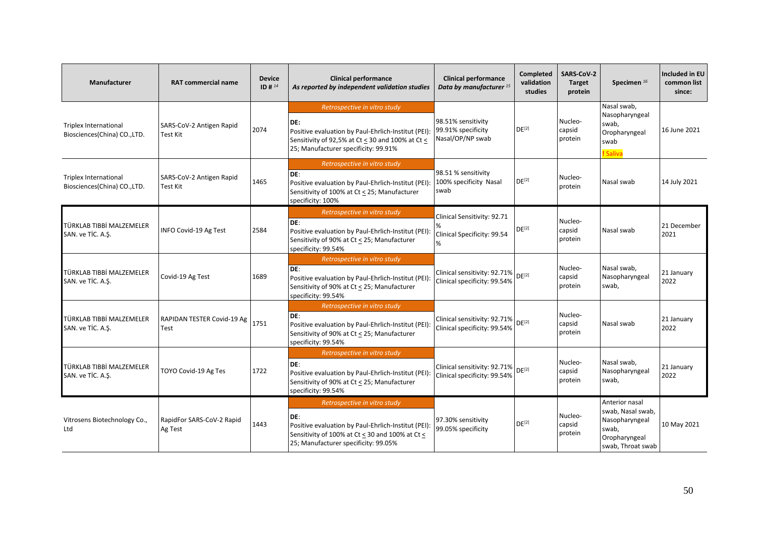| Manufacturer                                                 | <b>RAT commercial name</b>           | <b>Device</b><br>ID # $^{14}$ | <b>Clinical performance</b><br>As reported by independent validation studies                                                                                                           | <b>Clinical performance</b><br>Data by manufacturer <sup>15</sup> | Completed<br>validation<br>studies | SARS-CoV-2<br><b>Target</b><br>protein | Specimen <sup>16</sup>                                                                               | Included in EU<br>common list<br>since: |
|--------------------------------------------------------------|--------------------------------------|-------------------------------|----------------------------------------------------------------------------------------------------------------------------------------------------------------------------------------|-------------------------------------------------------------------|------------------------------------|----------------------------------------|------------------------------------------------------------------------------------------------------|-----------------------------------------|
| <b>Triplex International</b><br>Biosciences(China) CO., LTD. | SARS-CoV-2 Antigen Rapid<br>Test Kit | 2074                          | Retrospective in vitro study<br>DE:<br>Positive evaluation by Paul-Ehrlich-Institut (PEI):<br>Sensitivity of 92,5% at Ct < 30 and 100% at Ct <<br>25; Manufacturer specificity: 99.91% | 98.51% sensitivity<br>99.91% specificity<br>Nasal/OP/NP swab      | DE <sup>[2]</sup>                  | Nucleo-<br>capsid<br>protein           | Nasal swab,<br>Nasopharyngeal<br>swab,<br>Oropharyngeal<br>swab<br>! Saliva                          | 16 June 2021                            |
| <b>Triplex International</b><br>Biosciences(China) CO., LTD. | SARS-CoV-2 Antigen Rapid<br>Test Kit | 1465                          | Retrospective in vitro study<br>DE:<br>Positive evaluation by Paul-Ehrlich-Institut (PEI):<br>Sensitivity of 100% at Ct < 25; Manufacturer<br>specificity: 100%                        | 98.51 % sensitivity<br>100% specificity Nasal<br>swab             | DE <sup>[2]</sup>                  | Nucleo-<br>protein                     | Nasal swab                                                                                           | 14 July 2021                            |
| TÜRKLAB TIBBİ MALZEMELER<br>SAN. ve TİC. A.Ş.                | INFO Covid-19 Ag Test                | 2584                          | Retrospective in vitro study<br>DE:<br>Positive evaluation by Paul-Ehrlich-Institut (PEI):<br>Sensitivity of 90% at Ct < 25; Manufacturer<br>specificity: 99.54%                       | Clinical Sensitivity: 92.71<br>Clinical Specificity: 99.54<br>%   | $DE^{[2]}$                         | Nucleo-<br>capsid<br>protein           | Nasal swab                                                                                           | 21 December<br>2021                     |
| TÜRKLAB TIBBİ MALZEMELER<br>SAN. ve TİC. A.S.                | Covid-19 Ag Test                     | 1689                          | Retrospective in vitro study<br>DE:<br>Positive evaluation by Paul-Ehrlich-Institut (PEI):<br>Sensitivity of 90% at Ct < 25; Manufacturer<br>specificity: 99.54%                       | Clinical sensitivity: 92.71%<br>Clinical specificity: 99.54%      | DF <sup>[2]</sup>                  | Nucleo-<br>capsid<br>protein           | Nasal swab,<br>Nasopharyngeal<br>swab,                                                               | 21 January<br>2022                      |
| TÜRKLAB TIBBİ MALZEMELER<br>SAN. ve TIC. A.S.                | RAPIDAN TESTER Covid-19 Ag<br>Test   | 1751                          | Retrospective in vitro study<br>DE:<br>Positive evaluation by Paul-Ehrlich-Institut (PEI):<br>Sensitivity of 90% at Ct < 25; Manufacturer<br>specificity: 99.54%                       | Clinical sensitivity: 92.71%<br>Clinical specificity: 99.54%      | DE <sup>[2]</sup>                  | Nucleo-<br>capsid<br>protein           | Nasal swab                                                                                           | 21 January<br>2022                      |
| TÜRKLAB TIBBİ MALZEMELER<br>SAN. ve TİC. A.Ş.                | TOYO Covid-19 Ag Tes                 | 1722                          | Retrospective in vitro study<br>DE:<br>Positive evaluation by Paul-Ehrlich-Institut (PEI):<br>Sensitivity of 90% at Ct < 25; Manufacturer<br>specificity: 99.54%                       | Clinical sensitivity: 92.71%<br>Clinical specificity: 99.54%      | $DE^{[2]}$                         | Nucleo-<br>capsid<br>protein           | Nasal swab,<br>Nasopharyngeal<br>swab.                                                               | 21 January<br>2022                      |
| Vitrosens Biotechnology Co.,<br>Ltd                          | RapidFor SARS-CoV-2 Rapid<br>Ag Test | 1443                          | Retrospective in vitro study<br>DE:<br>Positive evaluation by Paul-Ehrlich-Institut (PEI):<br>Sensitivity of 100% at Ct < 30 and 100% at Ct <<br>25; Manufacturer specificity: 99.05%  | 97.30% sensitivity<br>99.05% specificity                          | $DE^{[2]}$                         | Nucleo-<br>capsid<br>protein           | Anterior nasal<br>swab, Nasal swab,<br>Nasopharyngeal<br>swab,<br>Oropharyngeal<br>swab, Throat swab | 10 May 2021                             |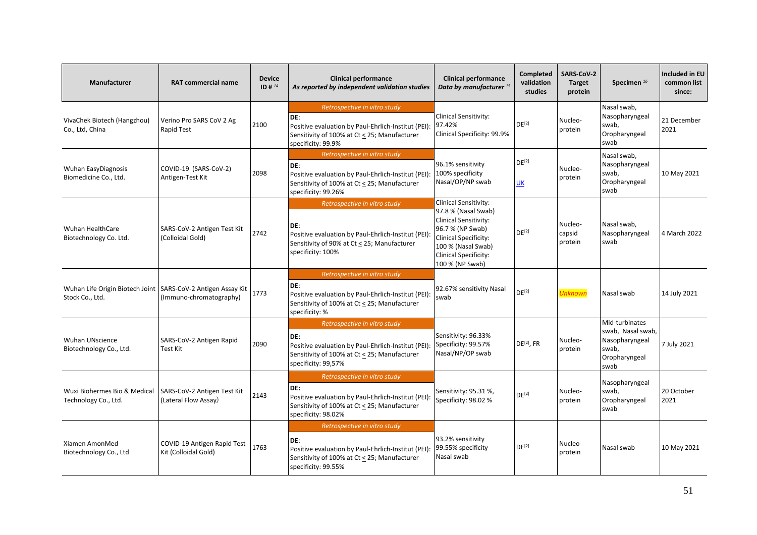| <b>Manufacturer</b>                                                                      | <b>RAT commercial name</b>                          | <b>Device</b><br>ID # $^{14}$ | <b>Clinical performance</b><br>As reported by independent validation studies                                                                                      | <b>Clinical performance</b><br>Data by manufacturer <sup>15</sup>                                                                                                                                         | Completed<br>validation<br>studies | SARS-CoV-2<br><b>Target</b><br>protein | Specimen <sup>16</sup>                                                                  | Included in EU<br>common list<br>since: |
|------------------------------------------------------------------------------------------|-----------------------------------------------------|-------------------------------|-------------------------------------------------------------------------------------------------------------------------------------------------------------------|-----------------------------------------------------------------------------------------------------------------------------------------------------------------------------------------------------------|------------------------------------|----------------------------------------|-----------------------------------------------------------------------------------------|-----------------------------------------|
| VivaChek Biotech (Hangzhou)<br>Co., Ltd, China                                           | Verino Pro SARS CoV 2 Ag<br>Rapid Test              | 2100                          | Retrospective in vitro study<br>DE:<br>Positive evaluation by Paul-Ehrlich-Institut (PEI):<br>Sensitivity of 100% at Ct < 25; Manufacturer<br>specificity: 99.9%  | Clinical Sensitivity:<br>97.42%<br>Clinical Specificity: 99.9%                                                                                                                                            | $DE^{[2]}$                         | Nucleo-<br>protein                     | Nasal swab,<br>Nasopharyngeal<br>swab,<br>Oropharyngeal<br>swab                         | 21 December<br>2021                     |
| <b>Wuhan EasyDiagnosis</b><br>Biomedicine Co., Ltd.                                      | COVID-19 (SARS-CoV-2)<br>Antigen-Test Kit           | 2098                          | Retrospective in vitro study<br>DE:<br>Positive evaluation by Paul-Ehrlich-Institut (PEI):<br>Sensitivity of 100% at Ct < 25; Manufacturer<br>specificity: 99.26% | 96.1% sensitivity<br>100% specificity<br>Nasal/OP/NP swab                                                                                                                                                 | DE <sup>[2]</sup><br><b>UK</b>     | Nucleo-<br>protein                     | Nasal swab,<br>Nasopharyngeal<br>swab,<br>Oropharyngeal<br>swab                         | 10 May 2021                             |
| <b>Wuhan HealthCare</b><br>Biotechnology Co. Ltd.                                        | SARS-CoV-2 Antigen Test Kit<br>(Colloidal Gold)     | 2742                          | Retrospective in vitro study<br>DE:<br>Positive evaluation by Paul-Ehrlich-Institut (PEI):<br>Sensitivity of 90% at Ct < 25; Manufacturer<br>specificity: 100%    | Clinical Sensitivity:<br>97.8 % (Nasal Swab)<br><b>Clinical Sensitivity:</b><br>96.7 % (NP Swab)<br><b>Clinical Specificity:</b><br>100 % (Nasal Swab)<br><b>Clinical Specificity:</b><br>100 % (NP Swab) | DF <sup>[2]</sup>                  | Nucleo-<br>capsid<br>protein           | Nasal swab,<br>Nasopharyngeal<br>swab                                                   | 4 March 2022                            |
| Wuhan Life Origin Biotech Joint   SARS-CoV-2 Antigen Assay Kit   1773<br>Stock Co., Ltd. | (Immuno-chromatography)                             |                               | Retrospective in vitro study<br>DE:<br>Positive evaluation by Paul-Ehrlich-Institut (PEI):<br>Sensitivity of 100% at Ct < 25; Manufacturer<br>specificity: %      | 92.67% sensitivity Nasal<br>swab                                                                                                                                                                          | DE <sup>[2]</sup>                  | <b>Unknown</b>                         | Nasal swab                                                                              | 14 July 2021                            |
| Wuhan UNscience<br>Biotechnology Co., Ltd.                                               | SARS-CoV-2 Antigen Rapid<br>Test Kit                | 2090                          | Retrospective in vitro study<br>DE:<br>Positive evaluation by Paul-Ehrlich-Institut (PEI):<br>Sensitivity of 100% at Ct < 25; Manufacturer<br>specificity: 99,57% | Sensitivity: 96.33%<br>Specificity: 99.57%<br>Nasal/NP/OP swab                                                                                                                                            | $DE[2]$ , FR                       | Nucleo-<br>protein                     | Mid-turbinates<br>swab, Nasal swab,<br>Nasopharyngeal<br>swab,<br>Oropharyngeal<br>swab | 7 July 2021                             |
| Wuxi Biohermes Bio & Medical<br>Technology Co., Ltd.                                     | SARS-CoV-2 Antigen Test Kit<br>(Lateral Flow Assay) | 2143                          | Retrospective in vitro study<br>DE:<br>Positive evaluation by Paul-Ehrlich-Institut (PEI):<br>Sensitivity of 100% at Ct < 25; Manufacturer<br>specificity: 98.02% | Sensitivity: 95.31 %,<br>Specificity: 98.02 %                                                                                                                                                             | DE <sup>[2]</sup>                  | Nucleo-<br>protein                     | Nasopharyngeal<br>swab.<br>Oropharyngeal<br>swab                                        | 20 October<br>2021                      |
| Xiamen AmonMed<br>Biotechnology Co., Ltd                                                 | COVID-19 Antigen Rapid Test<br>Kit (Colloidal Gold) | 1763                          | Retrospective in vitro study<br>DE:<br>Positive evaluation by Paul-Ehrlich-Institut (PEI):<br>Sensitivity of 100% at Ct < 25; Manufacturer<br>specificity: 99.55% | 93.2% sensitivity<br>99.55% specificity<br>Nasal swab                                                                                                                                                     | DE <sup>[2]</sup>                  | Nucleo-<br>protein                     | Nasal swab                                                                              | 10 May 2021                             |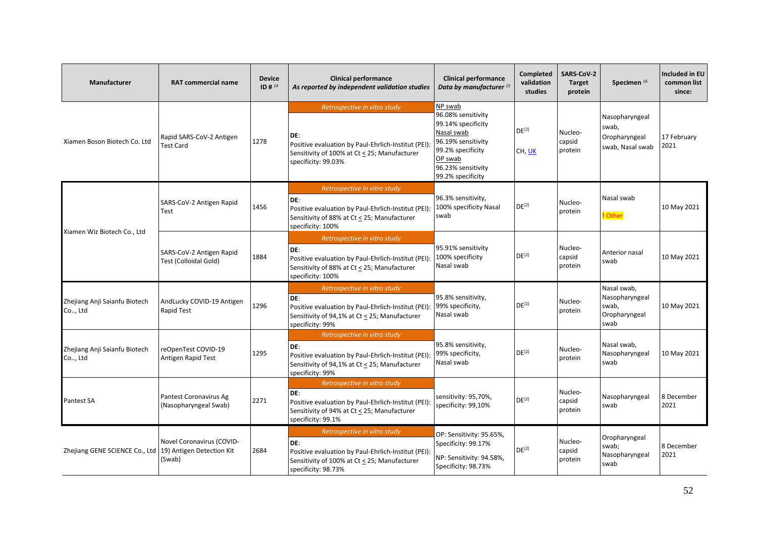| Manufacturer                             | <b>RAT commercial name</b>                                       | <b>Device</b><br>ID # $^{14}$ | <b>Clinical performance</b><br>As reported by independent validation studies                                                                                      | <b>Clinical performance</b><br>Data by manufacturer <sup>15</sup>                                                                                                  | Completed<br>validation<br>studies | <b>SARS-CoV-2</b><br><b>Target</b><br>protein | Specimen <sup>16</sup>                                          | Included in EU<br>common list<br>since: |
|------------------------------------------|------------------------------------------------------------------|-------------------------------|-------------------------------------------------------------------------------------------------------------------------------------------------------------------|--------------------------------------------------------------------------------------------------------------------------------------------------------------------|------------------------------------|-----------------------------------------------|-----------------------------------------------------------------|-----------------------------------------|
| Xiamen Boson Biotech Co. Ltd             | Rapid SARS-CoV-2 Antigen<br><b>Test Card</b>                     | 1278                          | Retrospective in vitro study<br>DE:<br>Positive evaluation by Paul-Ehrlich-Institut (PEI):<br>Sensitivity of 100% at Ct < 25; Manufacturer<br>specificity: 99.03% | NP swab<br>96.08% sensitivity<br>99.14% specificity<br>Nasal swab<br>96.19% sensitivity<br>99.2% specificity<br>OP swab<br>96.23% sensitivity<br>99.2% specificity | DE <sup>[2]</sup><br>CH, UK        | Nucleo-<br>capsid<br>protein                  | Nasopharyngeal<br>swab,<br>Oropharyngeal<br>swab, Nasal swab    | 17 February<br>2021                     |
| Xiamen Wiz Biotech Co., Ltd              | SARS-CoV-2 Antigen Rapid<br>Test                                 | 1456                          | Retrospective in vitro study<br>DE:<br>Positive evaluation by Paul-Ehrlich-Institut (PEI):<br>Sensitivity of 88% at Ct < 25; Manufacturer<br>specificity: 100%    | 96.3% sensitivity,<br>100% specificity Nasal<br>swab                                                                                                               | DE <sup>[2]</sup>                  | Nucleo-<br>protein                            | Nasal swab<br>! Other                                           | 10 May 2021                             |
|                                          | SARS-CoV-2 Antigen Rapid<br>Test (Colloidal Gold)                | 1884                          | Retrospective in vitro study<br>DE:<br>Positive evaluation by Paul-Ehrlich-Institut (PEI):<br>Sensitivity of 88% at Ct < 25; Manufacturer<br>specificity: 100%    | 95.91% sensitivity<br>100% specificity<br>Nasal swab                                                                                                               | $DE^{[2]}$                         | Nucleo-<br>capsid<br>protein                  | Anterior nasal<br>swab                                          | 10 May 2021                             |
| Zhejiang Anji Saianfu Biotech<br>Co, Ltd | AndLucky COVID-19 Antigen<br>Rapid Test                          | 1296                          | Retrospective in vitro study<br>DE:<br>Positive evaluation by Paul-Ehrlich-Institut (PEI):<br>Sensitivity of 94,1% at Ct < 25; Manufacturer<br>specificity: 99%   | 95.8% sensitivity,<br>99% specificity,<br>Nasal swab                                                                                                               | $DE^{[2]}$                         | Nucleo-<br>protein                            | Nasal swab,<br>Nasopharyngeal<br>swab,<br>Oropharyngeal<br>swab | 10 May 2021                             |
| Zhejiang Anji Saianfu Biotech<br>Co, Ltd | reOpenTest COVID-19<br>Antigen Rapid Test                        | 1295                          | Retrospective in vitro study<br>DE:<br>Positive evaluation by Paul-Ehrlich-Institut (PEI):<br>Sensitivity of 94,1% at Ct < 25; Manufacturer<br>specificity: 99%   | 95.8% sensitivity,<br>99% specificity,<br>Nasal swab                                                                                                               | $DE^{[2]}$                         | Nucleo-<br>protein                            | Nasal swab,<br>Nasopharyngeal<br>swab                           | 10 May 2021                             |
| Pantest SA                               | Pantest Coronavirus Ag<br>(Nasopharyngeal Swab)                  | 2271                          | Retrospective in vitro study<br>DE:<br>Positive evaluation by Paul-Ehrlich-Institut (PEI):<br>Sensitivity of 94% at Ct < 25; Manufacturer<br>specificity: 99.1%   | sensitivity: 95,70%,<br>specificity: 99,10%                                                                                                                        | DE <sup>[2]</sup>                  | Nucleo-<br>capsid<br>protein                  | Nasopharyngeal<br>swab                                          | 8 December<br>2021                      |
| Zhejiang GENE SCIENCE Co., Ltd           | Novel Coronavirus (COVID-<br>19) Antigen Detection Kit<br>(Swab) | 2684                          | Retrospective in vitro study<br>DE:<br>Positive evaluation by Paul-Ehrlich-Institut (PEI):<br>Sensitivity of 100% at Ct < 25; Manufacturer<br>specificity: 98.73% | OP: Sensitivity: 95.65%,<br>Specificity: 99.17%<br>NP: Sensitivity: 94.58%,<br>Specificity: 98.73%                                                                 | $DE^{[2]}$                         | Nucleo-<br>capsid<br>protein                  | Oropharyngeal<br>swab;<br>Nasopharyngeal<br>swab                | 8 December<br>2021                      |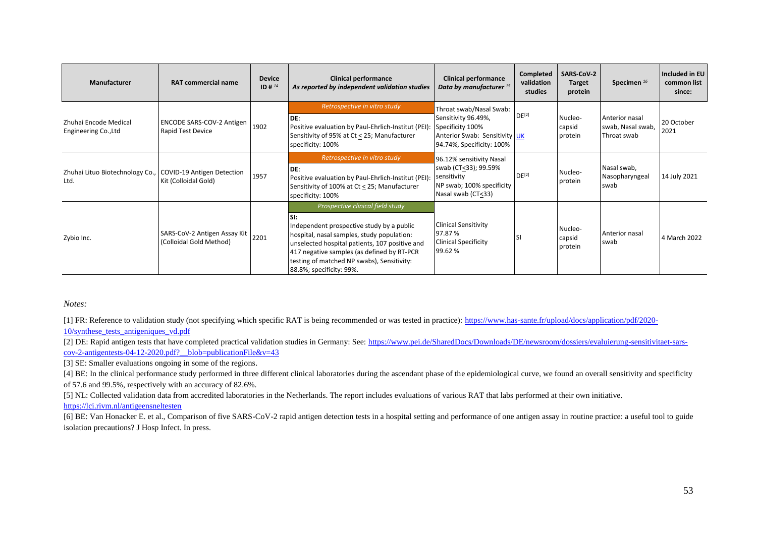| <b>Manufacturer</b>                                                | <b>RAT commercial name</b>                                   | <b>Device</b><br>ID # $^{14}$ | <b>Clinical performance</b><br>As reported by independent validation studies                                                                                                                                                                                                                                 | <b>Clinical performance</b><br>Data by manufacturer <sup>15</sup>                                                                | Completed<br>validation<br>studies | SARS-CoV-2<br><b>Target</b><br>protein | Specimen <sup>16</sup>                             | Included in EU<br>common list<br>since: |
|--------------------------------------------------------------------|--------------------------------------------------------------|-------------------------------|--------------------------------------------------------------------------------------------------------------------------------------------------------------------------------------------------------------------------------------------------------------------------------------------------------------|----------------------------------------------------------------------------------------------------------------------------------|------------------------------------|----------------------------------------|----------------------------------------------------|-----------------------------------------|
| Zhuhai Encode Medical<br>Engineering Co., Ltd                      | ENCODE SARS-COV-2 Antigen<br>Rapid Test Device               | 1902                          | Retrospective in vitro study<br>IDE:<br>Positive evaluation by Paul-Ehrlich-Institut (PEI):<br>Sensitivity of 95% at Ct < 25; Manufacturer<br>specificity: 100%                                                                                                                                              | Throat swab/Nasal Swab:<br>Sensitivity 96.49%,<br>Specificity 100%<br>Anterior Swab: Sensitivity UK<br>94.74%, Specificity: 100% | $DE^{[2]}$                         | Nucleo-<br>capsid<br>protein           | Anterior nasal<br>swab, Nasal swab,<br>Throat swab | 20 October<br>2021                      |
| Zhuhai Lituo Biotechnology Co., COVID-19 Antigen Detection<br>Ltd. | Kit (Colloidal Gold)                                         | 1957                          | Retrospective in vitro study<br>IDE:<br>Positive evaluation by Paul-Ehrlich-Institut (PEI):<br>Sensitivity of 100% at Ct < 25; Manufacturer<br>specificity: 100%                                                                                                                                             | 96.12% sensitivity Nasal<br>swab (CT<33); 99.59%<br>sensitivity<br>NP swab; 100% specificity<br>Nasal swab (CT<33)               | DE <sup>[2]</sup>                  | Nucleo-<br>protein                     | Nasal swab,<br>Nasopharyngeal<br>swab              | 14 July 2021                            |
| Zybio Inc.                                                         | SARS-CoV-2 Antigen Assay Kit 2201<br>(Colloidal Gold Method) |                               | Prospective clinical field study<br>SI:<br>Independent prospective study by a public<br>hospital, nasal samples, study population:<br>unselected hospital patients, 107 positive and<br>417 negative samples (as defined by RT-PCR<br>testing of matched NP swabs), Sensitivity:<br>88.8%; specificity: 99%. | <b>Clinical Sensitivity</b><br>97.87 %<br><b>Clinical Specificity</b><br>99.62%                                                  | l SI                               | Nucleo-<br>capsid<br>protein           | Anterior nasal<br>swab                             | 4 March 2022                            |

*Notes:* 

[1] FR: Reference to validation study (not specifying which specific RAT is being recommended or was tested in practice): [https://www.has-sante.fr/upload/docs/application/pdf/2020-](https://www.has-sante.fr/upload/docs/application/pdf/2020-10/synthese_tests_antigeniques_vd.pdf) [10/synthese\\_tests\\_antigeniques\\_vd.pdf](https://www.has-sante.fr/upload/docs/application/pdf/2020-10/synthese_tests_antigeniques_vd.pdf)

[2] DE: Rapid antigen tests that have completed practical validation studies in Germany: See: [https://www.pei.de/SharedDocs/Downloads/DE/newsroom/dossiers/evaluierung-sensitivitaet-sars](https://www.pei.de/SharedDocs/Downloads/DE/newsroom/dossiers/evaluierung-sensitivitaet-sars-cov-2-antigentests-04-12-2020.pdf?__blob=publicationFile&v=43) $cov-2$ -antigentests-04-12-2020.pdf? blob=publicationFile&v=43

[3] SE: Smaller evaluations ongoing in some of the regions.

[4] BE: In the clinical performance study performed in three different clinical laboratories during the ascendant phase of the epidemiological curve, we found an overall sensitivity and specificity of 57.6 and 99.5%, respectively with an accuracy of 82.6%.

[5] NL: Collected validation data from accredited laboratories in the Netherlands. The report includes evaluations of various RAT that labs performed at their own initiative.

<https://lci.rivm.nl/antigeensneltesten>

[6] BE: Van Honacker E. et al., Comparison of five SARS-CoV-2 rapid antigen detection tests in a hospital setting and performance of one antigen assay in routine practice: a useful tool to guide isolation precautions? J Hosp Infect. In press.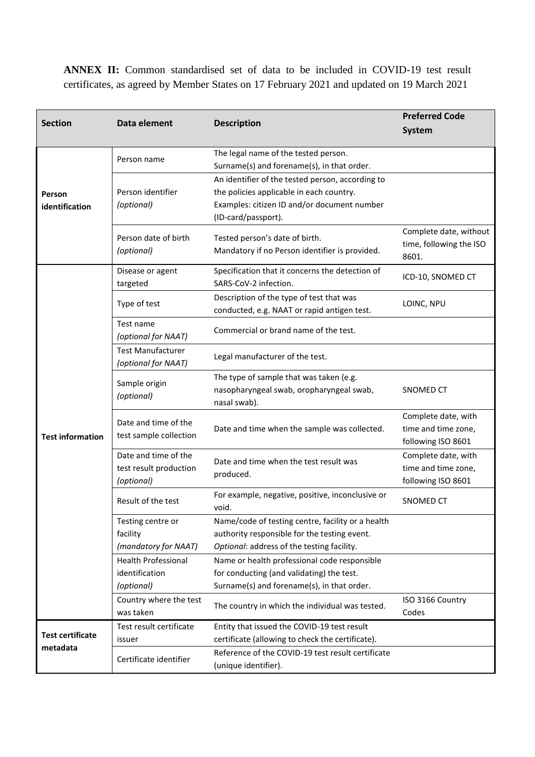**ANNEX II:** Common standardised set of data to be included in COVID-19 test result certificates, as agreed by Member States on 17 February 2021 and updated on 19 March 2021

| <b>Section</b>           | Data element                                                 | <b>Description</b>                                                                                                                                                 | <b>Preferred Code</b><br><b>System</b>                           |
|--------------------------|--------------------------------------------------------------|--------------------------------------------------------------------------------------------------------------------------------------------------------------------|------------------------------------------------------------------|
|                          | Person name                                                  | The legal name of the tested person.<br>Surname(s) and forename(s), in that order.                                                                                 |                                                                  |
| Person<br>identification | Person identifier<br>(optional)                              | An identifier of the tested person, according to<br>the policies applicable in each country.<br>Examples: citizen ID and/or document number<br>(ID-card/passport). |                                                                  |
|                          | Person date of birth<br>(optional)                           | Tested person's date of birth.<br>Mandatory if no Person identifier is provided.                                                                                   | Complete date, without<br>time, following the ISO<br>8601.       |
|                          | Disease or agent<br>targeted                                 | Specification that it concerns the detection of<br>SARS-CoV-2 infection.                                                                                           | ICD-10, SNOMED CT                                                |
|                          | Type of test                                                 | Description of the type of test that was<br>conducted, e.g. NAAT or rapid antigen test.                                                                            | LOINC, NPU                                                       |
|                          | Test name<br>(optional for NAAT)                             | Commercial or brand name of the test.                                                                                                                              |                                                                  |
|                          | <b>Test Manufacturer</b><br>(optional for NAAT)              | Legal manufacturer of the test.                                                                                                                                    |                                                                  |
|                          | Sample origin<br>(optional)                                  | The type of sample that was taken (e.g.<br>nasopharyngeal swab, oropharyngeal swab,<br>nasal swab).                                                                | SNOMED CT                                                        |
| <b>Test information</b>  | Date and time of the<br>test sample collection               | Date and time when the sample was collected.                                                                                                                       | Complete date, with<br>time and time zone,<br>following ISO 8601 |
|                          | Date and time of the<br>test result production<br>(optional) | Date and time when the test result was<br>produced.                                                                                                                | Complete date, with<br>time and time zone,<br>following ISO 8601 |
|                          | Result of the test                                           | For example, negative, positive, inconclusive or<br>void.                                                                                                          | SNOMED CT                                                        |
|                          | Testing centre or<br>facility                                | Name/code of testing centre, facility or a health<br>authority responsible for the testing event.                                                                  |                                                                  |
|                          | (mandatory for NAAT)                                         | Optional: address of the testing facility.                                                                                                                         |                                                                  |
|                          | <b>Health Professional</b>                                   | Name or health professional code responsible                                                                                                                       |                                                                  |
|                          | identification<br>(optional)                                 | for conducting (and validating) the test.<br>Surname(s) and forename(s), in that order.                                                                            |                                                                  |
|                          | Country where the test<br>was taken                          | The country in which the individual was tested.                                                                                                                    | ISO 3166 Country<br>Codes                                        |
|                          | Test result certificate                                      | Entity that issued the COVID-19 test result                                                                                                                        |                                                                  |
| <b>Test certificate</b>  | issuer                                                       | certificate (allowing to check the certificate).                                                                                                                   |                                                                  |
| metadata                 | Certificate identifier                                       | Reference of the COVID-19 test result certificate<br>(unique identifier).                                                                                          |                                                                  |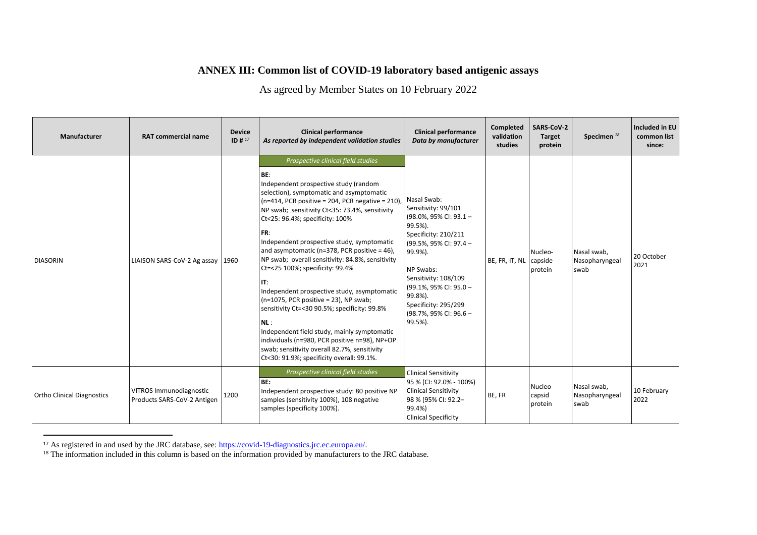## **ANNEX III: Common list of COVID-19 laboratory based antigenic assays**

As agreed by Member States on 10 February 2022

| Manufacturer                      | <b>RAT commercial name</b>                                    | <b>Device</b><br>$ID#^{17}$ | <b>Clinical performance</b><br>As reported by independent validation studies                                                                                                                                                                                                                                                                                                                                                                                                                                                                                                                                                                                                                                                                                                                                                     | <b>Clinical performance</b><br>Data by manufacturer                                                                                                                                                                                                                                | Completed<br>validation<br>studies | <b>SARS-CoV-2</b><br>Target<br>protein | Specimen <sup>18</sup>                | Included in EU<br>common list<br>since: |
|-----------------------------------|---------------------------------------------------------------|-----------------------------|----------------------------------------------------------------------------------------------------------------------------------------------------------------------------------------------------------------------------------------------------------------------------------------------------------------------------------------------------------------------------------------------------------------------------------------------------------------------------------------------------------------------------------------------------------------------------------------------------------------------------------------------------------------------------------------------------------------------------------------------------------------------------------------------------------------------------------|------------------------------------------------------------------------------------------------------------------------------------------------------------------------------------------------------------------------------------------------------------------------------------|------------------------------------|----------------------------------------|---------------------------------------|-----------------------------------------|
| <b>DIASORIN</b>                   | LIAISON SARS-CoV-2 Ag assay 1960                              |                             | Prospective clinical field studies<br>BE:<br>Independent prospective study (random<br>selection), symptomatic and asymptomatic<br>$(n=414, PCR positive = 204, PCR negative = 210)$ ,<br>NP swab; sensitivity Ct<35: 73.4%, sensitivity<br>Ct<25: 96.4%; specificity: 100%<br>FR:<br>Independent prospective study, symptomatic<br>and asymptomatic ( $n=378$ , PCR positive = 46),<br>NP swab; overall sensitivity: 84.8%, sensitivity<br>Ct=<25 100%; specificity: 99.4%<br>IT:<br>Independent prospective study, asymptomatic<br>$(n=1075, PCR positive = 23)$ , NP swab;<br>sensitivity Ct=<30 90.5%; specificity: 99.8%<br>NL:<br>Independent field study, mainly symptomatic<br>individuals (n=980, PCR positive n=98), NP+OP<br>swab; sensitivity overall 82.7%, sensitivity<br>Ct<30: 91.9%; specificity overall: 99.1%. | Nasal Swab:<br>Sensitivity: 99/101<br>$(98.0\% , 95\%$ CI: $93.1 -$<br>99.5%).<br>Specificity: 210/211<br>(99.5%, 95% CI: 97.4 -<br>99.9%).<br>NP Swabs:<br>Sensitivity: 108/109<br>(99.1%, 95% CI: 95.0 -<br>99.8%).<br>Specificity: 295/299<br>(98.7%, 95% CI: 96.6 -<br>99.5%). | BE, FR, IT, NL                     | Nucleo-<br>capside<br>protein          | Nasal swab,<br>Nasopharyngeal<br>swab | 20 October<br>2021                      |
| <b>Ortho Clinical Diagnostics</b> | <b>VITROS Immunodiagnostic</b><br>Products SARS-CoV-2 Antigen | 1200                        | Prospective clinical field studies<br>BE:<br>Independent prospective study: 80 positive NP<br>samples (sensitivity 100%), 108 negative<br>samples (specificity 100%).                                                                                                                                                                                                                                                                                                                                                                                                                                                                                                                                                                                                                                                            | <b>Clinical Sensitivity</b><br>95 % (CI: 92.0% - 100%)<br><b>Clinical Sensitivity</b><br>98 % (95% CI: 92.2-<br>99.4%)<br><b>Clinical Specificity</b>                                                                                                                              | BE, FR                             | Nucleo-<br>capsid<br>protein           | Nasal swab,<br>Nasopharyngeal<br>swab | 10 February<br>2022                     |

<sup>&</sup>lt;sup>17</sup> As registered in and used by the JRC database, see[: https://covid-19-diagnostics.jrc.ec.europa.eu/.](https://covid-19-diagnostics.jrc.ec.europa.eu/)

 $\overline{a}$ 

<sup>&</sup>lt;sup>18</sup> The information included in this column is based on the information provided by manufacturers to the JRC database.